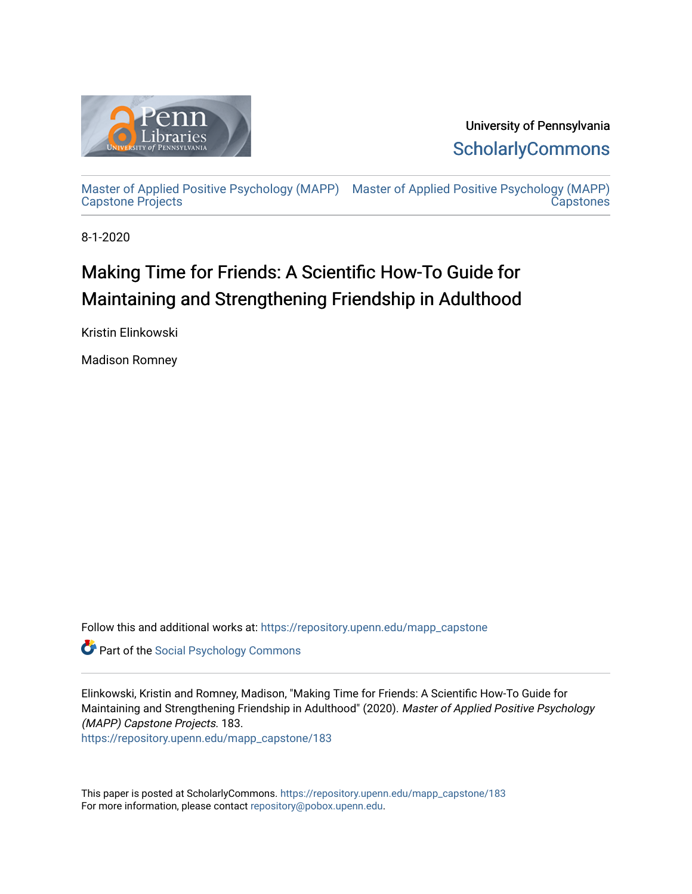

University of Pennsylvania **ScholarlyCommons** 

[Master of Applied Positive Psychology \(MAPP\)](https://repository.upenn.edu/mapp_capstone) [Master of Applied Positive Psychology \(MAPP\)](https://repository.upenn.edu/mapp_capstones)  [Capstone Projects](https://repository.upenn.edu/mapp_capstone)  **Capstones** 

8-1-2020

# Making Time for Friends: A Scientific How-To Guide for Maintaining and Strengthening Friendship in Adulthood

Kristin Elinkowski

Madison Romney

Follow this and additional works at: [https://repository.upenn.edu/mapp\\_capstone](https://repository.upenn.edu/mapp_capstone?utm_source=repository.upenn.edu%2Fmapp_capstone%2F183&utm_medium=PDF&utm_campaign=PDFCoverPages) 

**Part of the Social Psychology Commons** 

Elinkowski, Kristin and Romney, Madison, "Making Time for Friends: A Scientific How-To Guide for Maintaining and Strengthening Friendship in Adulthood" (2020). Master of Applied Positive Psychology (MAPP) Capstone Projects. 183.

[https://repository.upenn.edu/mapp\\_capstone/183](https://repository.upenn.edu/mapp_capstone/183?utm_source=repository.upenn.edu%2Fmapp_capstone%2F183&utm_medium=PDF&utm_campaign=PDFCoverPages) 

This paper is posted at ScholarlyCommons. [https://repository.upenn.edu/mapp\\_capstone/183](https://repository.upenn.edu/mapp_capstone/183)  For more information, please contact [repository@pobox.upenn.edu.](mailto:repository@pobox.upenn.edu)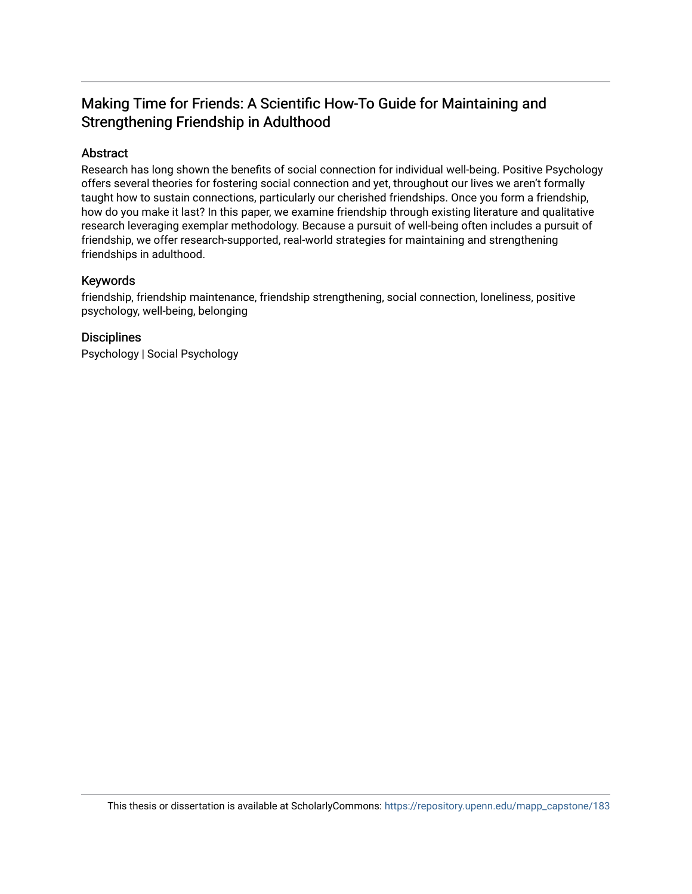# Making Time for Friends: A Scientific How-To Guide for Maintaining and Strengthening Friendship in Adulthood

# Abstract

Research has long shown the benefits of social connection for individual well-being. Positive Psychology offers several theories for fostering social connection and yet, throughout our lives we aren't formally taught how to sustain connections, particularly our cherished friendships. Once you form a friendship, how do you make it last? In this paper, we examine friendship through existing literature and qualitative research leveraging exemplar methodology. Because a pursuit of well-being often includes a pursuit of friendship, we offer research-supported, real-world strategies for maintaining and strengthening friendships in adulthood.

## Keywords

friendship, friendship maintenance, friendship strengthening, social connection, loneliness, positive psychology, well-being, belonging

## **Disciplines**

Psychology | Social Psychology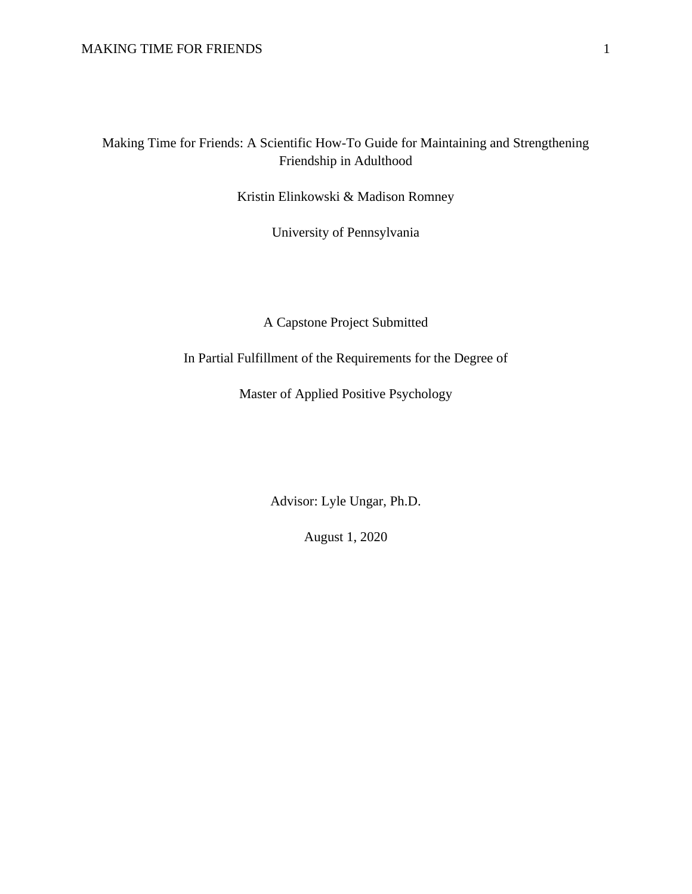Making Time for Friends: A Scientific How-To Guide for Maintaining and Strengthening Friendship in Adulthood

Kristin Elinkowski & Madison Romney

University of Pennsylvania

A Capstone Project Submitted

In Partial Fulfillment of the Requirements for the Degree of

Master of Applied Positive Psychology

Advisor: Lyle Ungar, Ph.D.

August 1, 2020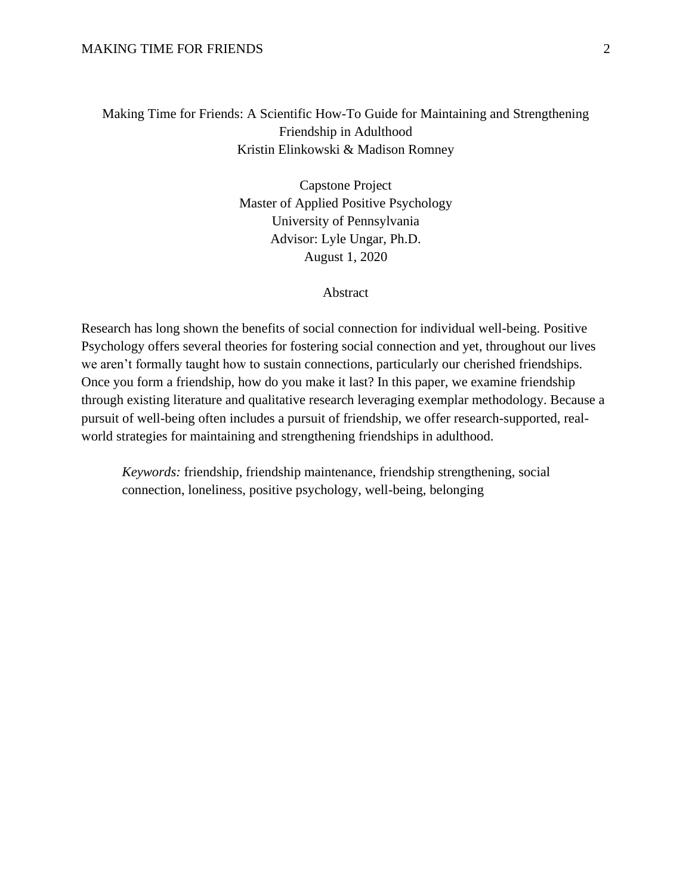# Making Time for Friends: A Scientific How-To Guide for Maintaining and Strengthening Friendship in Adulthood Kristin Elinkowski & Madison Romney

Capstone Project Master of Applied Positive Psychology University of Pennsylvania Advisor: Lyle Ungar, Ph.D. August 1, 2020

#### Abstract

Research has long shown the benefits of social connection for individual well-being. Positive Psychology offers several theories for fostering social connection and yet, throughout our lives we aren't formally taught how to sustain connections, particularly our cherished friendships. Once you form a friendship, how do you make it last? In this paper, we examine friendship through existing literature and qualitative research leveraging exemplar methodology. Because a pursuit of well-being often includes a pursuit of friendship, we offer research-supported, realworld strategies for maintaining and strengthening friendships in adulthood.

*Keywords:* friendship, friendship maintenance, friendship strengthening, social connection, loneliness, positive psychology, well-being, belonging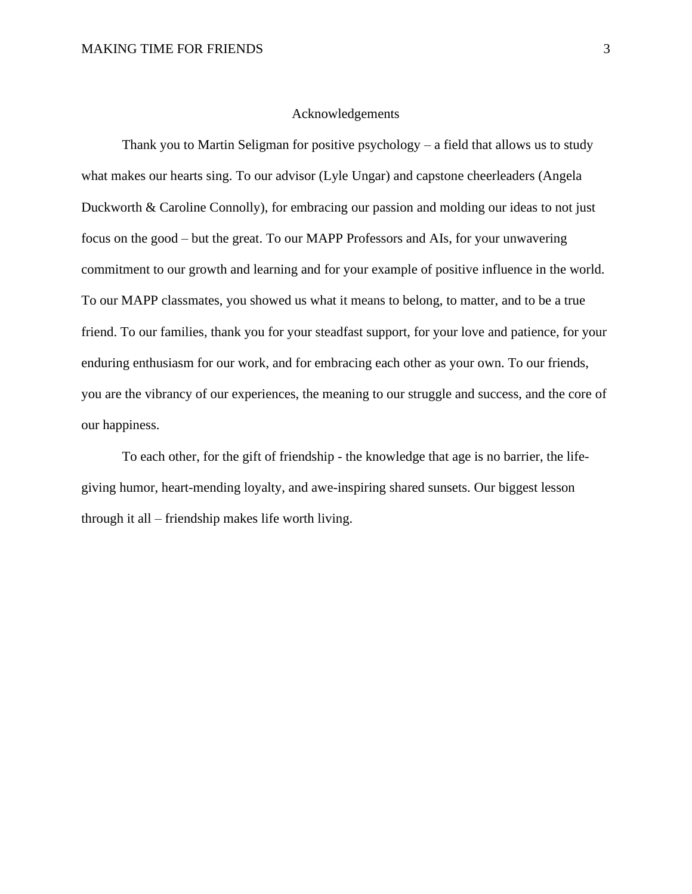#### Acknowledgements

Thank you to Martin Seligman for positive psychology  $-$  a field that allows us to study what makes our hearts sing. To our advisor (Lyle Ungar) and capstone cheerleaders (Angela Duckworth & Caroline Connolly), for embracing our passion and molding our ideas to not just focus on the good – but the great. To our MAPP Professors and AIs, for your unwavering commitment to our growth and learning and for your example of positive influence in the world. To our MAPP classmates, you showed us what it means to belong, to matter, and to be a true friend. To our families, thank you for your steadfast support, for your love and patience, for your enduring enthusiasm for our work, and for embracing each other as your own. To our friends, you are the vibrancy of our experiences, the meaning to our struggle and success, and the core of our happiness.

To each other, for the gift of friendship - the knowledge that age is no barrier, the lifegiving humor, heart-mending loyalty, and awe-inspiring shared sunsets. Our biggest lesson through it all – friendship makes life worth living.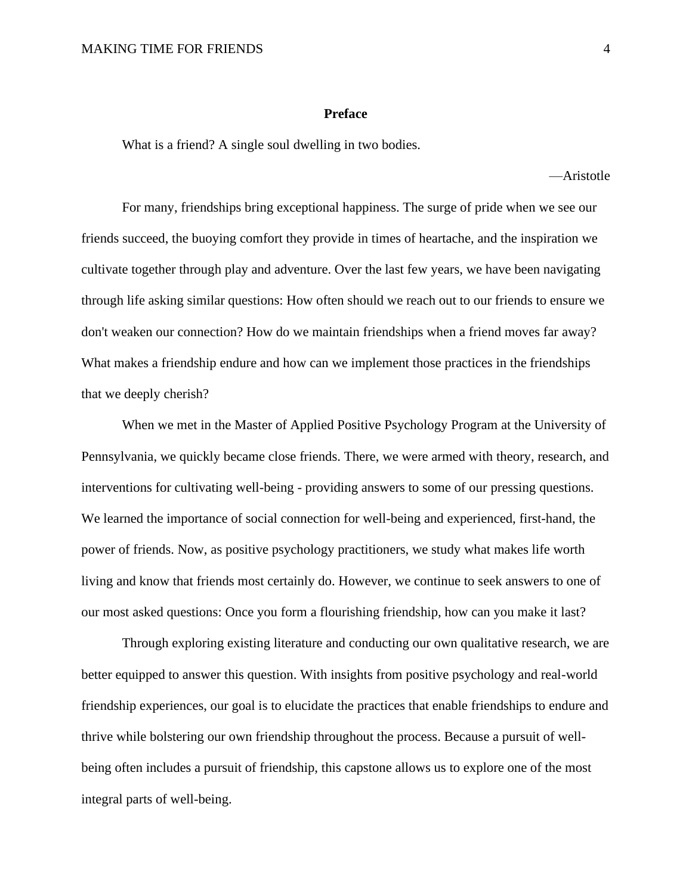#### **Preface**

What is a friend? A single soul dwelling in two bodies.

—Aristotle

For many, friendships bring exceptional happiness. The surge of pride when we see our friends succeed, the buoying comfort they provide in times of heartache, and the inspiration we cultivate together through play and adventure. Over the last few years, we have been navigating through life asking similar questions: How often should we reach out to our friends to ensure we don't weaken our connection? How do we maintain friendships when a friend moves far away? What makes a friendship endure and how can we implement those practices in the friendships that we deeply cherish?

When we met in the Master of Applied Positive Psychology Program at the University of Pennsylvania, we quickly became close friends. There, we were armed with theory, research, and interventions for cultivating well-being - providing answers to some of our pressing questions. We learned the importance of social connection for well-being and experienced, first-hand, the power of friends. Now, as positive psychology practitioners, we study what makes life worth living and know that friends most certainly do. However, we continue to seek answers to one of our most asked questions: Once you form a flourishing friendship, how can you make it last?

Through exploring existing literature and conducting our own qualitative research, we are better equipped to answer this question. With insights from positive psychology and real-world friendship experiences, our goal is to elucidate the practices that enable friendships to endure and thrive while bolstering our own friendship throughout the process. Because a pursuit of wellbeing often includes a pursuit of friendship, this capstone allows us to explore one of the most integral parts of well-being.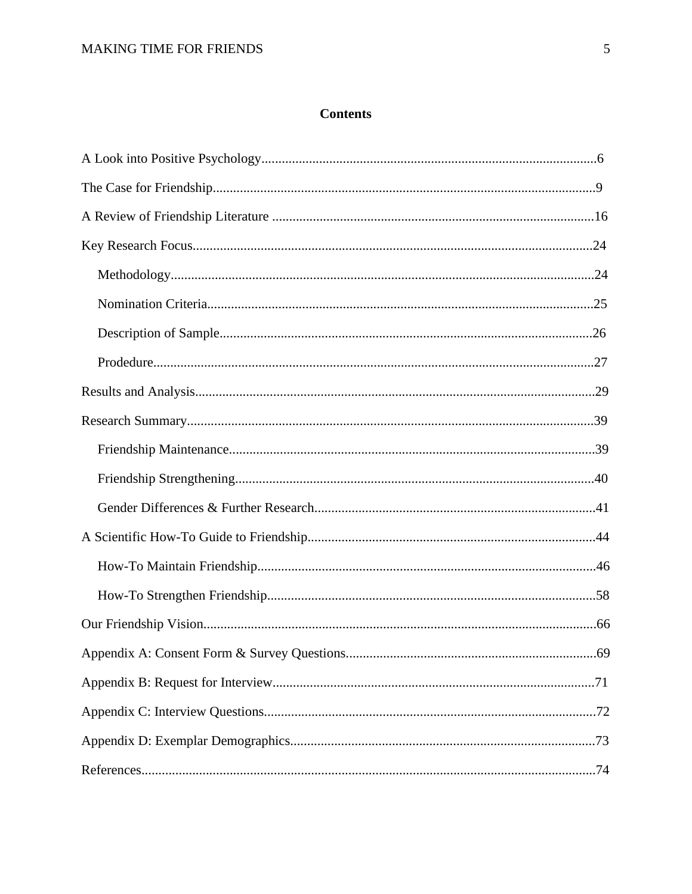# **Contents**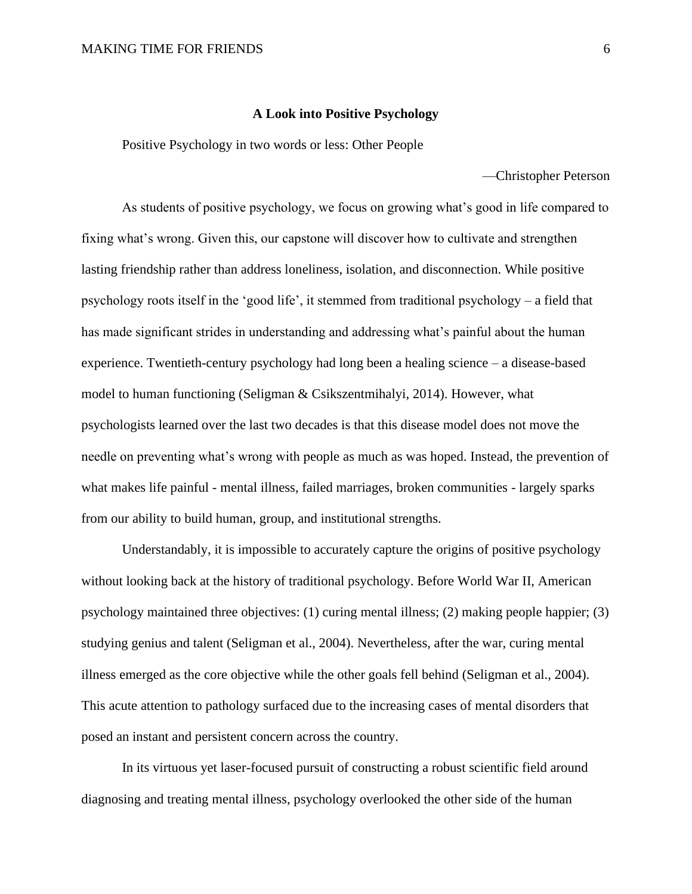#### **A Look into Positive Psychology**

Positive Psychology in two words or less: Other People

—Christopher Peterson

As students of positive psychology, we focus on growing what's good in life compared to fixing what's wrong. Given this, our capstone will discover how to cultivate and strengthen lasting friendship rather than address loneliness, isolation, and disconnection. While positive psychology roots itself in the 'good life', it stemmed from traditional psychology – a field that has made significant strides in understanding and addressing what's painful about the human experience. Twentieth-century psychology had long been a healing science – a disease-based model to human functioning (Seligman & Csikszentmihalyi, 2014). However, what psychologists learned over the last two decades is that this disease model does not move the needle on preventing what's wrong with people as much as was hoped. Instead, the prevention of what makes life painful - mental illness, failed marriages, broken communities - largely sparks from our ability to build human, group, and institutional strengths.

Understandably, it is impossible to accurately capture the origins of positive psychology without looking back at the history of traditional psychology. Before World War II, American psychology maintained three objectives: (1) curing mental illness; (2) making people happier; (3) studying genius and talent (Seligman et al., 2004). Nevertheless, after the war, curing mental illness emerged as the core objective while the other goals fell behind (Seligman et al., 2004). This acute attention to pathology surfaced due to the increasing cases of mental disorders that posed an instant and persistent concern across the country.

In its virtuous yet laser-focused pursuit of constructing a robust scientific field around diagnosing and treating mental illness, psychology overlooked the other side of the human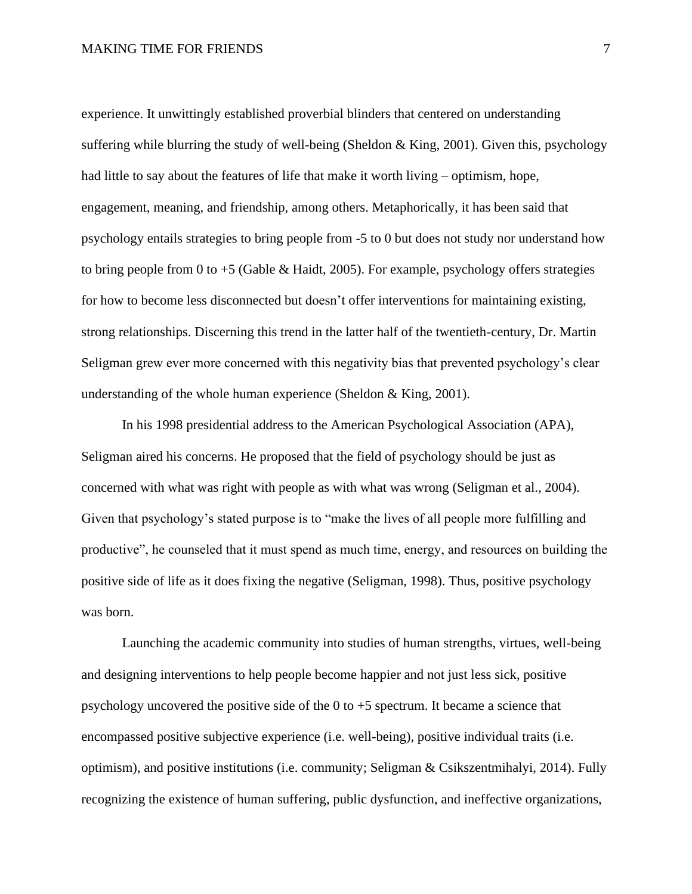#### MAKING TIME FOR FRIENDS 7

experience. It unwittingly established proverbial blinders that centered on understanding suffering while blurring the study of well-being (Sheldon & King, 2001). Given this, psychology had little to say about the features of life that make it worth living – optimism, hope, engagement, meaning, and friendship, among others. Metaphorically, it has been said that psychology entails strategies to bring people from -5 to 0 but does not study nor understand how to bring people from 0 to  $+5$  (Gable & Haidt, 2005). For example, psychology offers strategies for how to become less disconnected but doesn't offer interventions for maintaining existing, strong relationships. Discerning this trend in the latter half of the twentieth-century, Dr. Martin Seligman grew ever more concerned with this negativity bias that prevented psychology's clear understanding of the whole human experience (Sheldon & King, 2001).

In his 1998 presidential address to the American Psychological Association (APA), Seligman aired his concerns. He proposed that the field of psychology should be just as concerned with what was right with people as with what was wrong (Seligman et al., 2004). Given that psychology's stated purpose is to "make the lives of all people more fulfilling and productive", he counseled that it must spend as much time, energy, and resources on building the positive side of life as it does fixing the negative (Seligman, 1998). Thus, positive psychology was born.

Launching the academic community into studies of human strengths, virtues, well-being and designing interventions to help people become happier and not just less sick, positive psychology uncovered the positive side of the  $0$  to  $+5$  spectrum. It became a science that encompassed positive subjective experience (i.e. well-being), positive individual traits (i.e. optimism), and positive institutions (i.e. community; Seligman & Csikszentmihalyi, 2014). Fully recognizing the existence of human suffering, public dysfunction, and ineffective organizations,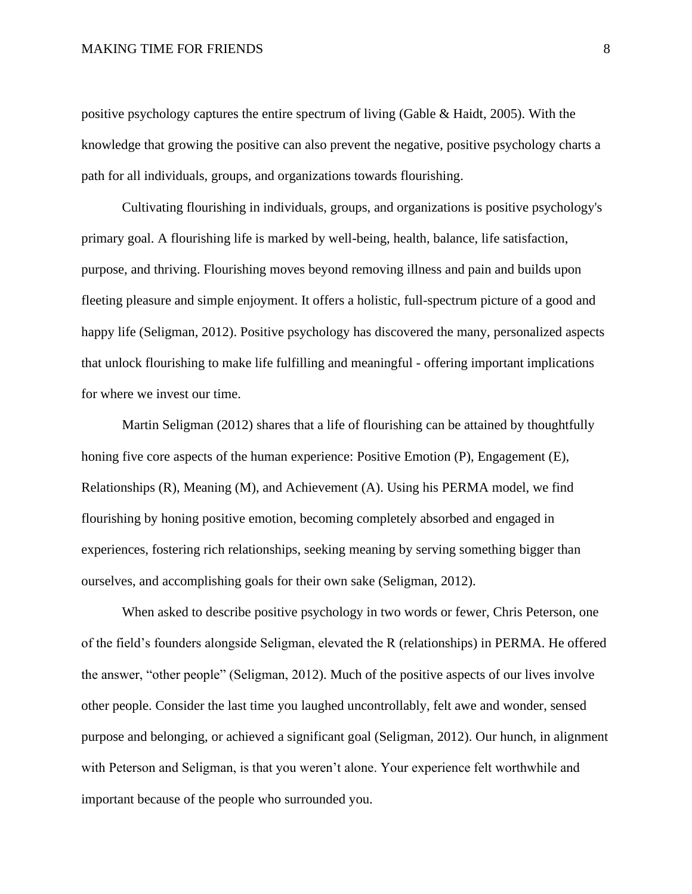#### MAKING TIME FOR FRIENDS 8

positive psychology captures the entire spectrum of living (Gable & Haidt, 2005). With the knowledge that growing the positive can also prevent the negative, positive psychology charts a path for all individuals, groups, and organizations towards flourishing.

Cultivating flourishing in individuals, groups, and organizations is positive psychology's primary goal. A flourishing life is marked by well-being, health, balance, life satisfaction, purpose, and thriving. Flourishing moves beyond removing illness and pain and builds upon fleeting pleasure and simple enjoyment. It offers a holistic, full-spectrum picture of a good and happy life (Seligman, 2012). Positive psychology has discovered the many, personalized aspects that unlock flourishing to make life fulfilling and meaningful - offering important implications for where we invest our time.

Martin Seligman (2012) shares that a life of flourishing can be attained by thoughtfully honing five core aspects of the human experience: Positive Emotion (P), Engagement (E), Relationships (R), Meaning (M), and Achievement (A). Using his PERMA model, we find flourishing by honing positive emotion, becoming completely absorbed and engaged in experiences, fostering rich relationships, seeking meaning by serving something bigger than ourselves, and accomplishing goals for their own sake (Seligman, 2012).

When asked to describe positive psychology in two words or fewer, Chris Peterson, one of the field's founders alongside Seligman, elevated the R (relationships) in PERMA. He offered the answer, "other people" (Seligman, 2012). Much of the positive aspects of our lives involve other people. Consider the last time you laughed uncontrollably, felt awe and wonder, sensed purpose and belonging, or achieved a significant goal (Seligman, 2012). Our hunch, in alignment with Peterson and Seligman, is that you weren't alone. Your experience felt worthwhile and important because of the people who surrounded you.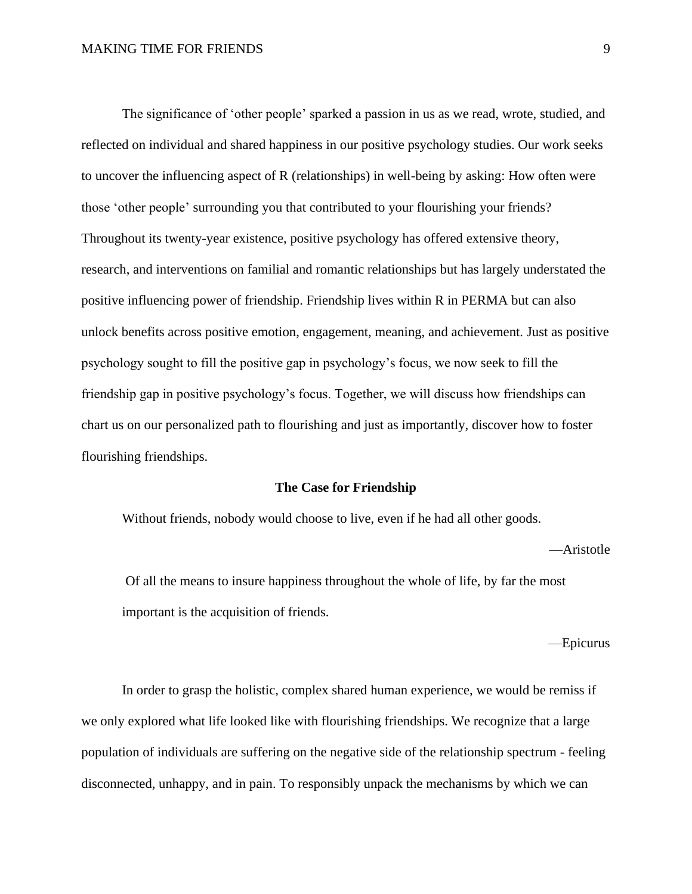The significance of 'other people' sparked a passion in us as we read, wrote, studied, and reflected on individual and shared happiness in our positive psychology studies. Our work seeks to uncover the influencing aspect of R (relationships) in well-being by asking: How often were those 'other people' surrounding you that contributed to your flourishing your friends? Throughout its twenty-year existence, positive psychology has offered extensive theory, research, and interventions on familial and romantic relationships but has largely understated the positive influencing power of friendship. Friendship lives within R in PERMA but can also unlock benefits across positive emotion, engagement, meaning, and achievement. Just as positive psychology sought to fill the positive gap in psychology's focus, we now seek to fill the friendship gap in positive psychology's focus. Together, we will discuss how friendships can chart us on our personalized path to flourishing and just as importantly, discover how to foster flourishing friendships.

#### **The Case for Friendship**

Without friends, nobody would choose to live, even if he had all other goods.

—Aristotle

Of all the means to insure happiness throughout the whole of life, by far the most important is the acquisition of friends.

—Epicurus

In order to grasp the holistic, complex shared human experience, we would be remiss if we only explored what life looked like with flourishing friendships. We recognize that a large population of individuals are suffering on the negative side of the relationship spectrum - feeling disconnected, unhappy, and in pain. To responsibly unpack the mechanisms by which we can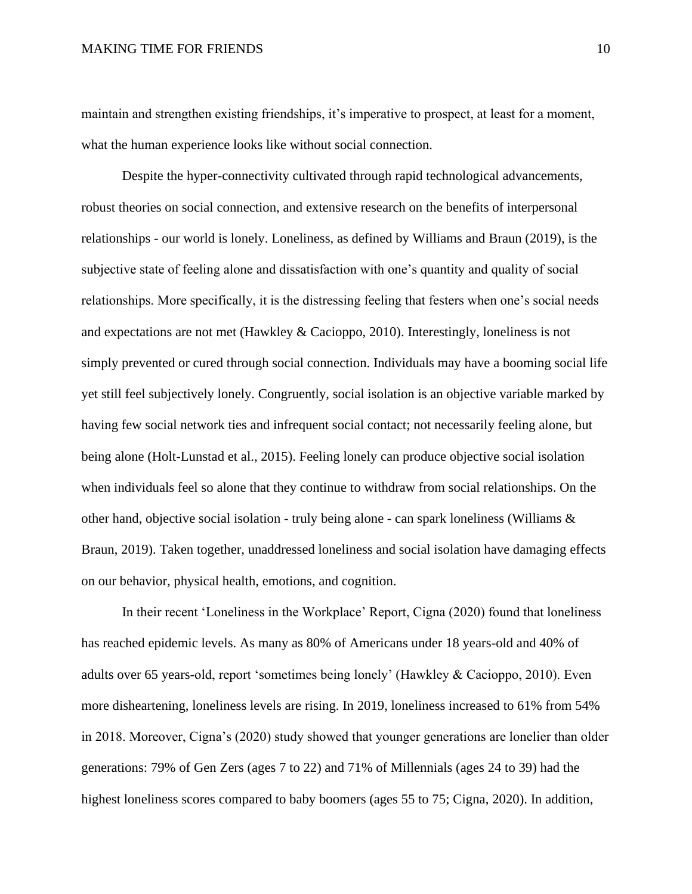maintain and strengthen existing friendships, it's imperative to prospect, at least for a moment, what the human experience looks like without social connection.

Despite the hyper-connectivity cultivated through rapid technological advancements, robust theories on social connection, and extensive research on the benefits of interpersonal relationships - our world is lonely. Loneliness, as defined by Williams and Braun (2019), is the subjective state of feeling alone and dissatisfaction with one's quantity and quality of social relationships. More specifically, it is the distressing feeling that festers when one's social needs and expectations are not met (Hawkley & Cacioppo, 2010). Interestingly, loneliness is not simply prevented or cured through social connection. Individuals may have a booming social life yet still feel subjectively lonely. Congruently, social isolation is an objective variable marked by having few social network ties and infrequent social contact; not necessarily feeling alone, but being alone (Holt-Lunstad et al., 2015). Feeling lonely can produce objective social isolation when individuals feel so alone that they continue to withdraw from social relationships. On the other hand, objective social isolation - truly being alone - can spark loneliness (Williams  $\&$ Braun, 2019). Taken together, unaddressed loneliness and social isolation have damaging effects on our behavior, physical health, emotions, and cognition.

In their recent 'Loneliness in the Workplace' Report, Cigna (2020) found that loneliness has reached epidemic levels. As many as 80% of Americans under 18 years-old and 40% of adults over 65 years-old, report 'sometimes being lonely' (Hawkley & Cacioppo, 2010). Even more disheartening, loneliness levels are rising. In 2019, loneliness increased to 61% from 54% in 2018. Moreover, Cigna's (2020) study showed that younger generations are lonelier than older generations: 79% of Gen Zers (ages 7 to 22) and 71% of Millennials (ages 24 to 39) had the highest loneliness scores compared to baby boomers (ages 55 to 75; Cigna, 2020). In addition,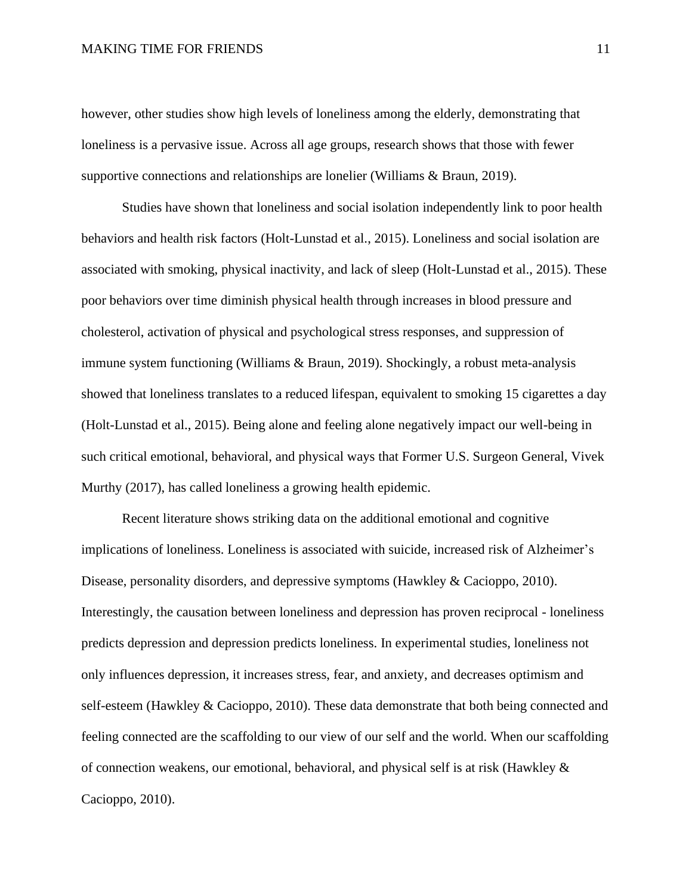#### MAKING TIME FOR FRIENDS 11

however, other studies show high levels of loneliness among the elderly, demonstrating that loneliness is a pervasive issue. Across all age groups, research shows that those with fewer supportive connections and relationships are lonelier (Williams & Braun, 2019).

Studies have shown that loneliness and social isolation independently link to poor health behaviors and health risk factors (Holt-Lunstad et al., 2015). Loneliness and social isolation are associated with smoking, physical inactivity, and lack of sleep (Holt-Lunstad et al., 2015). These poor behaviors over time diminish physical health through increases in blood pressure and cholesterol, activation of physical and psychological stress responses, and suppression of immune system functioning (Williams & Braun, 2019). Shockingly, a robust meta-analysis showed that loneliness translates to a reduced lifespan, equivalent to smoking 15 cigarettes a day (Holt-Lunstad et al., 2015). Being alone and feeling alone negatively impact our well-being in such critical emotional, behavioral, and physical ways that Former U.S. Surgeon General, Vivek Murthy (2017), has called loneliness a growing health epidemic.

Recent literature shows striking data on the additional emotional and cognitive implications of loneliness. Loneliness is associated with suicide, increased risk of Alzheimer's Disease, personality disorders, and depressive symptoms (Hawkley & Cacioppo, 2010). Interestingly, the causation between loneliness and depression has proven reciprocal - loneliness predicts depression and depression predicts loneliness. In experimental studies, loneliness not only influences depression, it increases stress, fear, and anxiety, and decreases optimism and self-esteem (Hawkley & Cacioppo, 2010). These data demonstrate that both being connected and feeling connected are the scaffolding to our view of our self and the world. When our scaffolding of connection weakens, our emotional, behavioral, and physical self is at risk (Hawkley & Cacioppo, 2010).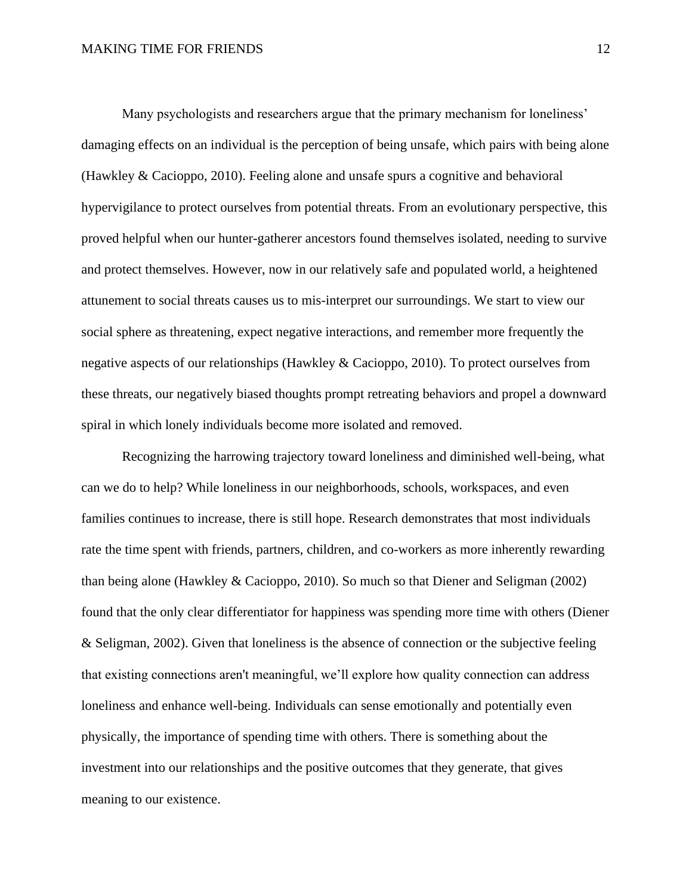Many psychologists and researchers argue that the primary mechanism for loneliness' damaging effects on an individual is the perception of being unsafe, which pairs with being alone (Hawkley & Cacioppo, 2010). Feeling alone and unsafe spurs a cognitive and behavioral hypervigilance to protect ourselves from potential threats. From an evolutionary perspective, this proved helpful when our hunter-gatherer ancestors found themselves isolated, needing to survive and protect themselves. However, now in our relatively safe and populated world, a heightened attunement to social threats causes us to mis-interpret our surroundings. We start to view our social sphere as threatening, expect negative interactions, and remember more frequently the negative aspects of our relationships (Hawkley & Cacioppo, 2010). To protect ourselves from these threats, our negatively biased thoughts prompt retreating behaviors and propel a downward spiral in which lonely individuals become more isolated and removed.

Recognizing the harrowing trajectory toward loneliness and diminished well-being, what can we do to help? While loneliness in our neighborhoods, schools, workspaces, and even families continues to increase, there is still hope. Research demonstrates that most individuals rate the time spent with friends, partners, children, and co-workers as more inherently rewarding than being alone (Hawkley & Cacioppo, 2010). So much so that Diener and Seligman (2002) found that the only clear differentiator for happiness was spending more time with others (Diener & Seligman, 2002). Given that loneliness is the absence of connection or the subjective feeling that existing connections aren't meaningful, we'll explore how quality connection can address loneliness and enhance well-being. Individuals can sense emotionally and potentially even physically, the importance of spending time with others. There is something about the investment into our relationships and the positive outcomes that they generate, that gives meaning to our existence.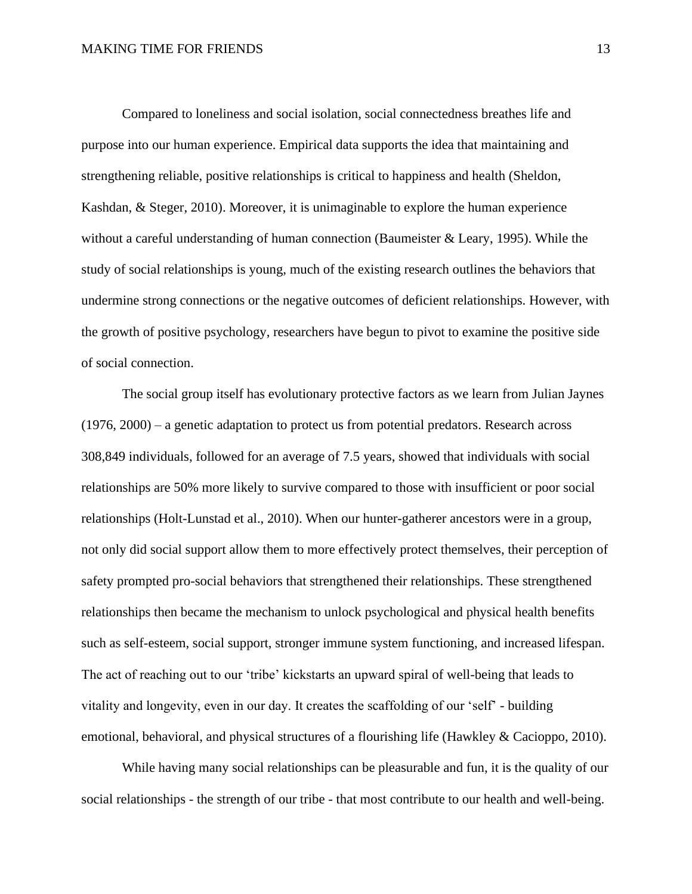Compared to loneliness and social isolation, social connectedness breathes life and purpose into our human experience. Empirical data supports the idea that maintaining and strengthening reliable, positive relationships is critical to happiness and health (Sheldon, Kashdan, & Steger, 2010). Moreover, it is unimaginable to explore the human experience without a careful understanding of human connection (Baumeister  $\&$  Leary, 1995). While the study of social relationships is young, much of the existing research outlines the behaviors that undermine strong connections or the negative outcomes of deficient relationships. However, with the growth of positive psychology, researchers have begun to pivot to examine the positive side of social connection.

The social group itself has evolutionary protective factors as we learn from Julian Jaynes (1976, 2000) – a genetic adaptation to protect us from potential predators. Research across 308,849 individuals, followed for an average of 7.5 years, showed that individuals with social relationships are 50% more likely to survive compared to those with insufficient or poor social relationships (Holt-Lunstad et al., 2010). When our hunter-gatherer ancestors were in a group, not only did social support allow them to more effectively protect themselves, their perception of safety prompted pro-social behaviors that strengthened their relationships. These strengthened relationships then became the mechanism to unlock psychological and physical health benefits such as self-esteem, social support, stronger immune system functioning, and increased lifespan. The act of reaching out to our 'tribe' kickstarts an upward spiral of well-being that leads to vitality and longevity, even in our day. It creates the scaffolding of our 'self' - building emotional, behavioral, and physical structures of a flourishing life (Hawkley & Cacioppo, 2010).

While having many social relationships can be pleasurable and fun, it is the quality of our social relationships - the strength of our tribe - that most contribute to our health and well-being.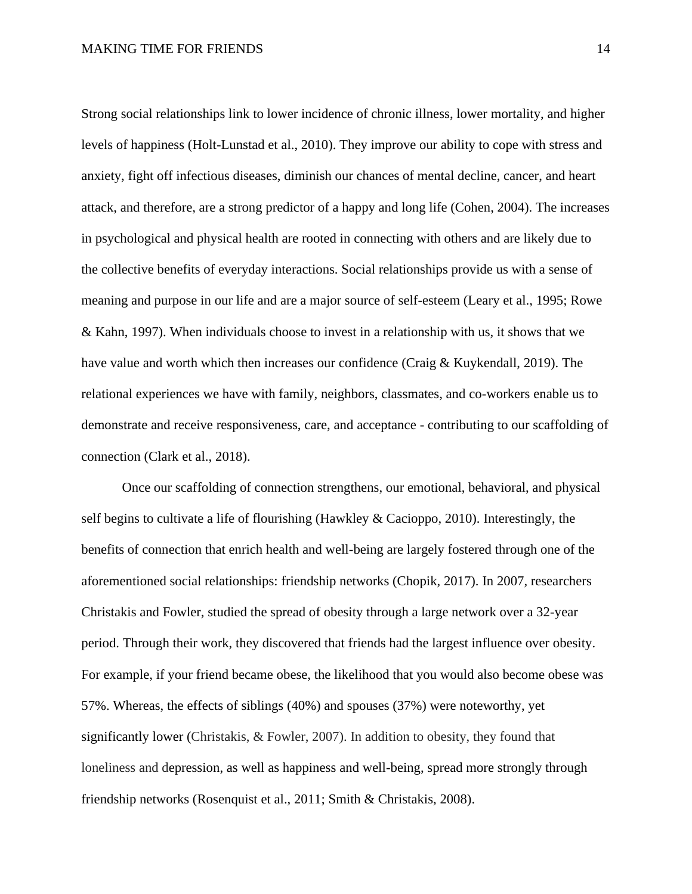Strong social relationships link to lower incidence of chronic illness, lower mortality, and higher levels of happiness (Holt-Lunstad et al., 2010). They improve our ability to cope with stress and anxiety, fight off infectious diseases, diminish our chances of mental decline, cancer, and heart attack, and therefore, are a strong predictor of a happy and long life (Cohen, 2004). The increases in psychological and physical health are rooted in connecting with others and are likely due to the collective benefits of everyday interactions. Social relationships provide us with a sense of meaning and purpose in our life and are a major source of self-esteem (Leary et al., 1995; Rowe & Kahn, 1997). When individuals choose to invest in a relationship with us, it shows that we have value and worth which then increases our confidence (Craig & Kuykendall, 2019). The relational experiences we have with family, neighbors, classmates, and co-workers enable us to demonstrate and receive responsiveness, care, and acceptance - contributing to our scaffolding of connection (Clark et al., 2018).

Once our scaffolding of connection strengthens, our emotional, behavioral, and physical self begins to cultivate a life of flourishing (Hawkley & Cacioppo, 2010). Interestingly, the benefits of connection that enrich health and well-being are largely fostered through one of the aforementioned social relationships: friendship networks (Chopik, 2017). In 2007, researchers Christakis and Fowler, studied the spread of obesity through a large network over a 32-year period. Through their work, they discovered that friends had the largest influence over obesity. For example, if your friend became obese, the likelihood that you would also become obese was 57%. Whereas, the effects of siblings (40%) and spouses (37%) were noteworthy, yet significantly lower (Christakis, & Fowler, 2007). In addition to obesity, they found that loneliness and depression, as well as happiness and well-being, spread more strongly through friendship networks (Rosenquist et al., 2011; Smith & Christakis, 2008).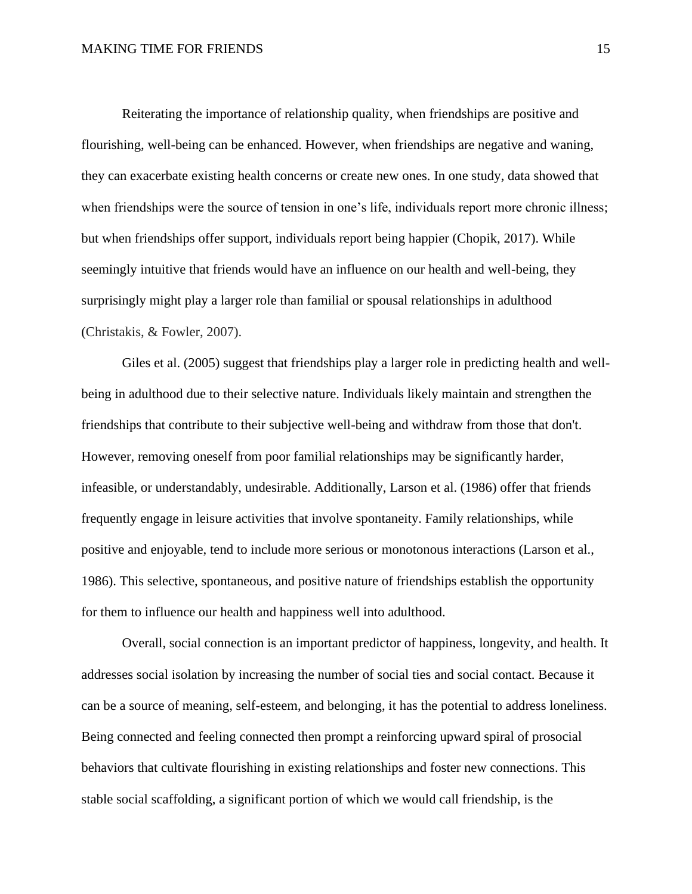Reiterating the importance of relationship quality, when friendships are positive and flourishing, well-being can be enhanced. However, when friendships are negative and waning, they can exacerbate existing health concerns or create new ones. In one study, data showed that when friendships were the source of tension in one's life, individuals report more chronic illness; but when friendships offer support, individuals report being happier (Chopik, 2017). While seemingly intuitive that friends would have an influence on our health and well-being, they surprisingly might play a larger role than familial or spousal relationships in adulthood (Christakis, & Fowler, 2007).

Giles et al. (2005) suggest that friendships play a larger role in predicting health and wellbeing in adulthood due to their selective nature. Individuals likely maintain and strengthen the friendships that contribute to their subjective well-being and withdraw from those that don't. However, removing oneself from poor familial relationships may be significantly harder, infeasible, or understandably, undesirable. Additionally, Larson et al. (1986) offer that friends frequently engage in leisure activities that involve spontaneity. Family relationships, while positive and enjoyable, tend to include more serious or monotonous interactions (Larson et al., 1986). This selective, spontaneous, and positive nature of friendships establish the opportunity for them to influence our health and happiness well into adulthood.

Overall, social connection is an important predictor of happiness, longevity, and health. It addresses social isolation by increasing the number of social ties and social contact. Because it can be a source of meaning, self-esteem, and belonging, it has the potential to address loneliness. Being connected and feeling connected then prompt a reinforcing upward spiral of prosocial behaviors that cultivate flourishing in existing relationships and foster new connections. This stable social scaffolding, a significant portion of which we would call friendship, is the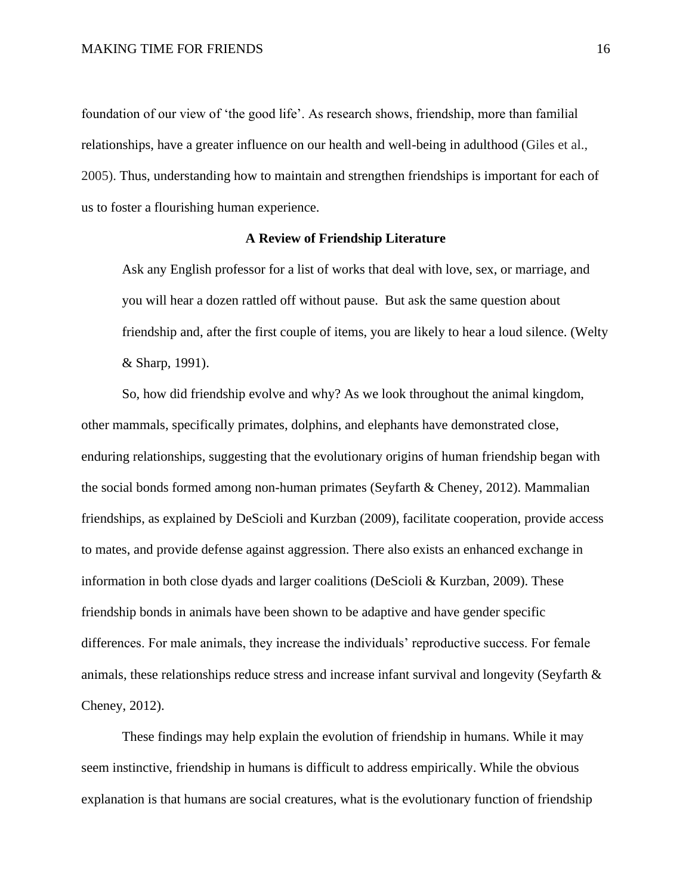foundation of our view of 'the good life'. As research shows, friendship, more than familial relationships, have a greater influence on our health and well-being in adulthood (Giles et al., 2005). Thus, understanding how to maintain and strengthen friendships is important for each of us to foster a flourishing human experience.

#### **A Review of Friendship Literature**

Ask any English professor for a list of works that deal with love, sex, or marriage, and you will hear a dozen rattled off without pause. But ask the same question about friendship and, after the first couple of items, you are likely to hear a loud silence. (Welty & Sharp, 1991).

So, how did friendship evolve and why? As we look throughout the animal kingdom, other mammals, specifically primates, dolphins, and elephants have demonstrated close, enduring relationships, suggesting that the evolutionary origins of human friendship began with the social bonds formed among non-human primates (Seyfarth & Cheney, 2012). Mammalian friendships, as explained by DeScioli and Kurzban (2009), facilitate cooperation, provide access to mates, and provide defense against aggression. There also exists an enhanced exchange in information in both close dyads and larger coalitions (DeScioli & Kurzban, 2009). These friendship bonds in animals have been shown to be adaptive and have gender specific differences. For male animals, they increase the individuals' reproductive success. For female animals, these relationships reduce stress and increase infant survival and longevity (Seyfarth & Cheney, 2012).

These findings may help explain the evolution of friendship in humans. While it may seem instinctive, friendship in humans is difficult to address empirically. While the obvious explanation is that humans are social creatures, what is the evolutionary function of friendship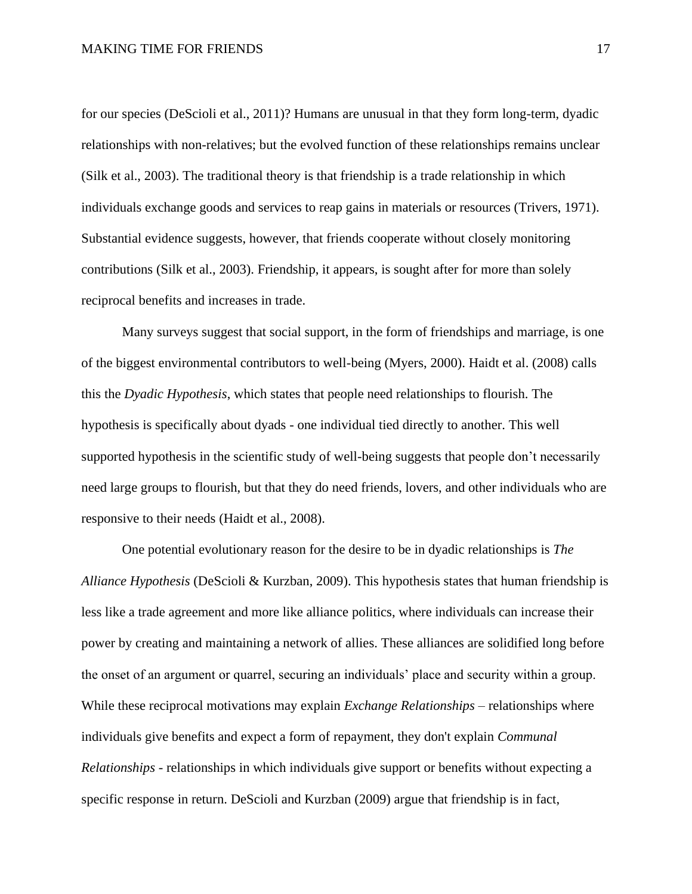for our species (DeScioli et al., 2011)? Humans are unusual in that they form long-term, dyadic relationships with non-relatives; but the evolved function of these relationships remains unclear (Silk et al., 2003). The traditional theory is that friendship is a trade relationship in which individuals exchange goods and services to reap gains in materials or resources (Trivers, 1971). Substantial evidence suggests, however, that friends cooperate without closely monitoring contributions (Silk et al., 2003). Friendship, it appears, is sought after for more than solely reciprocal benefits and increases in trade.

Many surveys suggest that social support, in the form of friendships and marriage, is one of the biggest environmental contributors to well-being (Myers, 2000). Haidt et al. (2008) calls this the *Dyadic Hypothesis*, which states that people need relationships to flourish. The hypothesis is specifically about dyads - one individual tied directly to another. This well supported hypothesis in the scientific study of well-being suggests that people don't necessarily need large groups to flourish, but that they do need friends, lovers, and other individuals who are responsive to their needs (Haidt et al., 2008).

 One potential evolutionary reason for the desire to be in dyadic relationships is *The Alliance Hypothesis* (DeScioli & Kurzban, 2009). This hypothesis states that human friendship is less like a trade agreement and more like alliance politics, where individuals can increase their power by creating and maintaining a network of allies. These alliances are solidified long before the onset of an argument or quarrel, securing an individuals' place and security within a group. While these reciprocal motivations may explain *Exchange Relationships* – relationships where individuals give benefits and expect a form of repayment, they don't explain *Communal Relationships* - relationships in which individuals give support or benefits without expecting a specific response in return. DeScioli and Kurzban (2009) argue that friendship is in fact,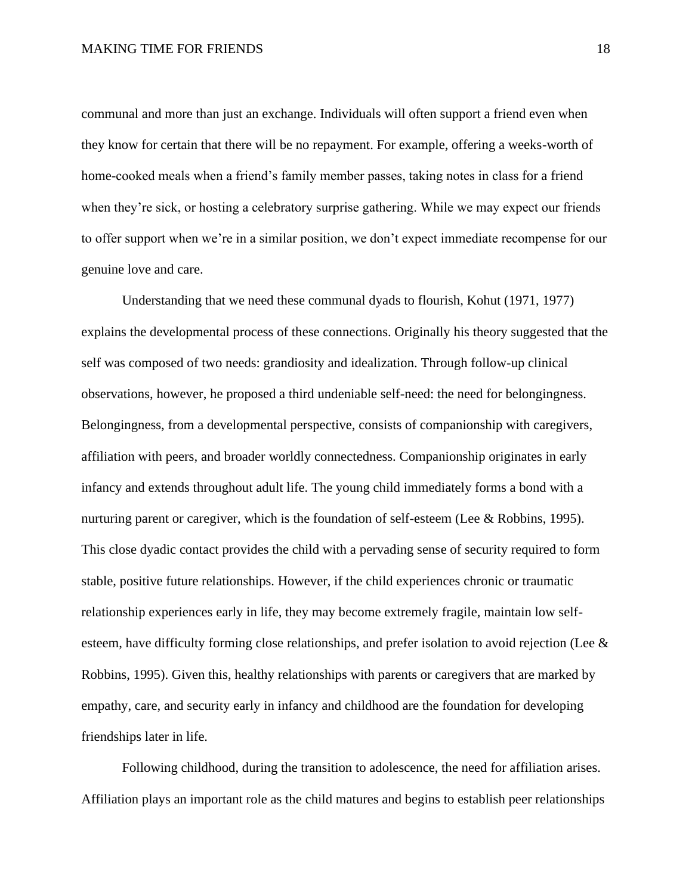communal and more than just an exchange. Individuals will often support a friend even when they know for certain that there will be no repayment. For example, offering a weeks-worth of home-cooked meals when a friend's family member passes, taking notes in class for a friend when they're sick, or hosting a celebratory surprise gathering. While we may expect our friends to offer support when we're in a similar position, we don't expect immediate recompense for our genuine love and care.

Understanding that we need these communal dyads to flourish, Kohut (1971, 1977) explains the developmental process of these connections. Originally his theory suggested that the self was composed of two needs: grandiosity and idealization. Through follow-up clinical observations, however, he proposed a third undeniable self-need: the need for belongingness. Belongingness, from a developmental perspective, consists of companionship with caregivers, affiliation with peers, and broader worldly connectedness. Companionship originates in early infancy and extends throughout adult life. The young child immediately forms a bond with a nurturing parent or caregiver, which is the foundation of self-esteem (Lee & Robbins, 1995). This close dyadic contact provides the child with a pervading sense of security required to form stable, positive future relationships. However, if the child experiences chronic or traumatic relationship experiences early in life, they may become extremely fragile, maintain low selfesteem, have difficulty forming close relationships, and prefer isolation to avoid rejection (Lee & Robbins, 1995). Given this, healthy relationships with parents or caregivers that are marked by empathy, care, and security early in infancy and childhood are the foundation for developing friendships later in life.

Following childhood, during the transition to adolescence, the need for affiliation arises. Affiliation plays an important role as the child matures and begins to establish peer relationships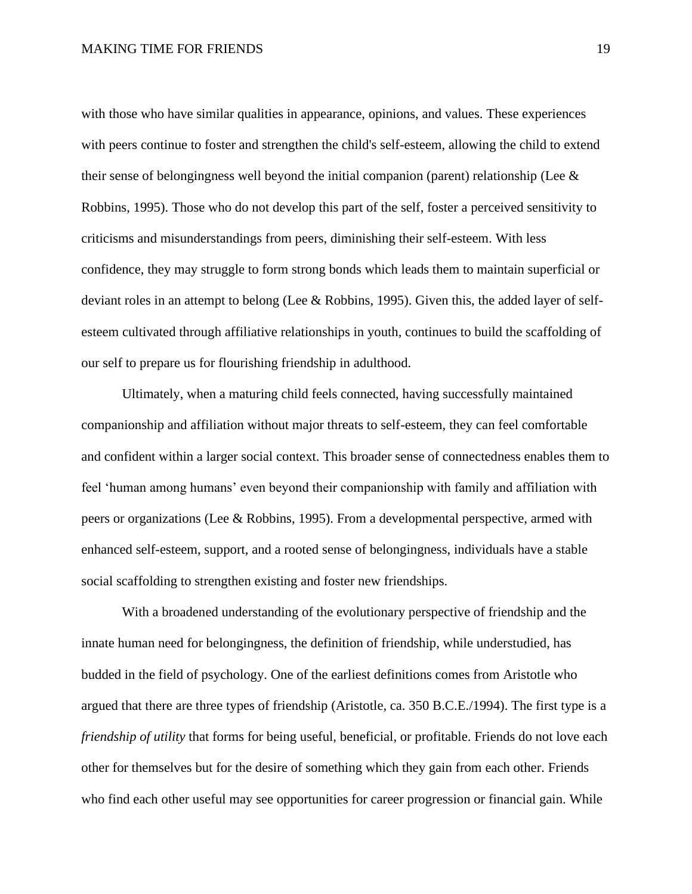with those who have similar qualities in appearance, opinions, and values. These experiences with peers continue to foster and strengthen the child's self-esteem, allowing the child to extend their sense of belongingness well beyond the initial companion (parent) relationship (Lee  $\&$ Robbins, 1995). Those who do not develop this part of the self, foster a perceived sensitivity to criticisms and misunderstandings from peers, diminishing their self-esteem. With less confidence, they may struggle to form strong bonds which leads them to maintain superficial or deviant roles in an attempt to belong (Lee & Robbins, 1995). Given this, the added layer of selfesteem cultivated through affiliative relationships in youth, continues to build the scaffolding of our self to prepare us for flourishing friendship in adulthood.

Ultimately, when a maturing child feels connected, having successfully maintained companionship and affiliation without major threats to self-esteem, they can feel comfortable and confident within a larger social context. This broader sense of connectedness enables them to feel 'human among humans' even beyond their companionship with family and affiliation with peers or organizations (Lee & Robbins, 1995). From a developmental perspective, armed with enhanced self-esteem, support, and a rooted sense of belongingness, individuals have a stable social scaffolding to strengthen existing and foster new friendships.

With a broadened understanding of the evolutionary perspective of friendship and the innate human need for belongingness, the definition of friendship, while understudied, has budded in the field of psychology. One of the earliest definitions comes from Aristotle who argued that there are three types of friendship (Aristotle, ca. 350 B.C.E./1994). The first type is a *friendship of utility* that forms for being useful, beneficial, or profitable. Friends do not love each other for themselves but for the desire of something which they gain from each other. Friends who find each other useful may see opportunities for career progression or financial gain. While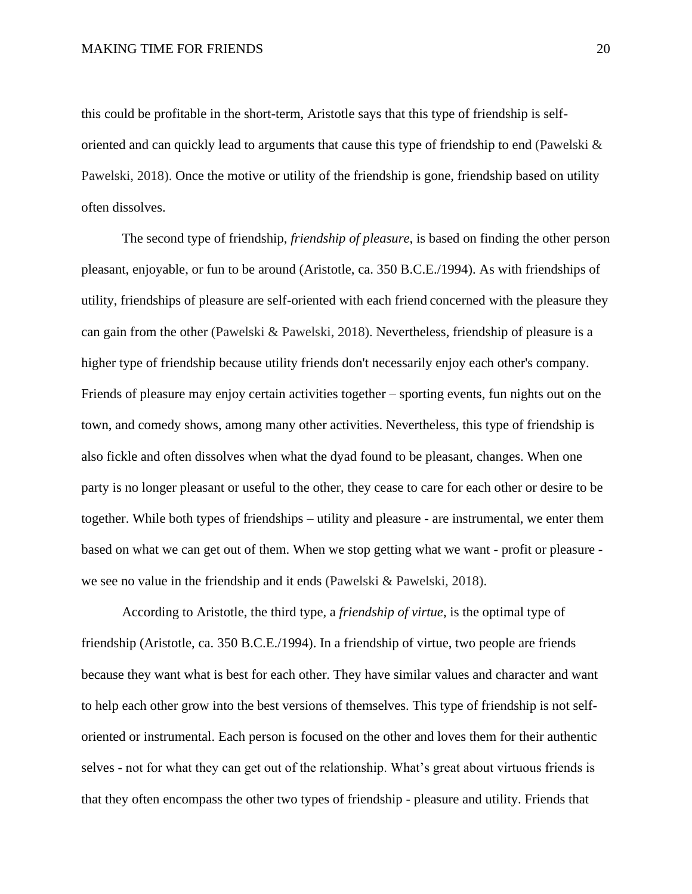this could be profitable in the short-term, Aristotle says that this type of friendship is selforiented and can quickly lead to arguments that cause this type of friendship to end (Pawelski & Pawelski, 2018). Once the motive or utility of the friendship is gone, friendship based on utility often dissolves.

The second type of friendship, *friendship of pleasure*, is based on finding the other person pleasant, enjoyable, or fun to be around (Aristotle, ca. 350 B.C.E./1994). As with friendships of utility, friendships of pleasure are self-oriented with each friend concerned with the pleasure they can gain from the other (Pawelski & Pawelski, 2018). Nevertheless, friendship of pleasure is a higher type of friendship because utility friends don't necessarily enjoy each other's company. Friends of pleasure may enjoy certain activities together – sporting events, fun nights out on the town, and comedy shows, among many other activities. Nevertheless, this type of friendship is also fickle and often dissolves when what the dyad found to be pleasant, changes. When one party is no longer pleasant or useful to the other, they cease to care for each other or desire to be together. While both types of friendships – utility and pleasure - are instrumental, we enter them based on what we can get out of them. When we stop getting what we want - profit or pleasure we see no value in the friendship and it ends (Pawelski & Pawelski, 2018).

According to Aristotle, the third type, a *friendship of virtue*, is the optimal type of friendship (Aristotle, ca. 350 B.C.E./1994). In a friendship of virtue, two people are friends because they want what is best for each other. They have similar values and character and want to help each other grow into the best versions of themselves. This type of friendship is not selforiented or instrumental. Each person is focused on the other and loves them for their authentic selves - not for what they can get out of the relationship. What's great about virtuous friends is that they often encompass the other two types of friendship - pleasure and utility. Friends that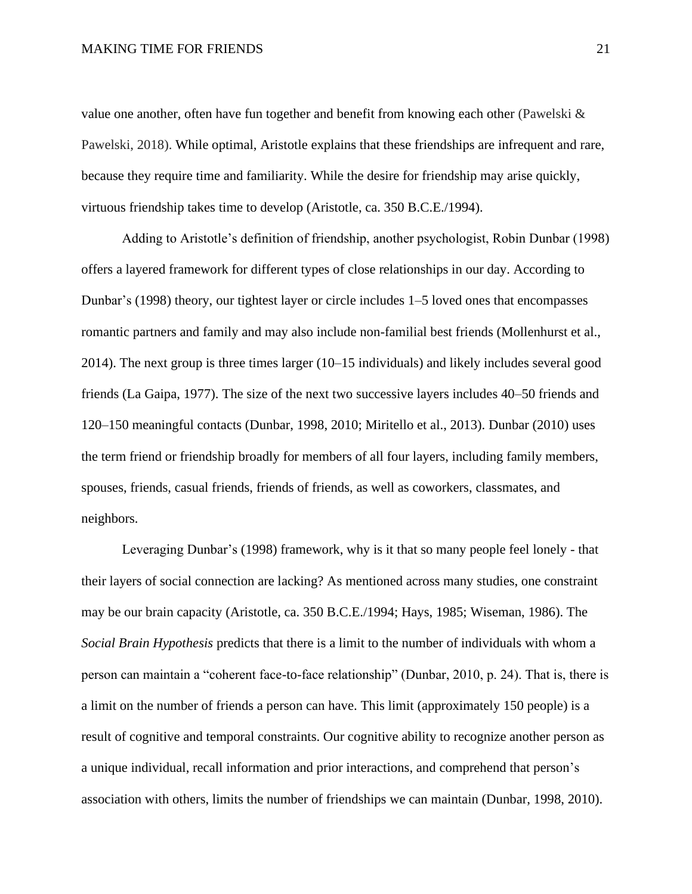value one another, often have fun together and benefit from knowing each other (Pawelski & Pawelski, 2018). While optimal, Aristotle explains that these friendships are infrequent and rare, because they require time and familiarity. While the desire for friendship may arise quickly, virtuous friendship takes time to develop (Aristotle, ca. 350 B.C.E./1994).

Adding to Aristotle's definition of friendship, another psychologist, Robin Dunbar (1998) offers a layered framework for different types of close relationships in our day. According to Dunbar's (1998) theory, our tightest layer or circle includes 1–5 loved ones that encompasses romantic partners and family and may also include non-familial best friends (Mollenhurst et al., 2014). The next group is three times larger (10–15 individuals) and likely includes several good friends (La Gaipa, 1977). The size of the next two successive layers includes 40–50 friends and 120–150 meaningful contacts (Dunbar, 1998, 2010; Miritello et al., 2013). Dunbar (2010) uses the term friend or friendship broadly for members of all four layers, including family members, spouses, friends, casual friends, friends of friends, as well as coworkers, classmates, and neighbors.

Leveraging Dunbar's (1998) framework, why is it that so many people feel lonely - that their layers of social connection are lacking? As mentioned across many studies, one constraint may be our brain capacity (Aristotle, ca. 350 B.C.E./1994; Hays, 1985; Wiseman, 1986). The *Social Brain Hypothesis* predicts that there is a limit to the number of individuals with whom a person can maintain a "coherent face-to-face relationship" (Dunbar, 2010, p. 24). That is, there is a limit on the number of friends a person can have. This limit (approximately 150 people) is a result of cognitive and temporal constraints. Our cognitive ability to recognize another person as a unique individual, recall information and prior interactions, and comprehend that person's association with others, limits the number of friendships we can maintain (Dunbar, 1998, 2010).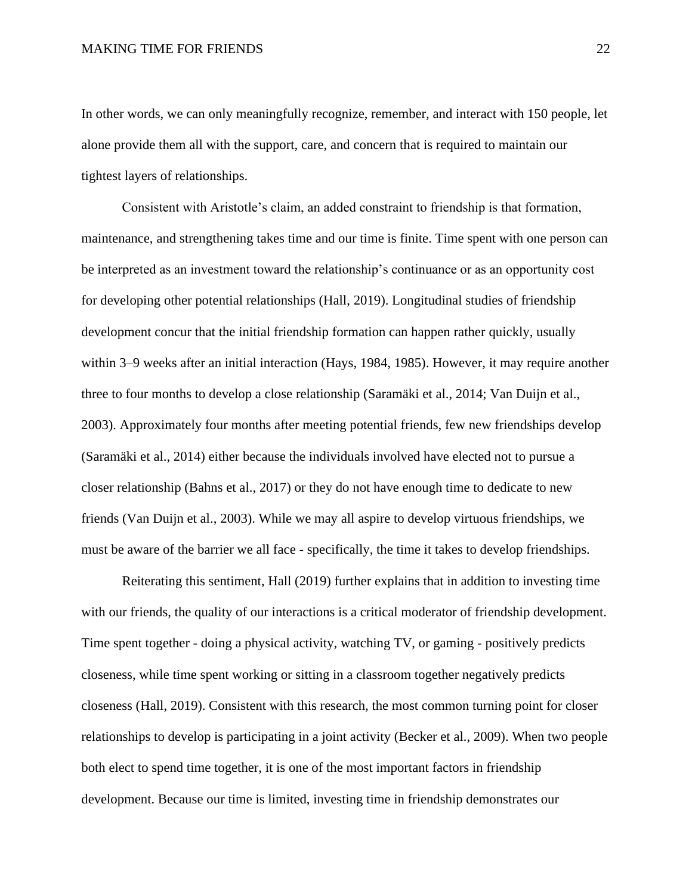In other words, we can only meaningfully recognize, remember, and interact with 150 people, let alone provide them all with the support, care, and concern that is required to maintain our tightest layers of relationships.

Consistent with Aristotle's claim, an added constraint to friendship is that formation, maintenance, and strengthening takes time and our time is finite. Time spent with one person can be interpreted as an investment toward the relationship's continuance or as an opportunity cost for developing other potential relationships (Hall, 2019). Longitudinal studies of friendship development concur that the initial friendship formation can happen rather quickly, usually within 3–9 weeks after an initial interaction (Hays, 1984, 1985). However, it may require another three to four months to develop a close relationship (Saramäki et al., 2014; Van Duijn et al., 2003). Approximately four months after meeting potential friends, few new friendships develop (Saramäki et al., 2014) either because the individuals involved have elected not to pursue a closer relationship (Bahns et al., 2017) or they do not have enough time to dedicate to new friends (Van Duijn et al., 2003). While we may all aspire to develop virtuous friendships, we must be aware of the barrier we all face - specifically, the time it takes to develop friendships.

Reiterating this sentiment, Hall (2019) further explains that in addition to investing time with our friends, the quality of our interactions is a critical moderator of friendship development. Time spent together - doing a physical activity, watching TV, or gaming - positively predicts closeness, while time spent working or sitting in a classroom together negatively predicts closeness (Hall, 2019). Consistent with this research, the most common turning point for closer relationships to develop is participating in a joint activity (Becker et al., 2009). When two people both elect to spend time together, it is one of the most important factors in friendship development. Because our time is limited, investing time in friendship demonstrates our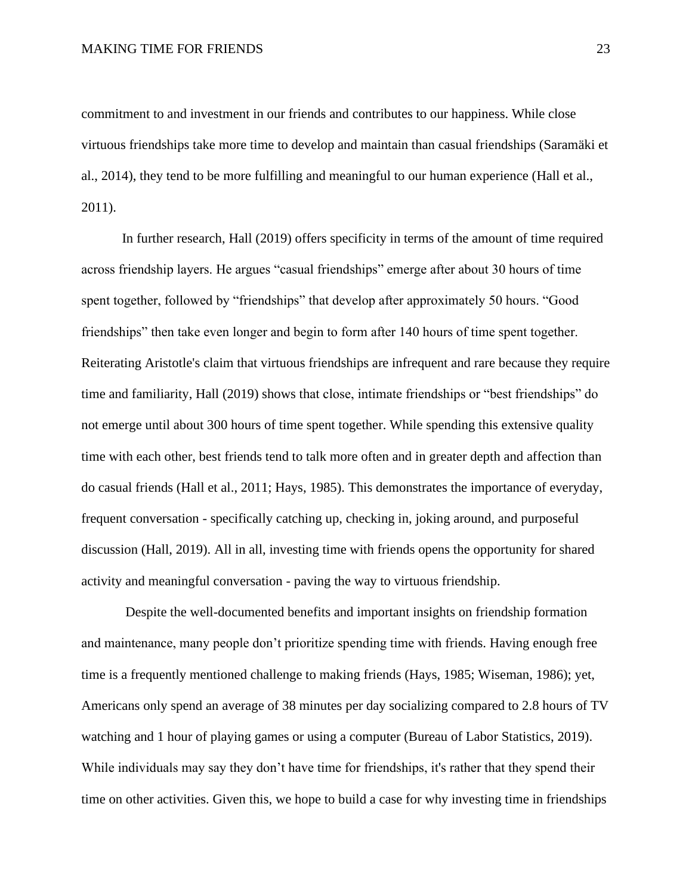commitment to and investment in our friends and contributes to our happiness. While close virtuous friendships take more time to develop and maintain than casual friendships (Saramäki et al., 2014), they tend to be more fulfilling and meaningful to our human experience (Hall et al., 2011).

In further research, Hall (2019) offers specificity in terms of the amount of time required across friendship layers. He argues "casual friendships" emerge after about 30 hours of time spent together, followed by "friendships" that develop after approximately 50 hours. "Good friendships" then take even longer and begin to form after 140 hours of time spent together. Reiterating Aristotle's claim that virtuous friendships are infrequent and rare because they require time and familiarity, Hall (2019) shows that close, intimate friendships or "best friendships" do not emerge until about 300 hours of time spent together. While spending this extensive quality time with each other, best friends tend to talk more often and in greater depth and affection than do casual friends (Hall et al., 2011; Hays, 1985). This demonstrates the importance of everyday, frequent conversation - specifically catching up, checking in, joking around, and purposeful discussion (Hall, 2019). All in all, investing time with friends opens the opportunity for shared activity and meaningful conversation - paving the way to virtuous friendship.

Despite the well-documented benefits and important insights on friendship formation and maintenance, many people don't prioritize spending time with friends. Having enough free time is a frequently mentioned challenge to making friends (Hays, 1985; Wiseman, 1986); yet, Americans only spend an average of 38 minutes per day socializing compared to 2.8 hours of TV watching and 1 hour of playing games or using a computer (Bureau of Labor Statistics, 2019). While individuals may say they don't have time for friendships, it's rather that they spend their time on other activities. Given this, we hope to build a case for why investing time in friendships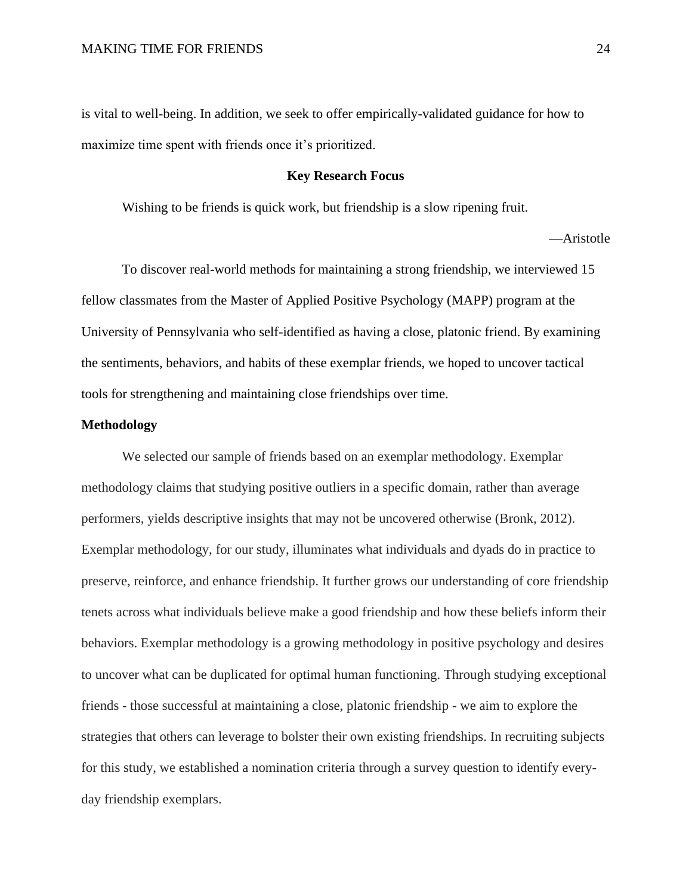is vital to well-being. In addition, we seek to offer empirically-validated guidance for how to maximize time spent with friends once it's prioritized.

#### **Key Research Focus**

Wishing to be friends is quick work, but friendship is a slow ripening fruit.

—Aristotle

To discover real-world methods for maintaining a strong friendship, we interviewed 15 fellow classmates from the Master of Applied Positive Psychology (MAPP) program at the University of Pennsylvania who self-identified as having a close, platonic friend. By examining the sentiments, behaviors, and habits of these exemplar friends, we hoped to uncover tactical tools for strengthening and maintaining close friendships over time.

#### **Methodology**

We selected our sample of friends based on an exemplar methodology. Exemplar methodology claims that studying positive outliers in a specific domain, rather than average performers, yields descriptive insights that may not be uncovered otherwise (Bronk, 2012). Exemplar methodology, for our study, illuminates what individuals and dyads do in practice to preserve, reinforce, and enhance friendship. It further grows our understanding of core friendship tenets across what individuals believe make a good friendship and how these beliefs inform their behaviors. Exemplar methodology is a growing methodology in positive psychology and desires to uncover what can be duplicated for optimal human functioning. Through studying exceptional friends - those successful at maintaining a close, platonic friendship - we aim to explore the strategies that others can leverage to bolster their own existing friendships. In recruiting subjects for this study, we established a nomination criteria through a survey question to identify everyday friendship exemplars.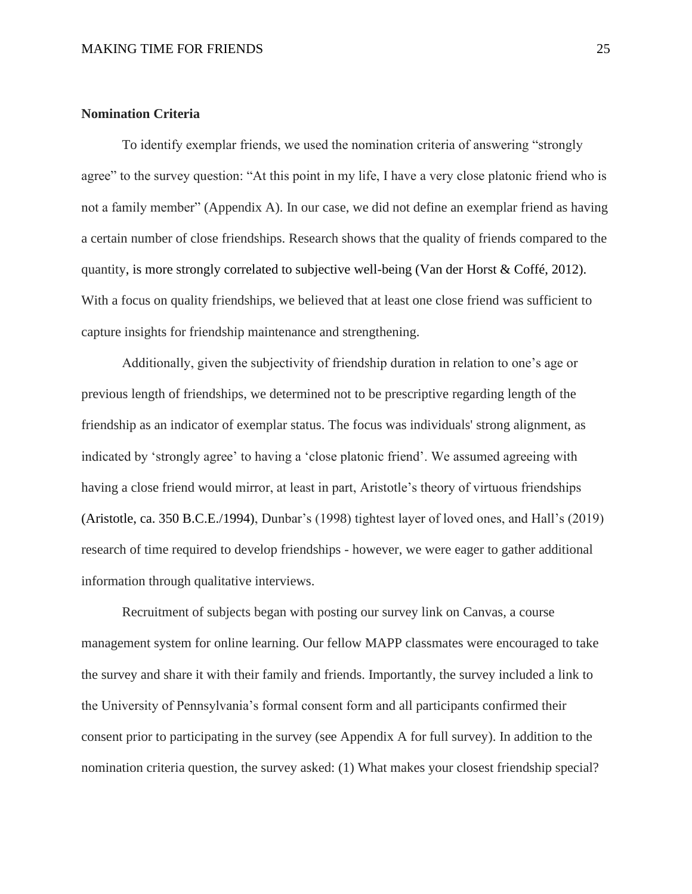# **Nomination Criteria**

To identify exemplar friends, we used the nomination criteria of answering "strongly agree" to the survey question: "At this point in my life, I have a very close platonic friend who is not a family member" (Appendix A). In our case, we did not define an exemplar friend as having a certain number of close friendships. Research shows that the quality of friends compared to the quantity, is more strongly correlated to subjective well-being (Van der Horst & Coffé, 2012). With a focus on quality friendships, we believed that at least one close friend was sufficient to capture insights for friendship maintenance and strengthening.

Additionally, given the subjectivity of friendship duration in relation to one's age or previous length of friendships, we determined not to be prescriptive regarding length of the friendship as an indicator of exemplar status. The focus was individuals' strong alignment, as indicated by 'strongly agree' to having a 'close platonic friend'. We assumed agreeing with having a close friend would mirror, at least in part, Aristotle's theory of virtuous friendships (Aristotle, ca. 350 B.C.E./1994), Dunbar's (1998) tightest layer of loved ones, and Hall's (2019) research of time required to develop friendships - however, we were eager to gather additional information through qualitative interviews.

Recruitment of subjects began with posting our survey link on Canvas, a course management system for online learning. Our fellow MAPP classmates were encouraged to take the survey and share it with their family and friends. Importantly, the survey included a link to the University of Pennsylvania's formal consent form and all participants confirmed their consent prior to participating in the survey (see Appendix A for full survey). In addition to the nomination criteria question, the survey asked: (1) What makes your closest friendship special?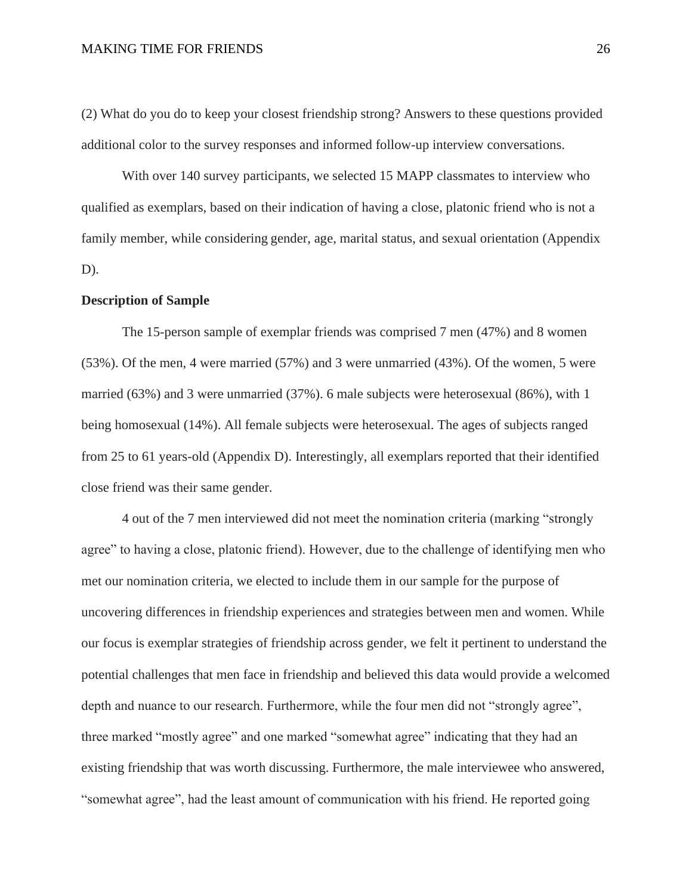(2) What do you do to keep your closest friendship strong? Answers to these questions provided additional color to the survey responses and informed follow-up interview conversations.

With over 140 survey participants, we selected 15 MAPP classmates to interview who qualified as exemplars, based on their indication of having a close, platonic friend who is not a family member, while considering gender, age, marital status, and sexual orientation (Appendix D).

#### **Description of Sample**

The 15-person sample of exemplar friends was comprised 7 men (47%) and 8 women (53%). Of the men, 4 were married (57%) and 3 were unmarried (43%). Of the women, 5 were married (63%) and 3 were unmarried (37%). 6 male subjects were heterosexual (86%), with 1 being homosexual (14%). All female subjects were heterosexual. The ages of subjects ranged from 25 to 61 years-old (Appendix D). Interestingly, all exemplars reported that their identified close friend was their same gender.

4 out of the 7 men interviewed did not meet the nomination criteria (marking "strongly agree" to having a close, platonic friend). However, due to the challenge of identifying men who met our nomination criteria, we elected to include them in our sample for the purpose of uncovering differences in friendship experiences and strategies between men and women. While our focus is exemplar strategies of friendship across gender, we felt it pertinent to understand the potential challenges that men face in friendship and believed this data would provide a welcomed depth and nuance to our research. Furthermore, while the four men did not "strongly agree", three marked "mostly agree" and one marked "somewhat agree" indicating that they had an existing friendship that was worth discussing. Furthermore, the male interviewee who answered, "somewhat agree", had the least amount of communication with his friend. He reported going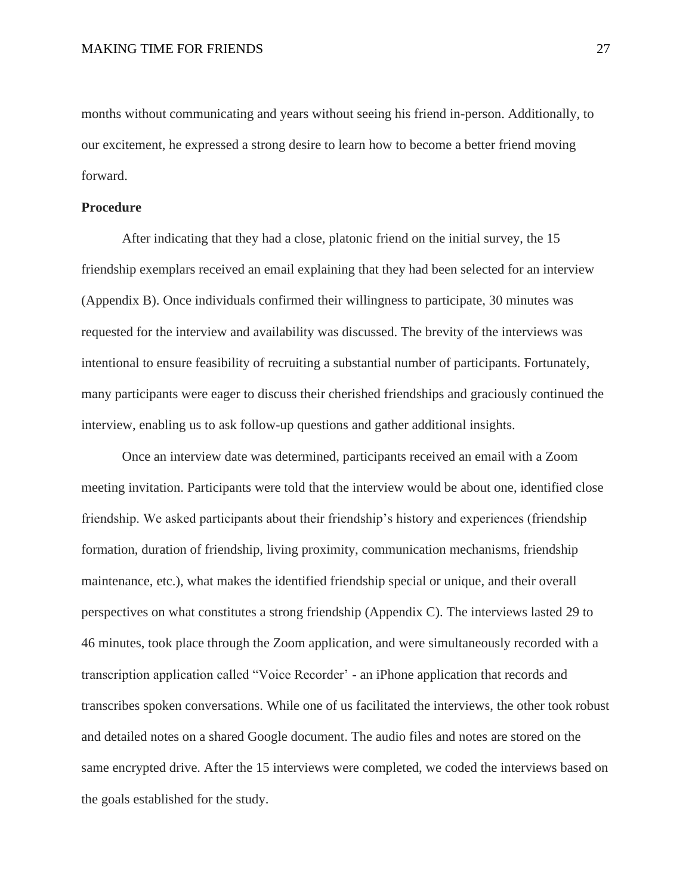months without communicating and years without seeing his friend in-person. Additionally, to our excitement, he expressed a strong desire to learn how to become a better friend moving forward.

### **Procedure**

After indicating that they had a close, platonic friend on the initial survey, the 15 friendship exemplars received an email explaining that they had been selected for an interview (Appendix B). Once individuals confirmed their willingness to participate, 30 minutes was requested for the interview and availability was discussed. The brevity of the interviews was intentional to ensure feasibility of recruiting a substantial number of participants. Fortunately, many participants were eager to discuss their cherished friendships and graciously continued the interview, enabling us to ask follow-up questions and gather additional insights.

Once an interview date was determined, participants received an email with a Zoom meeting invitation. Participants were told that the interview would be about one, identified close friendship. We asked participants about their friendship's history and experiences (friendship formation, duration of friendship, living proximity, communication mechanisms, friendship maintenance, etc.), what makes the identified friendship special or unique, and their overall perspectives on what constitutes a strong friendship (Appendix C). The interviews lasted 29 to 46 minutes, took place through the Zoom application, and were simultaneously recorded with a transcription application called "Voice Recorder' - an iPhone application that records and transcribes spoken conversations. While one of us facilitated the interviews, the other took robust and detailed notes on a shared Google document. The audio files and notes are stored on the same encrypted drive. After the 15 interviews were completed, we coded the interviews based on the goals established for the study.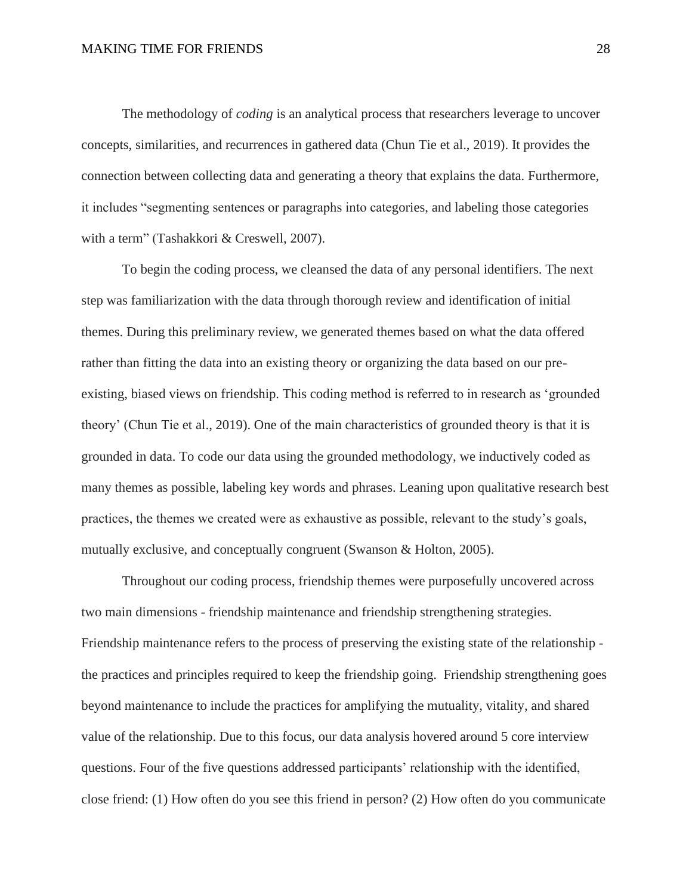The methodology of *coding* is an analytical process that researchers leverage to uncover concepts, similarities, and recurrences in gathered data (Chun Tie et al., 2019). It provides the connection between collecting data and generating a theory that explains the data. Furthermore, it includes "segmenting sentences or paragraphs into categories, and labeling those categories with a term" (Tashakkori & Creswell, 2007).

To begin the coding process, we cleansed the data of any personal identifiers. The next step was familiarization with the data through thorough review and identification of initial themes. During this preliminary review, we generated themes based on what the data offered rather than fitting the data into an existing theory or organizing the data based on our preexisting, biased views on friendship. This coding method is referred to in research as 'grounded theory' (Chun Tie et al., 2019). One of the main characteristics of grounded theory is that it is grounded in data. To code our data using the grounded methodology, we inductively coded as many themes as possible, labeling key words and phrases. Leaning upon qualitative research best practices, the themes we created were as exhaustive as possible, relevant to the study's goals, mutually exclusive, and conceptually congruent (Swanson & Holton, 2005).

Throughout our coding process, friendship themes were purposefully uncovered across two main dimensions - friendship maintenance and friendship strengthening strategies. Friendship maintenance refers to the process of preserving the existing state of the relationship the practices and principles required to keep the friendship going. Friendship strengthening goes beyond maintenance to include the practices for amplifying the mutuality, vitality, and shared value of the relationship. Due to this focus, our data analysis hovered around 5 core interview questions. Four of the five questions addressed participants' relationship with the identified, close friend: (1) How often do you see this friend in person? (2) How often do you communicate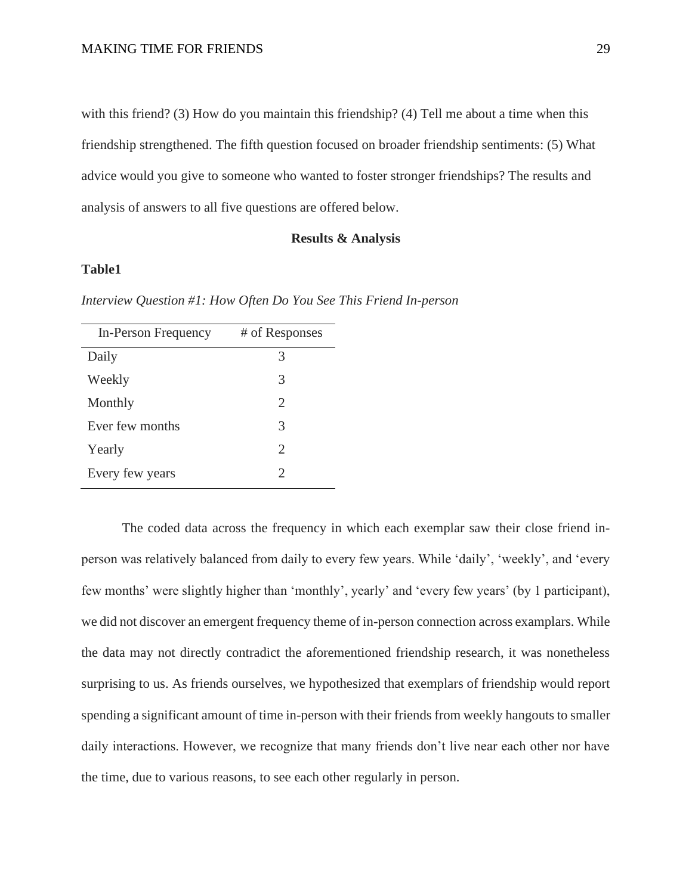with this friend? (3) How do you maintain this friendship? (4) Tell me about a time when this friendship strengthened. The fifth question focused on broader friendship sentiments: (5) What advice would you give to someone who wanted to foster stronger friendships? The results and analysis of answers to all five questions are offered below.

#### **Results & Analysis**

# **Table1**

*Interview Question #1: How Often Do You See This Friend In-person*

| In-Person Frequency | # of Responses              |
|---------------------|-----------------------------|
| Daily               | 3                           |
| Weekly              | 3                           |
| Monthly             | 2                           |
| Ever few months     | 3                           |
| Yearly              | $\mathcal{D}_{\cdot}$       |
| Every few years     | $\mathcal{D}_{\mathcal{A}}$ |

The coded data across the frequency in which each exemplar saw their close friend inperson was relatively balanced from daily to every few years. While 'daily', 'weekly', and 'every few months' were slightly higher than 'monthly', yearly' and 'every few years' (by 1 participant), we did not discover an emergent frequency theme of in-person connection across examplars. While the data may not directly contradict the aforementioned friendship research, it was nonetheless surprising to us. As friends ourselves, we hypothesized that exemplars of friendship would report spending a significant amount of time in-person with their friends from weekly hangouts to smaller daily interactions. However, we recognize that many friends don't live near each other nor have the time, due to various reasons, to see each other regularly in person.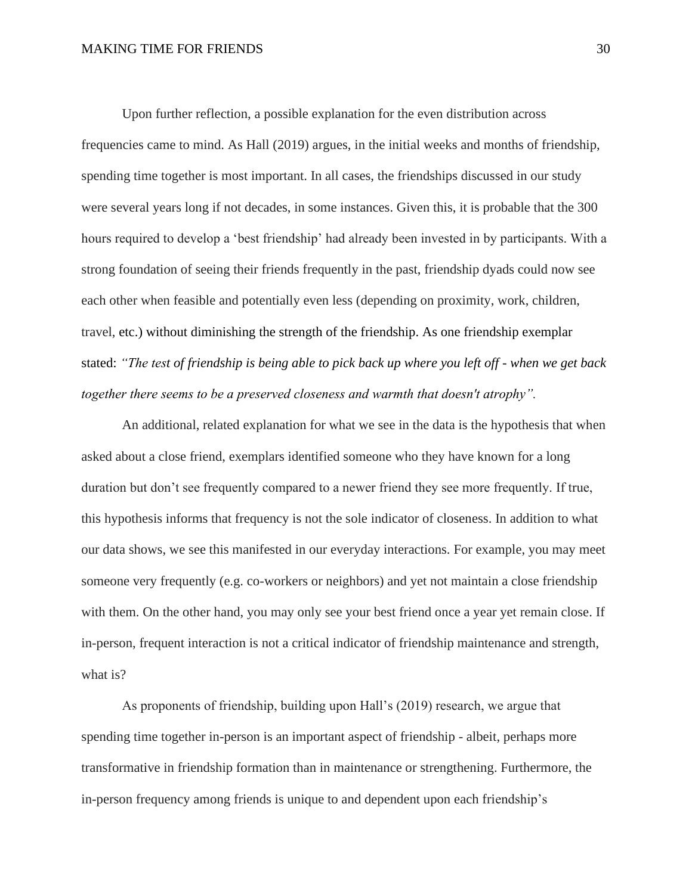#### MAKING TIME FOR FRIENDS 30

Upon further reflection, a possible explanation for the even distribution across frequencies came to mind. As Hall (2019) argues, in the initial weeks and months of friendship, spending time together is most important. In all cases, the friendships discussed in our study were several years long if not decades, in some instances. Given this, it is probable that the 300 hours required to develop a 'best friendship' had already been invested in by participants. With a strong foundation of seeing their friends frequently in the past, friendship dyads could now see each other when feasible and potentially even less (depending on proximity, work, children, travel, etc.) without diminishing the strength of the friendship. As one friendship exemplar stated: *"The test of friendship is being able to pick back up where you left off - when we get back together there seems to be a preserved closeness and warmth that doesn't atrophy".* 

An additional, related explanation for what we see in the data is the hypothesis that when asked about a close friend, exemplars identified someone who they have known for a long duration but don't see frequently compared to a newer friend they see more frequently. If true, this hypothesis informs that frequency is not the sole indicator of closeness. In addition to what our data shows, we see this manifested in our everyday interactions. For example, you may meet someone very frequently (e.g. co-workers or neighbors) and yet not maintain a close friendship with them. On the other hand, you may only see your best friend once a year yet remain close. If in-person, frequent interaction is not a critical indicator of friendship maintenance and strength, what is?

As proponents of friendship, building upon Hall's (2019) research, we argue that spending time together in-person is an important aspect of friendship - albeit, perhaps more transformative in friendship formation than in maintenance or strengthening. Furthermore, the in-person frequency among friends is unique to and dependent upon each friendship's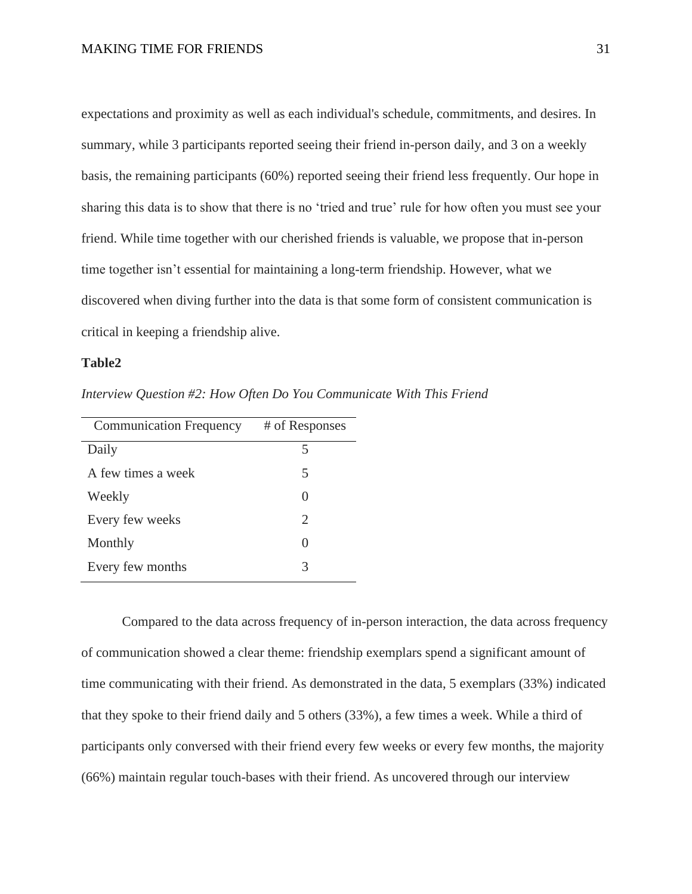expectations and proximity as well as each individual's schedule, commitments, and desires. In summary, while 3 participants reported seeing their friend in-person daily, and 3 on a weekly basis, the remaining participants (60%) reported seeing their friend less frequently. Our hope in sharing this data is to show that there is no 'tried and true' rule for how often you must see your friend. While time together with our cherished friends is valuable, we propose that in-person time together isn't essential for maintaining a long-term friendship. However, what we discovered when diving further into the data is that some form of consistent communication is critical in keeping a friendship alive.

# **Table2**

*Interview Question #2: How Often Do You Communicate With This Friend*

| <b>Communication Frequency</b> | # of Responses        |
|--------------------------------|-----------------------|
| Daily                          |                       |
| A few times a week             | 5                     |
| Weekly                         |                       |
| Every few weeks                | $\mathcal{D}_{\cdot}$ |
| Monthly                        |                       |
| Every few months               | 3                     |

Compared to the data across frequency of in-person interaction, the data across frequency of communication showed a clear theme: friendship exemplars spend a significant amount of time communicating with their friend. As demonstrated in the data, 5 exemplars (33%) indicated that they spoke to their friend daily and 5 others (33%), a few times a week. While a third of participants only conversed with their friend every few weeks or every few months, the majority (66%) maintain regular touch-bases with their friend. As uncovered through our interview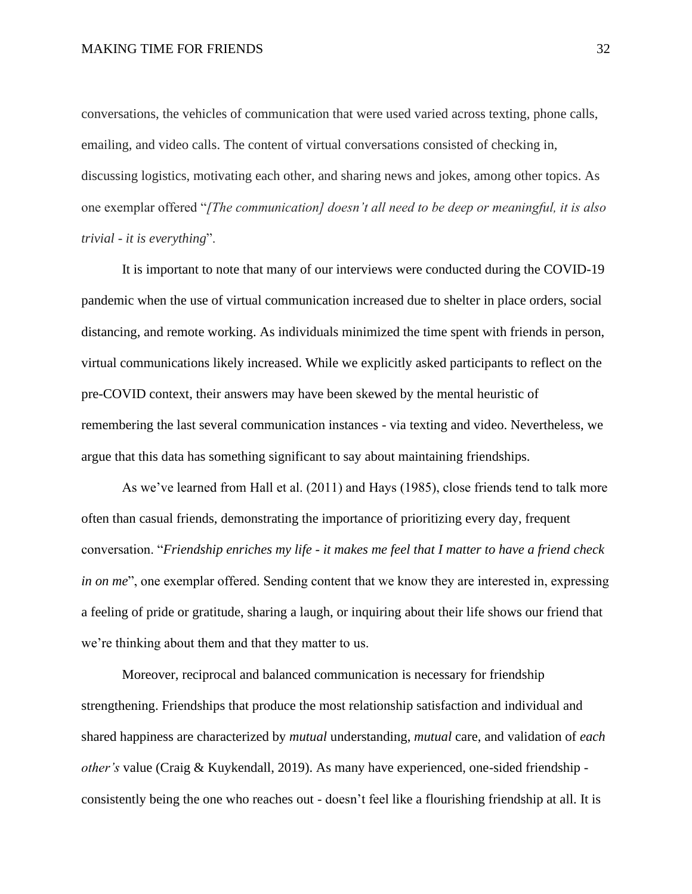#### MAKING TIME FOR FRIENDS 32

conversations, the vehicles of communication that were used varied across texting, phone calls, emailing, and video calls. The content of virtual conversations consisted of checking in, discussing logistics, motivating each other, and sharing news and jokes, among other topics. As one exemplar offered "*[The communication] doesn't all need to be deep or meaningful, it is also trivial - it is everything*".

It is important to note that many of our interviews were conducted during the COVID-19 pandemic when the use of virtual communication increased due to shelter in place orders, social distancing, and remote working. As individuals minimized the time spent with friends in person, virtual communications likely increased. While we explicitly asked participants to reflect on the pre-COVID context, their answers may have been skewed by the mental heuristic of remembering the last several communication instances - via texting and video. Nevertheless, we argue that this data has something significant to say about maintaining friendships.

As we've learned from Hall et al. (2011) and Hays (1985), close friends tend to talk more often than casual friends, demonstrating the importance of prioritizing every day, frequent conversation. "*Friendship enriches my life - it makes me feel that I matter to have a friend check in on me*", one exemplar offered. Sending content that we know they are interested in, expressing a feeling of pride or gratitude, sharing a laugh, or inquiring about their life shows our friend that we're thinking about them and that they matter to us.

Moreover, reciprocal and balanced communication is necessary for friendship strengthening. Friendships that produce the most relationship satisfaction and individual and shared happiness are characterized by *mutual* understanding, *mutual* care, and validation of *each other's* value (Craig & Kuykendall, 2019). As many have experienced, one-sided friendship consistently being the one who reaches out - doesn't feel like a flourishing friendship at all. It is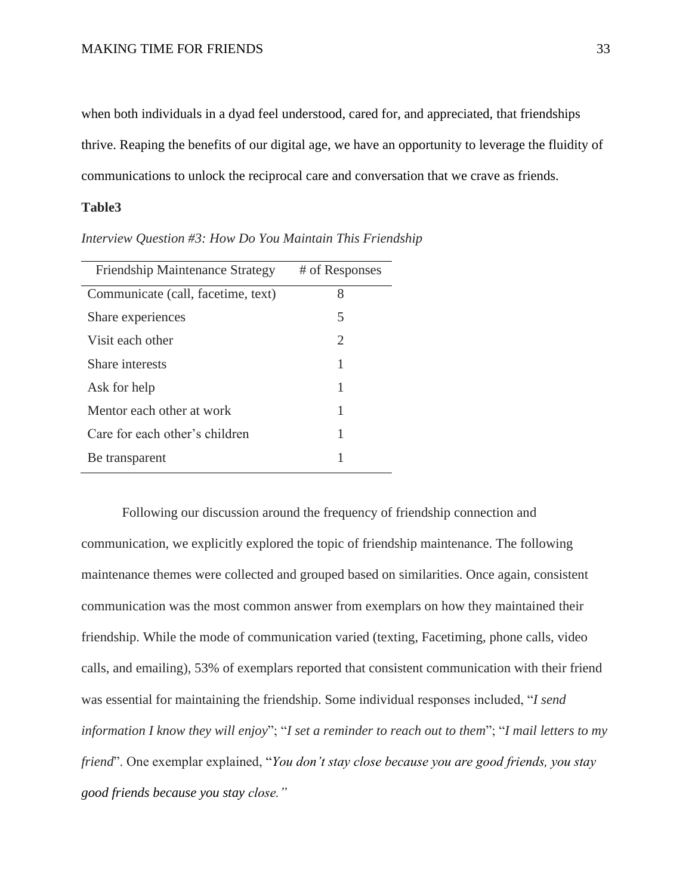when both individuals in a dyad feel understood, cared for, and appreciated, that friendships thrive. Reaping the benefits of our digital age, we have an opportunity to leverage the fluidity of communications to unlock the reciprocal care and conversation that we crave as friends.

# **Table3**

| <b>Friendship Maintenance Strategy</b> | # of Responses |
|----------------------------------------|----------------|
| Communicate (call, facetime, text)     | 8              |
| Share experiences                      | 5              |
| Visit each other                       | 2              |
| Share interests                        | 1              |
| Ask for help                           | 1              |
| Mentor each other at work              | 1              |
| Care for each other's children         | 1              |
| Be transparent                         |                |

*Interview Question #3: How Do You Maintain This Friendship* 

Following our discussion around the frequency of friendship connection and communication, we explicitly explored the topic of friendship maintenance. The following maintenance themes were collected and grouped based on similarities. Once again, consistent communication was the most common answer from exemplars on how they maintained their friendship. While the mode of communication varied (texting, Facetiming, phone calls, video calls, and emailing), 53% of exemplars reported that consistent communication with their friend was essential for maintaining the friendship. Some individual responses included, "*I send information I know they will enjoy*"; "*I set a reminder to reach out to them*"; "*I mail letters to my friend*". One exemplar explained, "*You don't stay close because you are good friends, you stay good friends because you stay close."*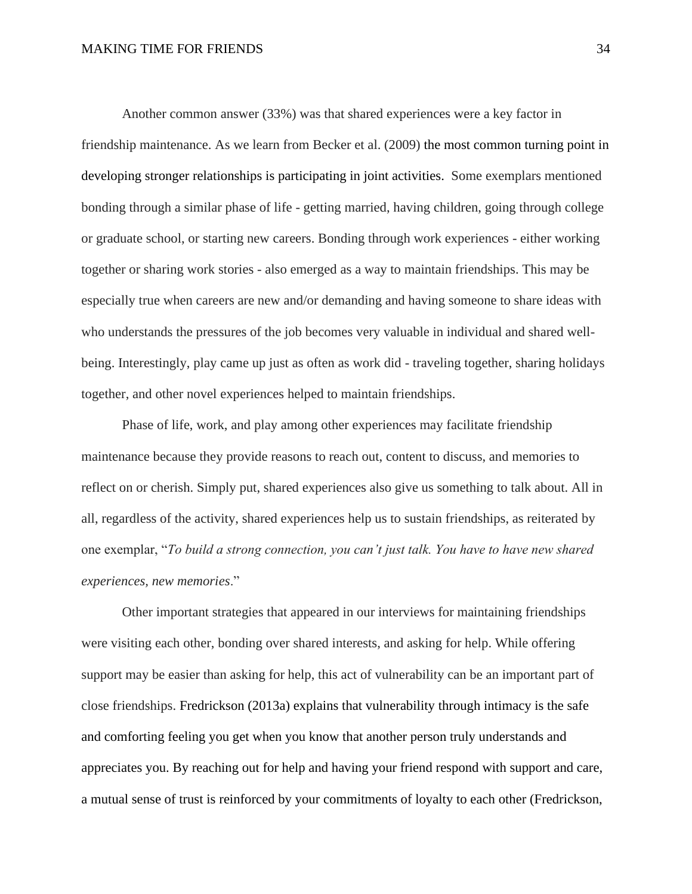#### MAKING TIME FOR FRIENDS 34

Another common answer (33%) was that shared experiences were a key factor in friendship maintenance. As we learn from Becker et al. (2009) the most common turning point in developing stronger relationships is participating in joint activities. Some exemplars mentioned bonding through a similar phase of life - getting married, having children, going through college or graduate school, or starting new careers. Bonding through work experiences - either working together or sharing work stories - also emerged as a way to maintain friendships. This may be especially true when careers are new and/or demanding and having someone to share ideas with who understands the pressures of the job becomes very valuable in individual and shared wellbeing. Interestingly, play came up just as often as work did - traveling together, sharing holidays together, and other novel experiences helped to maintain friendships.

Phase of life, work, and play among other experiences may facilitate friendship maintenance because they provide reasons to reach out, content to discuss, and memories to reflect on or cherish. Simply put, shared experiences also give us something to talk about. All in all, regardless of the activity, shared experiences help us to sustain friendships, as reiterated by one exemplar, "*To build a strong connection, you can't just talk. You have to have new shared experiences, new memories*."

Other important strategies that appeared in our interviews for maintaining friendships were visiting each other, bonding over shared interests, and asking for help. While offering support may be easier than asking for help, this act of vulnerability can be an important part of close friendships. Fredrickson (2013a) explains that vulnerability through intimacy is the safe and comforting feeling you get when you know that another person truly understands and appreciates you. By reaching out for help and having your friend respond with support and care, a mutual sense of trust is reinforced by your commitments of loyalty to each other (Fredrickson,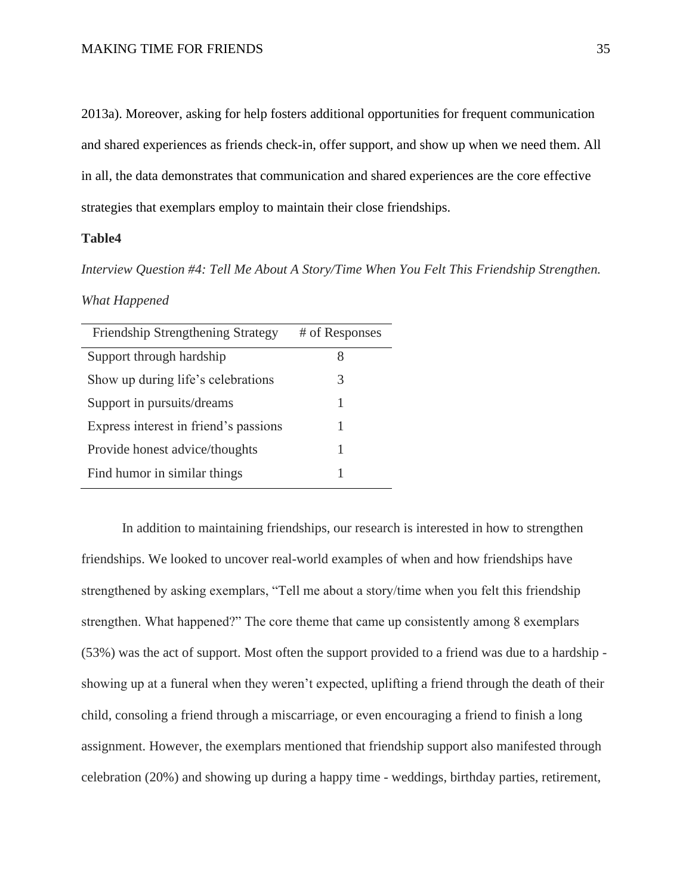2013a). Moreover, asking for help fosters additional opportunities for frequent communication and shared experiences as friends check-in, offer support, and show up when we need them. All in all, the data demonstrates that communication and shared experiences are the core effective strategies that exemplars employ to maintain their close friendships.

### **Table4**

*Interview Question #4: Tell Me About A Story/Time When You Felt This Friendship Strengthen.* 

#### *What Happened*

| <b>Friendship Strengthening Strategy</b> | # of Responses |
|------------------------------------------|----------------|
| Support through hardship                 |                |
| Show up during life's celebrations       | 3              |
| Support in pursuits/dreams               |                |
| Express interest in friend's passions    |                |
| Provide honest advice/thoughts           |                |
| Find humor in similar things             |                |

In addition to maintaining friendships, our research is interested in how to strengthen friendships. We looked to uncover real-world examples of when and how friendships have strengthened by asking exemplars, "Tell me about a story/time when you felt this friendship strengthen. What happened?" The core theme that came up consistently among 8 exemplars (53%) was the act of support. Most often the support provided to a friend was due to a hardship showing up at a funeral when they weren't expected, uplifting a friend through the death of their child, consoling a friend through a miscarriage, or even encouraging a friend to finish a long assignment. However, the exemplars mentioned that friendship support also manifested through celebration (20%) and showing up during a happy time - weddings, birthday parties, retirement,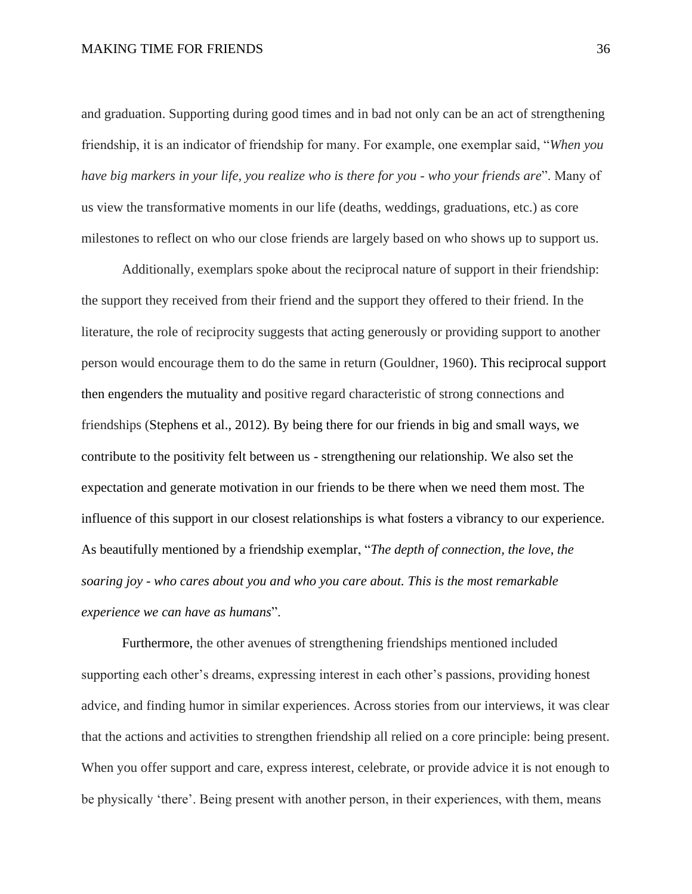and graduation. Supporting during good times and in bad not only can be an act of strengthening friendship, it is an indicator of friendship for many. For example, one exemplar said, "*When you have big markers in your life, you realize who is there for you - who your friends are*". Many of us view the transformative moments in our life (deaths, weddings, graduations, etc.) as core milestones to reflect on who our close friends are largely based on who shows up to support us.

Additionally, exemplars spoke about the reciprocal nature of support in their friendship: the support they received from their friend and the support they offered to their friend. In the literature, the role of reciprocity suggests that acting generously or providing support to another person would encourage them to do the same in return (Gouldner, 1960). This reciprocal support then engenders the mutuality and positive regard characteristic of strong connections and friendships (Stephens et al., 2012). By being there for our friends in big and small ways, we contribute to the positivity felt between us - strengthening our relationship. We also set the expectation and generate motivation in our friends to be there when we need them most. The influence of this support in our closest relationships is what fosters a vibrancy to our experience. As beautifully mentioned by a friendship exemplar, "*The depth of connection, the love, the soaring joy - who cares about you and who you care about. This is the most remarkable experience we can have as humans*".

Furthermore, the other avenues of strengthening friendships mentioned included supporting each other's dreams, expressing interest in each other's passions, providing honest advice, and finding humor in similar experiences. Across stories from our interviews, it was clear that the actions and activities to strengthen friendship all relied on a core principle: being present. When you offer support and care, express interest, celebrate, or provide advice it is not enough to be physically 'there'. Being present with another person, in their experiences, with them, means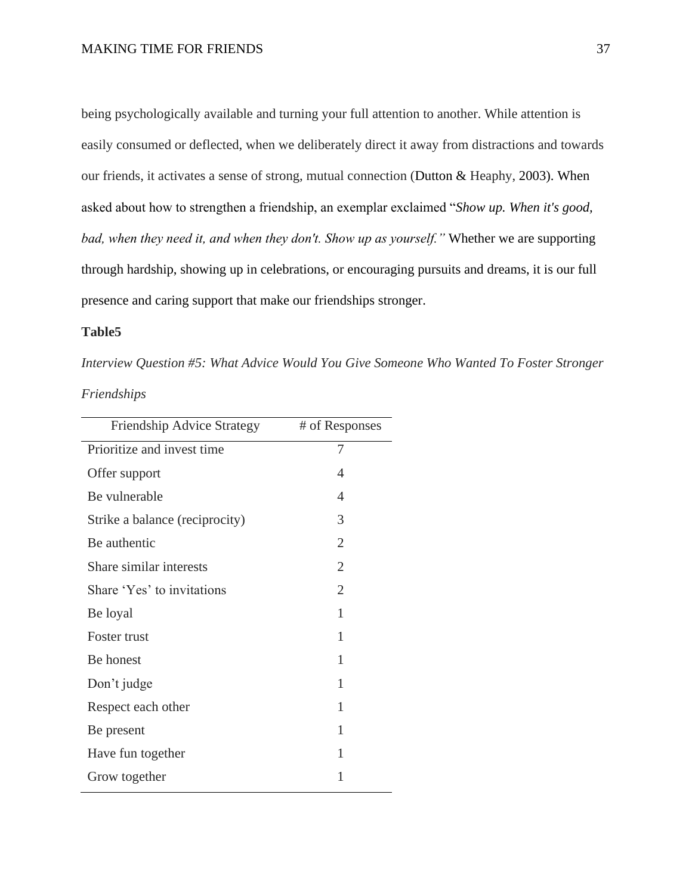being psychologically available and turning your full attention to another. While attention is easily consumed or deflected, when we deliberately direct it away from distractions and towards our friends, it activates a sense of strong, mutual connection (Dutton & Heaphy, 2003). When asked about how to strengthen a friendship, an exemplar exclaimed "*Show up. When it's good, bad, when they need it, and when they don't. Show up as yourself."* Whether we are supporting through hardship, showing up in celebrations, or encouraging pursuits and dreams, it is our full presence and caring support that make our friendships stronger.

## **Table5**

*Interview Question #5: What Advice Would You Give Someone Who Wanted To Foster Stronger* 

# *Friendships*

| # of Responses |
|----------------|
| 7              |
| 4              |
| 4              |
| 3              |
| $\overline{2}$ |
| $\overline{2}$ |
| $\overline{2}$ |
| 1              |
| 1              |
| 1              |
| 1              |
| 1              |
| 1              |
| 1              |
| 1              |
|                |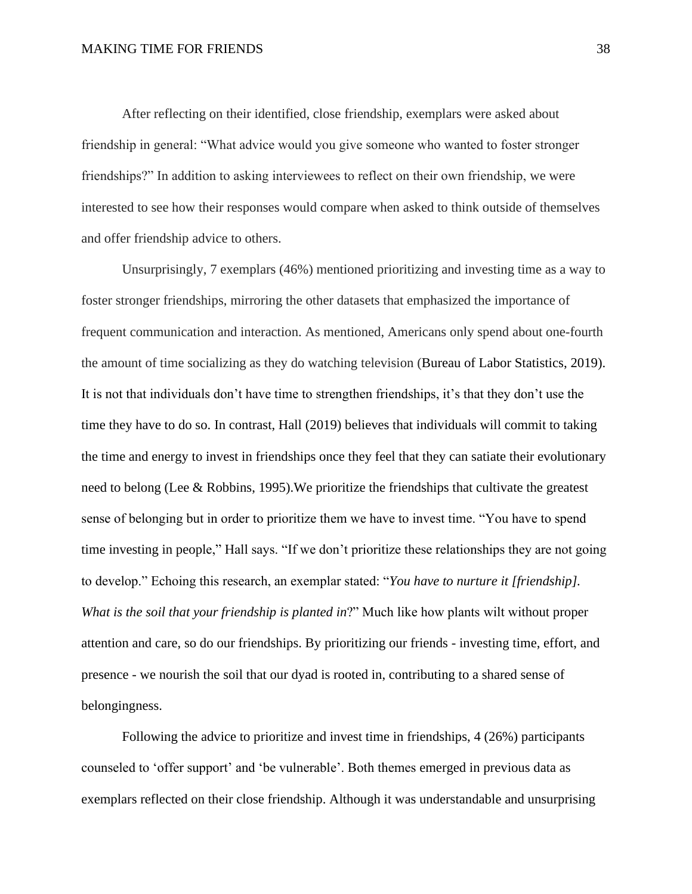After reflecting on their identified, close friendship, exemplars were asked about friendship in general: "What advice would you give someone who wanted to foster stronger friendships?" In addition to asking interviewees to reflect on their own friendship, we were interested to see how their responses would compare when asked to think outside of themselves and offer friendship advice to others.

Unsurprisingly, 7 exemplars (46%) mentioned prioritizing and investing time as a way to foster stronger friendships, mirroring the other datasets that emphasized the importance of frequent communication and interaction. As mentioned, Americans only spend about one-fourth the amount of time socializing as they do watching television (Bureau of Labor Statistics, 2019). It is not that individuals don't have time to strengthen friendships, it's that they don't use the time they have to do so. In contrast, Hall (2019) believes that individuals will commit to taking the time and energy to invest in friendships once they feel that they can satiate their evolutionary need to belong (Lee & Robbins, 1995).We prioritize the friendships that cultivate the greatest sense of belonging but in order to prioritize them we have to invest time. "You have to spend time investing in people," Hall says. "If we don't prioritize these relationships they are not going to develop." Echoing this research, an exemplar stated: "*You have to nurture it [friendship]. What is the soil that your friendship is planted in*?" Much like how plants wilt without proper attention and care, so do our friendships. By prioritizing our friends - investing time, effort, and presence - we nourish the soil that our dyad is rooted in, contributing to a shared sense of belongingness.

Following the advice to prioritize and invest time in friendships, 4 (26%) participants counseled to 'offer support' and 'be vulnerable'. Both themes emerged in previous data as exemplars reflected on their close friendship. Although it was understandable and unsurprising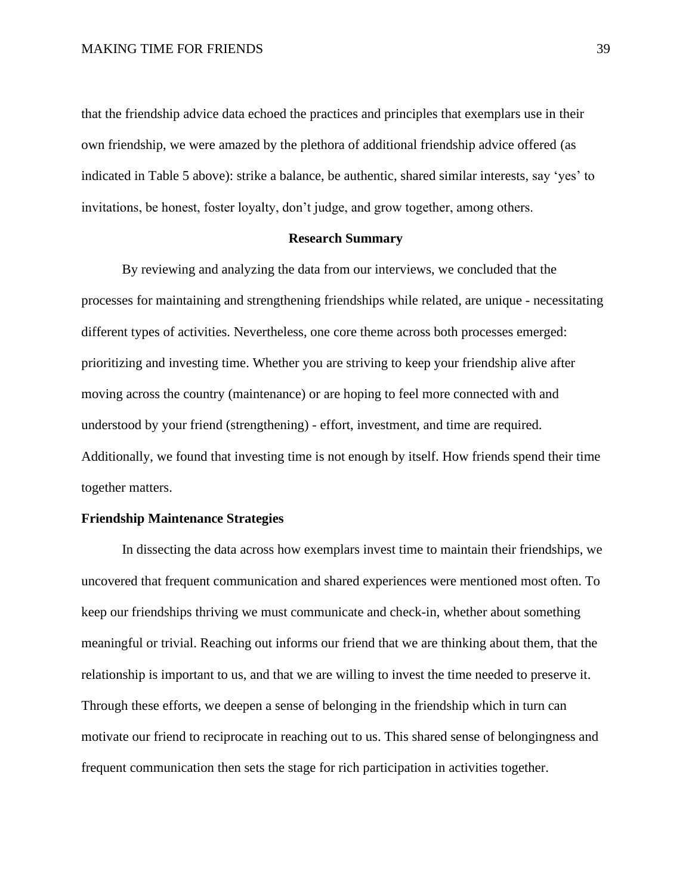that the friendship advice data echoed the practices and principles that exemplars use in their own friendship, we were amazed by the plethora of additional friendship advice offered (as indicated in Table 5 above): strike a balance, be authentic, shared similar interests, say 'yes' to invitations, be honest, foster loyalty, don't judge, and grow together, among others.

#### **Research Summary**

By reviewing and analyzing the data from our interviews, we concluded that the processes for maintaining and strengthening friendships while related, are unique - necessitating different types of activities. Nevertheless, one core theme across both processes emerged: prioritizing and investing time. Whether you are striving to keep your friendship alive after moving across the country (maintenance) or are hoping to feel more connected with and understood by your friend (strengthening) - effort, investment, and time are required. Additionally, we found that investing time is not enough by itself. How friends spend their time together matters.

### **Friendship Maintenance Strategies**

In dissecting the data across how exemplars invest time to maintain their friendships, we uncovered that frequent communication and shared experiences were mentioned most often. To keep our friendships thriving we must communicate and check-in, whether about something meaningful or trivial. Reaching out informs our friend that we are thinking about them, that the relationship is important to us, and that we are willing to invest the time needed to preserve it. Through these efforts, we deepen a sense of belonging in the friendship which in turn can motivate our friend to reciprocate in reaching out to us. This shared sense of belongingness and frequent communication then sets the stage for rich participation in activities together.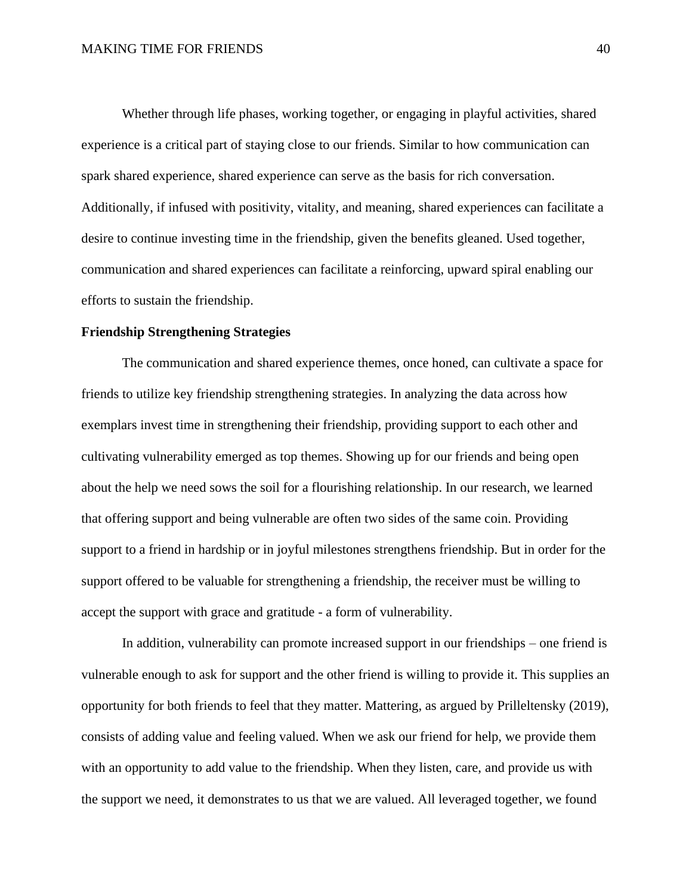Whether through life phases, working together, or engaging in playful activities, shared experience is a critical part of staying close to our friends. Similar to how communication can spark shared experience, shared experience can serve as the basis for rich conversation. Additionally, if infused with positivity, vitality, and meaning, shared experiences can facilitate a desire to continue investing time in the friendship, given the benefits gleaned. Used together, communication and shared experiences can facilitate a reinforcing, upward spiral enabling our efforts to sustain the friendship.

### **Friendship Strengthening Strategies**

The communication and shared experience themes, once honed, can cultivate a space for friends to utilize key friendship strengthening strategies. In analyzing the data across how exemplars invest time in strengthening their friendship, providing support to each other and cultivating vulnerability emerged as top themes. Showing up for our friends and being open about the help we need sows the soil for a flourishing relationship. In our research, we learned that offering support and being vulnerable are often two sides of the same coin. Providing support to a friend in hardship or in joyful milestones strengthens friendship. But in order for the support offered to be valuable for strengthening a friendship, the receiver must be willing to accept the support with grace and gratitude - a form of vulnerability.

In addition, vulnerability can promote increased support in our friendships – one friend is vulnerable enough to ask for support and the other friend is willing to provide it. This supplies an opportunity for both friends to feel that they matter. Mattering, as argued by Prilleltensky (2019), consists of adding value and feeling valued. When we ask our friend for help, we provide them with an opportunity to add value to the friendship. When they listen, care, and provide us with the support we need, it demonstrates to us that we are valued. All leveraged together, we found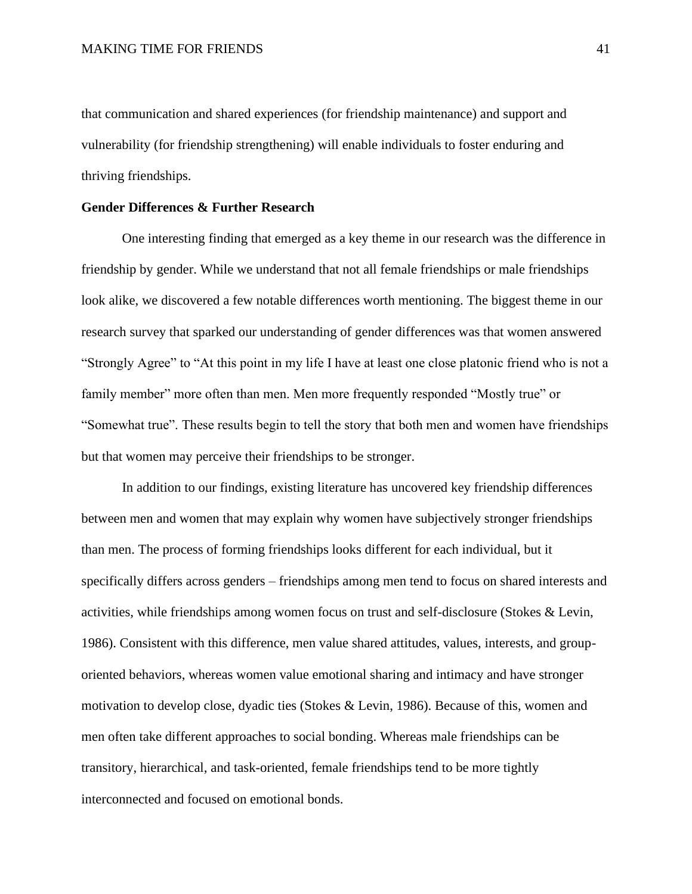that communication and shared experiences (for friendship maintenance) and support and vulnerability (for friendship strengthening) will enable individuals to foster enduring and thriving friendships.

### **Gender Differences & Further Research**

One interesting finding that emerged as a key theme in our research was the difference in friendship by gender. While we understand that not all female friendships or male friendships look alike, we discovered a few notable differences worth mentioning. The biggest theme in our research survey that sparked our understanding of gender differences was that women answered "Strongly Agree" to "At this point in my life I have at least one close platonic friend who is not a family member" more often than men. Men more frequently responded "Mostly true" or "Somewhat true". These results begin to tell the story that both men and women have friendships but that women may perceive their friendships to be stronger.

In addition to our findings, existing literature has uncovered key friendship differences between men and women that may explain why women have subjectively stronger friendships than men. The process of forming friendships looks different for each individual, but it specifically differs across genders – friendships among men tend to focus on shared interests and activities, while friendships among women focus on trust and self-disclosure (Stokes & Levin, 1986). Consistent with this difference, men value shared attitudes, values, interests, and grouporiented behaviors, whereas women value emotional sharing and intimacy and have stronger motivation to develop close, dyadic ties (Stokes & Levin, 1986). Because of this, women and men often take different approaches to social bonding. Whereas male friendships can be transitory, hierarchical, and task-oriented, female friendships tend to be more tightly interconnected and focused on emotional bonds.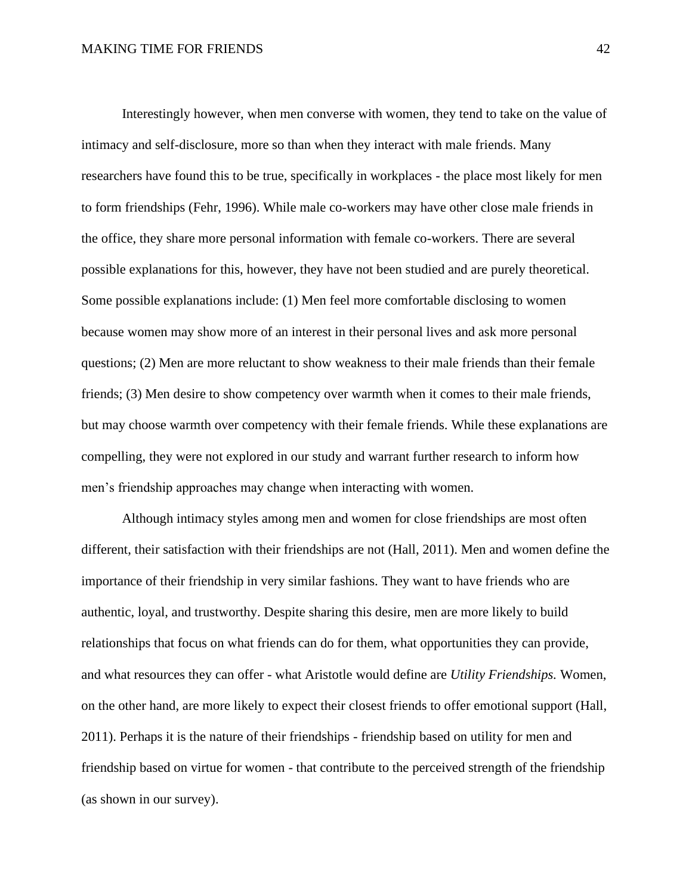Interestingly however, when men converse with women, they tend to take on the value of intimacy and self-disclosure, more so than when they interact with male friends. Many researchers have found this to be true, specifically in workplaces - the place most likely for men to form friendships (Fehr, 1996). While male co-workers may have other close male friends in the office, they share more personal information with female co-workers. There are several possible explanations for this, however, they have not been studied and are purely theoretical. Some possible explanations include: (1) Men feel more comfortable disclosing to women because women may show more of an interest in their personal lives and ask more personal questions; (2) Men are more reluctant to show weakness to their male friends than their female friends; (3) Men desire to show competency over warmth when it comes to their male friends, but may choose warmth over competency with their female friends. While these explanations are compelling, they were not explored in our study and warrant further research to inform how men's friendship approaches may change when interacting with women.

Although intimacy styles among men and women for close friendships are most often different, their satisfaction with their friendships are not (Hall, 2011). Men and women define the importance of their friendship in very similar fashions. They want to have friends who are authentic, loyal, and trustworthy. Despite sharing this desire, men are more likely to build relationships that focus on what friends can do for them, what opportunities they can provide, and what resources they can offer - what Aristotle would define are *Utility Friendships.* Women, on the other hand, are more likely to expect their closest friends to offer emotional support (Hall, 2011). Perhaps it is the nature of their friendships - friendship based on utility for men and friendship based on virtue for women - that contribute to the perceived strength of the friendship (as shown in our survey).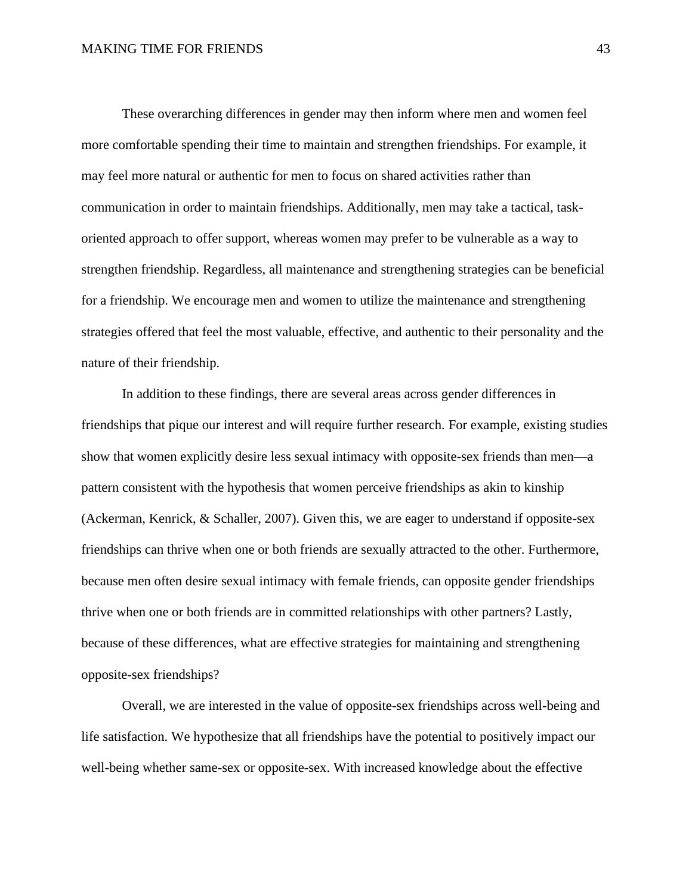These overarching differences in gender may then inform where men and women feel more comfortable spending their time to maintain and strengthen friendships. For example, it may feel more natural or authentic for men to focus on shared activities rather than communication in order to maintain friendships. Additionally, men may take a tactical, taskoriented approach to offer support, whereas women may prefer to be vulnerable as a way to strengthen friendship. Regardless, all maintenance and strengthening strategies can be beneficial for a friendship. We encourage men and women to utilize the maintenance and strengthening strategies offered that feel the most valuable, effective, and authentic to their personality and the nature of their friendship.

In addition to these findings, there are several areas across gender differences in friendships that pique our interest and will require further research. For example, existing studies show that women explicitly desire less sexual intimacy with opposite-sex friends than men—a pattern consistent with the hypothesis that women perceive friendships as akin to kinship (Ackerman, Kenrick, & Schaller, 2007). Given this, we are eager to understand if opposite-sex friendships can thrive when one or both friends are sexually attracted to the other. Furthermore, because men often desire sexual intimacy with female friends, can opposite gender friendships thrive when one or both friends are in committed relationships with other partners? Lastly, because of these differences, what are effective strategies for maintaining and strengthening opposite-sex friendships?

Overall, we are interested in the value of opposite-sex friendships across well-being and life satisfaction. We hypothesize that all friendships have the potential to positively impact our well-being whether same-sex or opposite-sex. With increased knowledge about the effective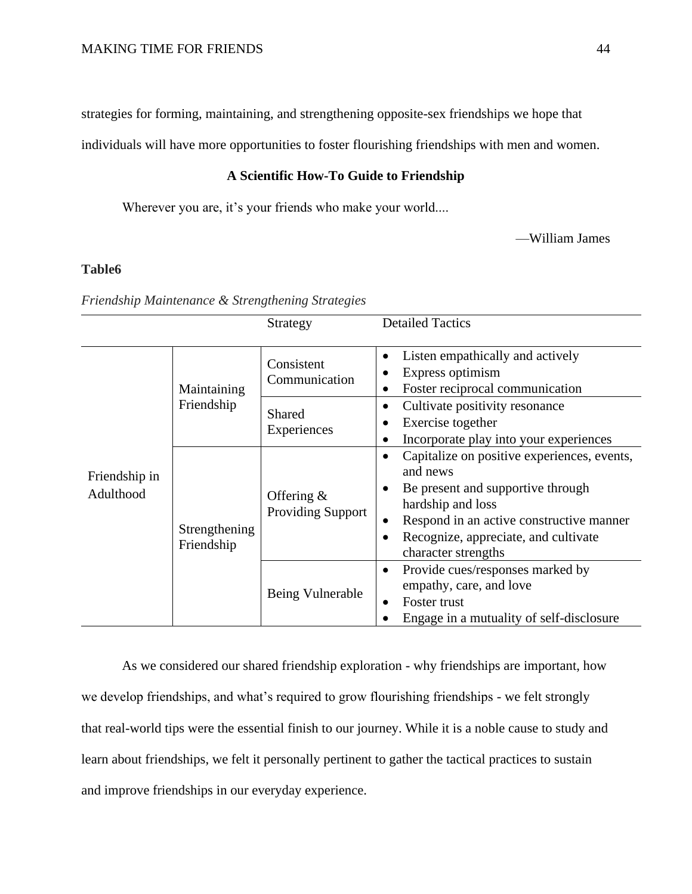strategies for forming, maintaining, and strengthening opposite-sex friendships we hope that

individuals will have more opportunities to foster flourishing friendships with men and women.

### **A Scientific How-To Guide to Friendship**

Wherever you are, it's your friends who make your world....

—William James

# **Table6**

*Friendship Maintenance & Strengthening Strategies*

|                            |                             | Strategy                                  | <b>Detailed Tactics</b>                                                                                                                                                                                                                                                  |
|----------------------------|-----------------------------|-------------------------------------------|--------------------------------------------------------------------------------------------------------------------------------------------------------------------------------------------------------------------------------------------------------------------------|
| Friendship in<br>Adulthood | Maintaining<br>Friendship   | Consistent<br>Communication               | Listen empathically and actively<br>$\bullet$<br>Express optimism<br>$\bullet$<br>Foster reciprocal communication<br>$\bullet$                                                                                                                                           |
|                            |                             | Shared<br>Experiences                     | Cultivate positivity resonance<br>$\bullet$<br>Exercise together<br>$\bullet$<br>Incorporate play into your experiences<br>$\bullet$                                                                                                                                     |
|                            | Strengthening<br>Friendship | Offering $\&$<br><b>Providing Support</b> | Capitalize on positive experiences, events,<br>$\bullet$<br>and news<br>Be present and supportive through<br>٠<br>hardship and loss<br>Respond in an active constructive manner<br>$\bullet$<br>Recognize, appreciate, and cultivate<br>$\bullet$<br>character strengths |
|                            |                             | Being Vulnerable                          | Provide cues/responses marked by<br>٠<br>empathy, care, and love<br>Foster trust<br>$\bullet$<br>Engage in a mutuality of self-disclosure                                                                                                                                |

As we considered our shared friendship exploration - why friendships are important, how we develop friendships, and what's required to grow flourishing friendships - we felt strongly that real-world tips were the essential finish to our journey. While it is a noble cause to study and learn about friendships, we felt it personally pertinent to gather the tactical practices to sustain and improve friendships in our everyday experience.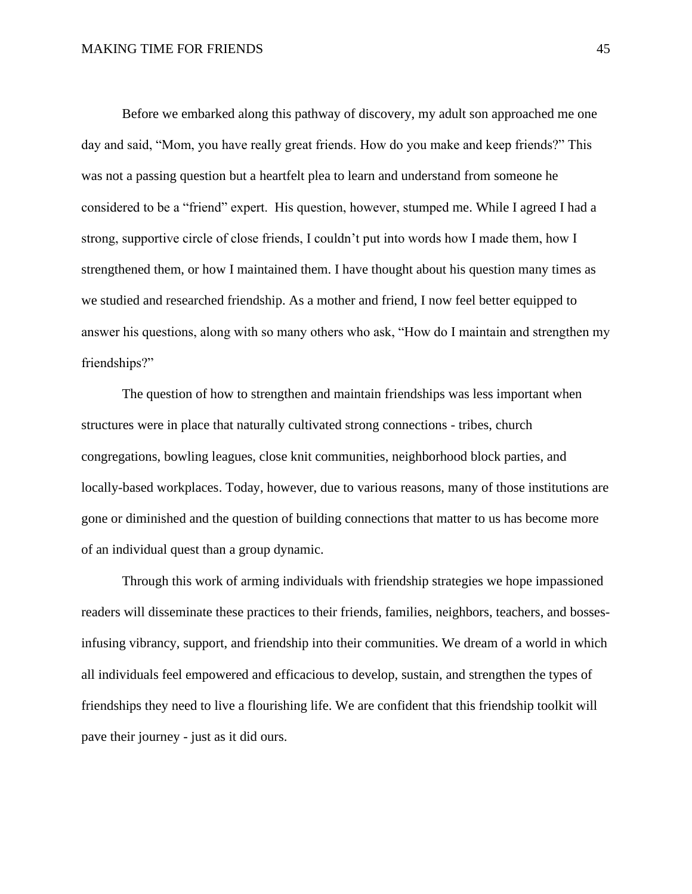Before we embarked along this pathway of discovery, my adult son approached me one day and said, "Mom, you have really great friends. How do you make and keep friends?" This was not a passing question but a heartfelt plea to learn and understand from someone he considered to be a "friend" expert. His question, however, stumped me. While I agreed I had a strong, supportive circle of close friends, I couldn't put into words how I made them, how I strengthened them, or how I maintained them. I have thought about his question many times as we studied and researched friendship. As a mother and friend, I now feel better equipped to answer his questions, along with so many others who ask, "How do I maintain and strengthen my friendships?"

The question of how to strengthen and maintain friendships was less important when structures were in place that naturally cultivated strong connections - tribes, church congregations, bowling leagues, close knit communities, neighborhood block parties, and locally-based workplaces. Today, however, due to various reasons, many of those institutions are gone or diminished and the question of building connections that matter to us has become more of an individual quest than a group dynamic.

Through this work of arming individuals with friendship strategies we hope impassioned readers will disseminate these practices to their friends, families, neighbors, teachers, and bossesinfusing vibrancy, support, and friendship into their communities. We dream of a world in which all individuals feel empowered and efficacious to develop, sustain, and strengthen the types of friendships they need to live a flourishing life. We are confident that this friendship toolkit will pave their journey - just as it did ours.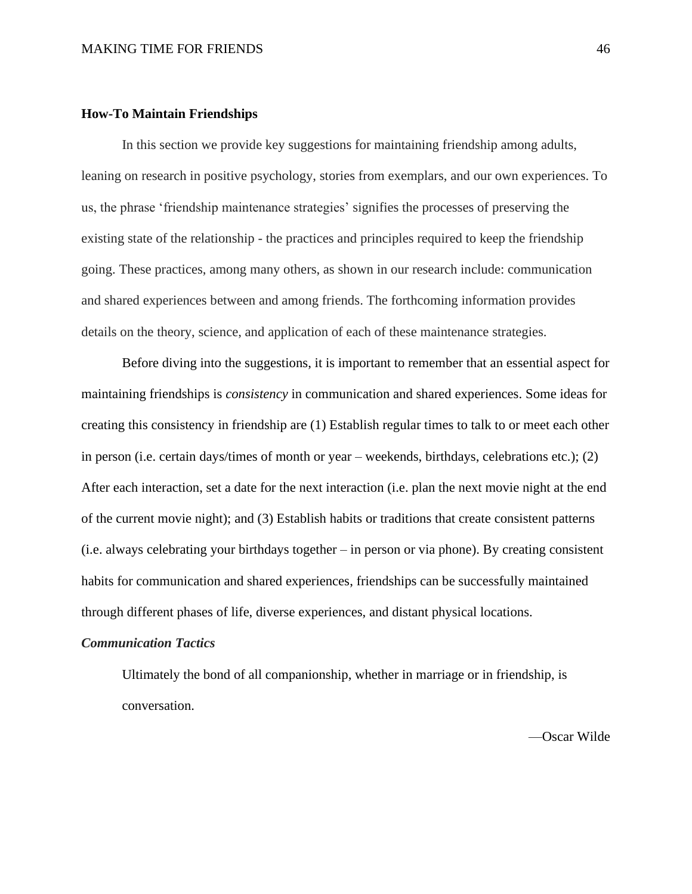### **How-To Maintain Friendships**

In this section we provide key suggestions for maintaining friendship among adults, leaning on research in positive psychology, stories from exemplars, and our own experiences. To us, the phrase 'friendship maintenance strategies' signifies the processes of preserving the existing state of the relationship - the practices and principles required to keep the friendship going. These practices, among many others, as shown in our research include: communication and shared experiences between and among friends. The forthcoming information provides details on the theory, science, and application of each of these maintenance strategies.

Before diving into the suggestions, it is important to remember that an essential aspect for maintaining friendships is *consistency* in communication and shared experiences. Some ideas for creating this consistency in friendship are (1) Establish regular times to talk to or meet each other in person (i.e. certain days/times of month or year – weekends, birthdays, celebrations etc.); (2) After each interaction, set a date for the next interaction (i.e. plan the next movie night at the end of the current movie night); and (3) Establish habits or traditions that create consistent patterns (i.e. always celebrating your birthdays together – in person or via phone). By creating consistent habits for communication and shared experiences, friendships can be successfully maintained through different phases of life, diverse experiences, and distant physical locations.

# *Communication Tactics*

Ultimately the bond of all companionship, whether in marriage or in friendship, is conversation.

—Oscar Wilde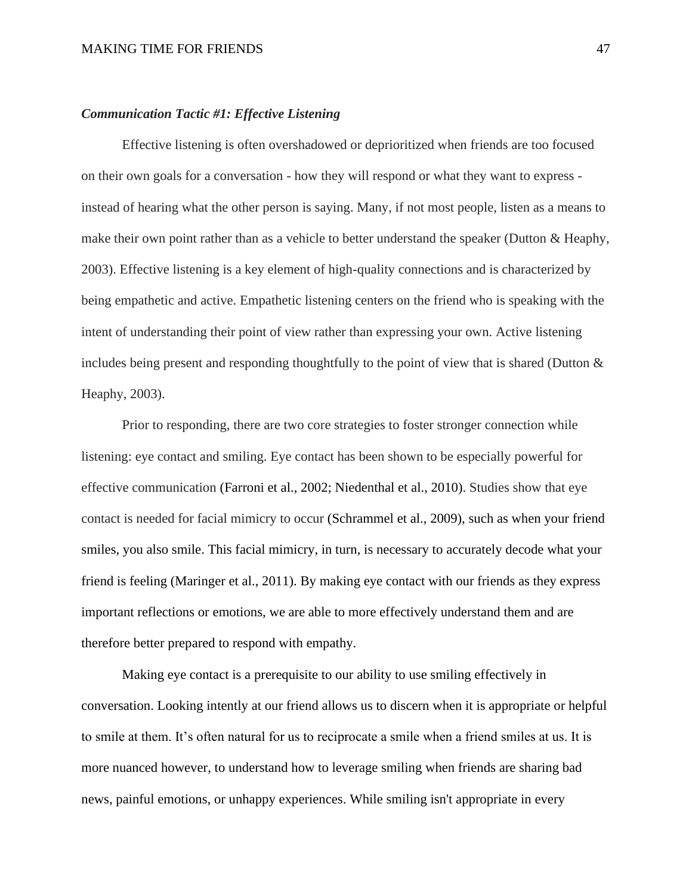### *Communication Tactic #1: Effective Listening*

Effective listening is often overshadowed or deprioritized when friends are too focused on their own goals for a conversation - how they will respond or what they want to express instead of hearing what the other person is saying. Many, if not most people, listen as a means to make their own point rather than as a vehicle to better understand the speaker (Dutton  $\&$  Heaphy, 2003). Effective listening is a key element of high-quality connections and is characterized by being empathetic and active. Empathetic listening centers on the friend who is speaking with the intent of understanding their point of view rather than expressing your own. Active listening includes being present and responding thoughtfully to the point of view that is shared (Dutton  $\&$ Heaphy, 2003).

Prior to responding, there are two core strategies to foster stronger connection while listening: eye contact and smiling. Eye contact has been shown to be especially powerful for effective communication (Farroni et al., 2002; Niedenthal et al., 2010). Studies show that eye contact is needed for facial mimicry to occur (Schrammel et al., 2009), such as when your friend smiles, you also smile. This facial mimicry, in turn, is necessary to accurately decode what your friend is feeling (Maringer et al., 2011). By making eye contact with our friends as they express important reflections or emotions, we are able to more effectively understand them and are therefore better prepared to respond with empathy.

Making eye contact is a prerequisite to our ability to use smiling effectively in conversation. Looking intently at our friend allows us to discern when it is appropriate or helpful to smile at them. It's often natural for us to reciprocate a smile when a friend smiles at us. It is more nuanced however, to understand how to leverage smiling when friends are sharing bad news, painful emotions, or unhappy experiences. While smiling isn't appropriate in every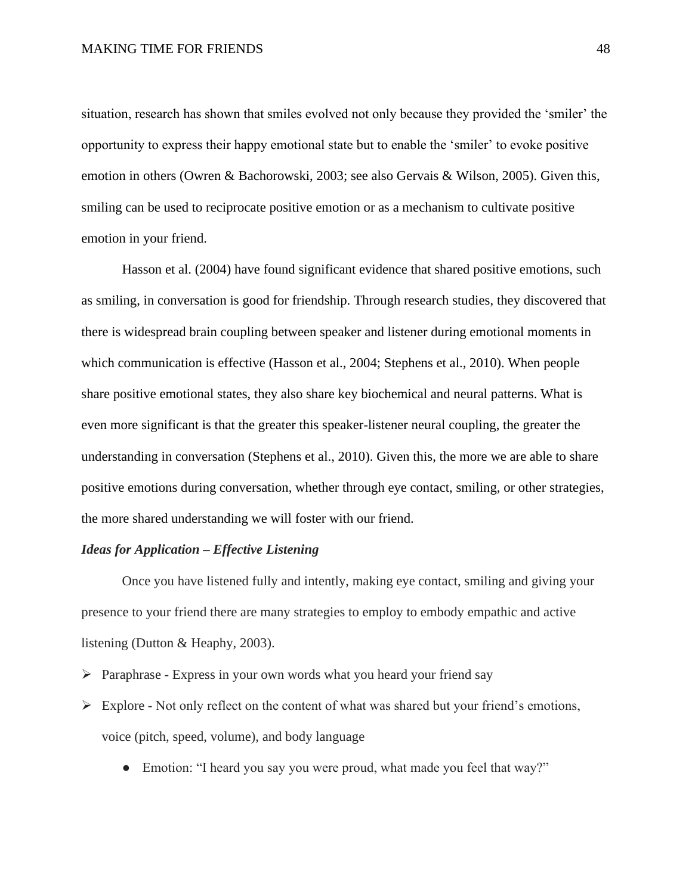situation, research has shown that smiles evolved not only because they provided the 'smiler' the opportunity to express their happy emotional state but to enable the 'smiler' to evoke positive emotion in others (Owren & Bachorowski, 2003; see also Gervais & Wilson, 2005). Given this, smiling can be used to reciprocate positive emotion or as a mechanism to cultivate positive emotion in your friend.

Hasson et al. (2004) have found significant evidence that shared positive emotions, such as smiling, in conversation is good for friendship. Through research studies, they discovered that there is widespread brain coupling between speaker and listener during emotional moments in which communication is effective (Hasson et al., 2004; Stephens et al., 2010). When people share positive emotional states, they also share key biochemical and neural patterns. What is even more significant is that the greater this speaker-listener neural coupling, the greater the understanding in conversation (Stephens et al., 2010). Given this, the more we are able to share positive emotions during conversation, whether through eye contact, smiling, or other strategies, the more shared understanding we will foster with our friend.

# *Ideas for Application – Effective Listening*

Once you have listened fully and intently, making eye contact, smiling and giving your presence to your friend there are many strategies to employ to embody empathic and active listening (Dutton & Heaphy, 2003).

- ➢ Paraphrase Express in your own words what you heard your friend say
- ➢ Explore Not only reflect on the content of what was shared but your friend's emotions, voice (pitch, speed, volume), and body language
	- Emotion: "I heard you say you were proud, what made you feel that way?"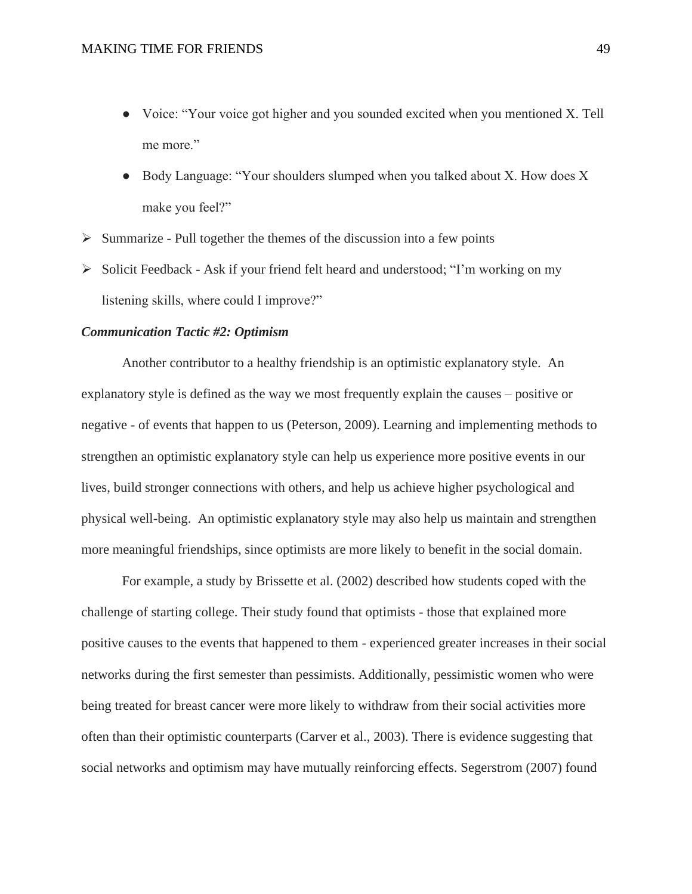- Voice: "Your voice got higher and you sounded excited when you mentioned X. Tell me more."
- Body Language: "Your shoulders slumped when you talked about X. How does X make you feel?"
- $\triangleright$  Summarize Pull together the themes of the discussion into a few points
- ➢ Solicit Feedback Ask if your friend felt heard and understood; "I'm working on my listening skills, where could I improve?"

### *Communication Tactic #2: Optimism*

Another contributor to a healthy friendship is an optimistic explanatory style. An explanatory style is defined as the way we most frequently explain the causes – positive or negative - of events that happen to us (Peterson, 2009). Learning and implementing methods to strengthen an optimistic explanatory style can help us experience more positive events in our lives, build stronger connections with others, and help us achieve higher psychological and physical well-being. An optimistic explanatory style may also help us maintain and strengthen more meaningful friendships, since optimists are more likely to benefit in the social domain.

For example, a study by Brissette et al. (2002) described how students coped with the challenge of starting college. Their study found that optimists - those that explained more positive causes to the events that happened to them - experienced greater increases in their social networks during the first semester than pessimists. Additionally, pessimistic women who were being treated for breast cancer were more likely to withdraw from their social activities more often than their optimistic counterparts (Carver et al., 2003). There is evidence suggesting that social networks and optimism may have mutually reinforcing effects. Segerstrom (2007) found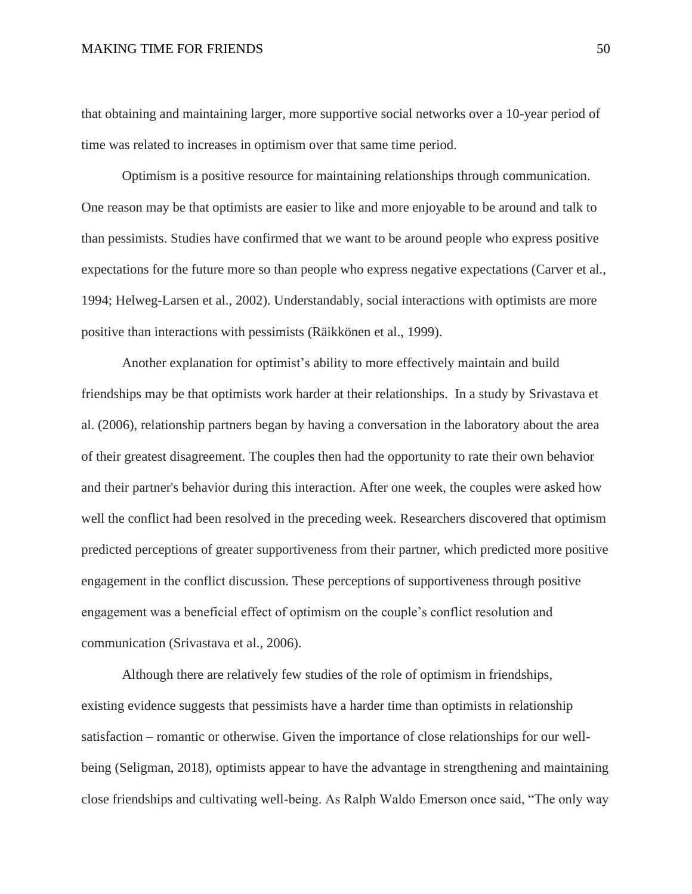that obtaining and maintaining larger, more supportive social networks over a 10-year period of time was related to increases in optimism over that same time period.

Optimism is a positive resource for maintaining relationships through communication. One reason may be that optimists are easier to like and more enjoyable to be around and talk to than pessimists. Studies have confirmed that we want to be around people who express positive expectations for the future more so than people who express negative expectations (Carver et al., 1994; Helweg-Larsen et al., 2002). Understandably, social interactions with optimists are more positive than interactions with pessimists (Räikkönen et al., 1999).

Another explanation for optimist's ability to more effectively maintain and build friendships may be that optimists work harder at their relationships. In a study by Srivastava et al. (2006), relationship partners began by having a conversation in the laboratory about the area of their greatest disagreement. The couples then had the opportunity to rate their own behavior and their partner's behavior during this interaction. After one week, the couples were asked how well the conflict had been resolved in the preceding week. Researchers discovered that optimism predicted perceptions of greater supportiveness from their partner, which predicted more positive engagement in the conflict discussion. These perceptions of supportiveness through positive engagement was a beneficial effect of optimism on the couple's conflict resolution and communication (Srivastava et al., 2006).

Although there are relatively few studies of the role of optimism in friendships, existing evidence suggests that pessimists have a harder time than optimists in relationship satisfaction – romantic or otherwise. Given the importance of close relationships for our wellbeing (Seligman, 2018), optimists appear to have the advantage in strengthening and maintaining close friendships and cultivating well-being. As Ralph Waldo Emerson once said, "The only way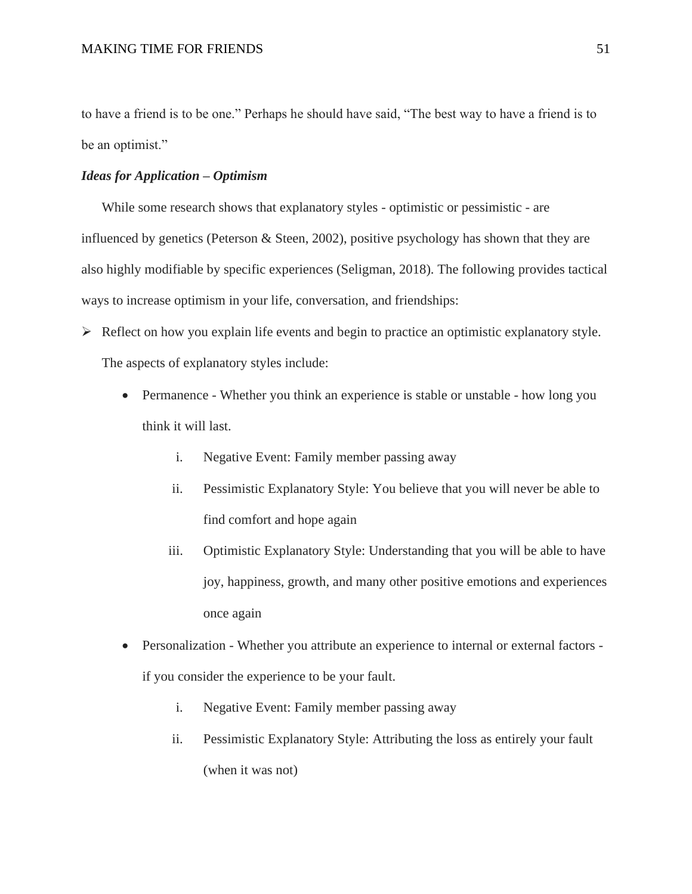to have a friend is to be one." Perhaps he should have said, "The best way to have a friend is to be an optimist."

# *Ideas for Application – Optimism*

While some research shows that explanatory styles - optimistic or pessimistic - are influenced by genetics (Peterson & Steen, 2002), positive psychology has shown that they are also highly modifiable by specific experiences (Seligman, 2018). The following provides tactical ways to increase optimism in your life, conversation, and friendships:

- ➢ Reflect on how you explain life events and begin to practice an optimistic explanatory style. The aspects of explanatory styles include:
	- Permanence Whether you think an experience is stable or unstable how long you think it will last.
		- i. Negative Event: Family member passing away
		- ii. Pessimistic Explanatory Style: You believe that you will never be able to find comfort and hope again
		- iii. Optimistic Explanatory Style: Understanding that you will be able to have joy, happiness, growth, and many other positive emotions and experiences once again
	- Personalization Whether you attribute an experience to internal or external factors if you consider the experience to be your fault.
		- i. Negative Event: Family member passing away
		- ii. Pessimistic Explanatory Style: Attributing the loss as entirely your fault (when it was not)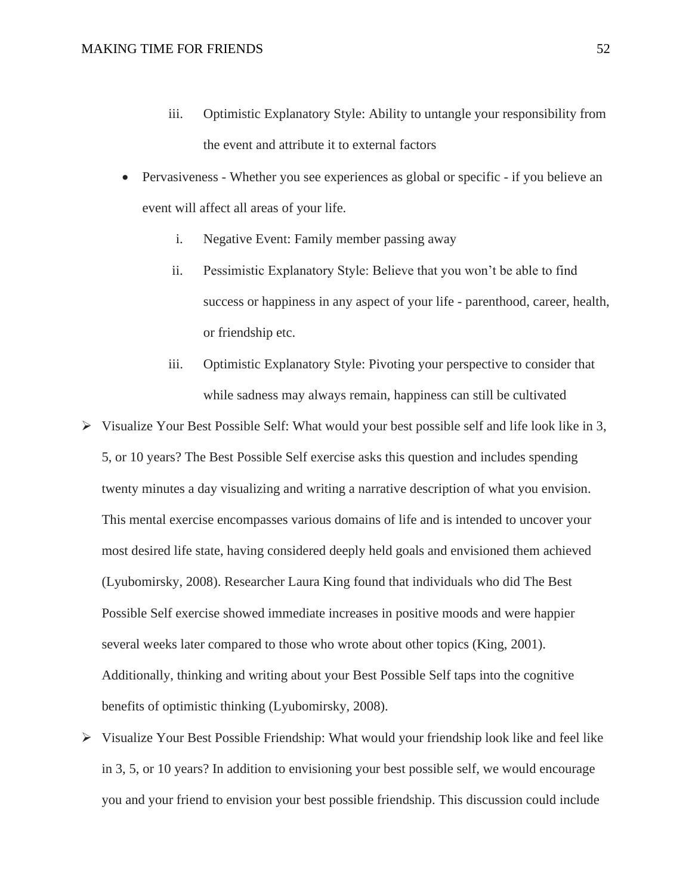- iii. Optimistic Explanatory Style: Ability to untangle your responsibility from the event and attribute it to external factors
- Pervasiveness Whether you see experiences as global or specific if you believe an event will affect all areas of your life.
	- i. Negative Event: Family member passing away
	- ii. Pessimistic Explanatory Style: Believe that you won't be able to find success or happiness in any aspect of your life - parenthood, career, health, or friendship etc.
	- iii. Optimistic Explanatory Style: Pivoting your perspective to consider that while sadness may always remain, happiness can still be cultivated
- $\triangleright$  Visualize Your Best Possible Self: What would your best possible self and life look like in 3, 5, or 10 years? The Best Possible Self exercise asks this question and includes spending twenty minutes a day visualizing and writing a narrative description of what you envision. This mental exercise encompasses various domains of life and is intended to uncover your most desired life state, having considered deeply held goals and envisioned them achieved (Lyubomirsky, 2008). Researcher Laura King found that individuals who did The Best Possible Self exercise showed immediate increases in positive moods and were happier several weeks later compared to those who wrote about other topics (King, 2001). Additionally, thinking and writing about your Best Possible Self taps into the cognitive benefits of optimistic thinking (Lyubomirsky, 2008).
- ➢ Visualize Your Best Possible Friendship: What would your friendship look like and feel like in 3, 5, or 10 years? In addition to envisioning your best possible self, we would encourage you and your friend to envision your best possible friendship. This discussion could include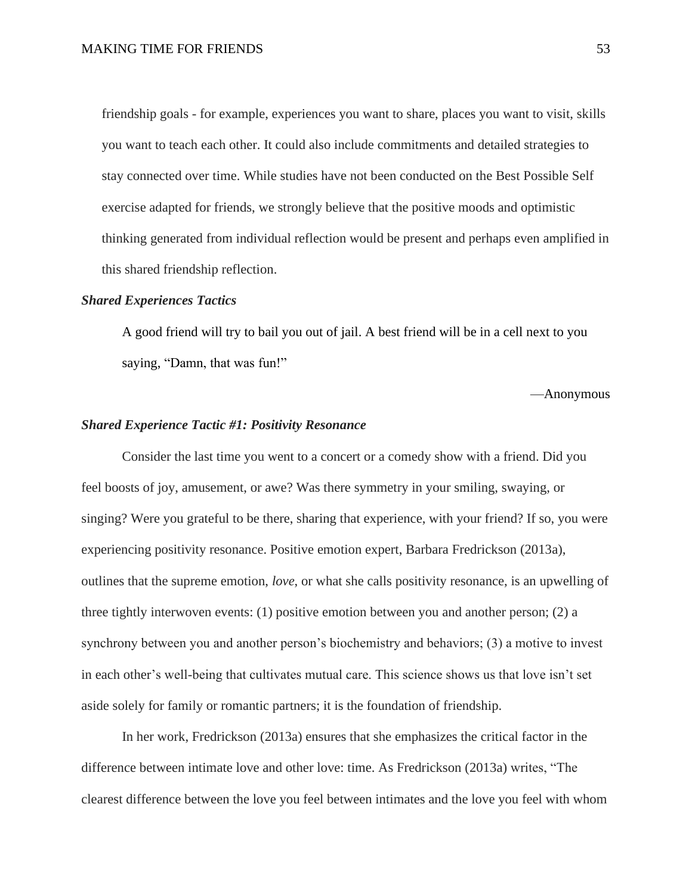friendship goals - for example, experiences you want to share, places you want to visit, skills you want to teach each other. It could also include commitments and detailed strategies to stay connected over time. While studies have not been conducted on the Best Possible Self exercise adapted for friends, we strongly believe that the positive moods and optimistic thinking generated from individual reflection would be present and perhaps even amplified in this shared friendship reflection.

### *Shared Experiences Tactics*

A good friend will try to bail you out of jail. A best friend will be in a cell next to you saying, "Damn, that was fun!"

—Anonymous

### *Shared Experience Tactic #1: Positivity Resonance*

Consider the last time you went to a concert or a comedy show with a friend. Did you feel boosts of joy, amusement, or awe? Was there symmetry in your smiling, swaying, or singing? Were you grateful to be there, sharing that experience, with your friend? If so, you were experiencing positivity resonance. Positive emotion expert, Barbara Fredrickson (2013a), outlines that the supreme emotion, *love*, or what she calls positivity resonance, is an upwelling of three tightly interwoven events: (1) positive emotion between you and another person; (2) a synchrony between you and another person's biochemistry and behaviors; (3) a motive to invest in each other's well-being that cultivates mutual care. This science shows us that love isn't set aside solely for family or romantic partners; it is the foundation of friendship.

In her work, Fredrickson (2013a) ensures that she emphasizes the critical factor in the difference between intimate love and other love: time. As Fredrickson (2013a) writes, "The clearest difference between the love you feel between intimates and the love you feel with whom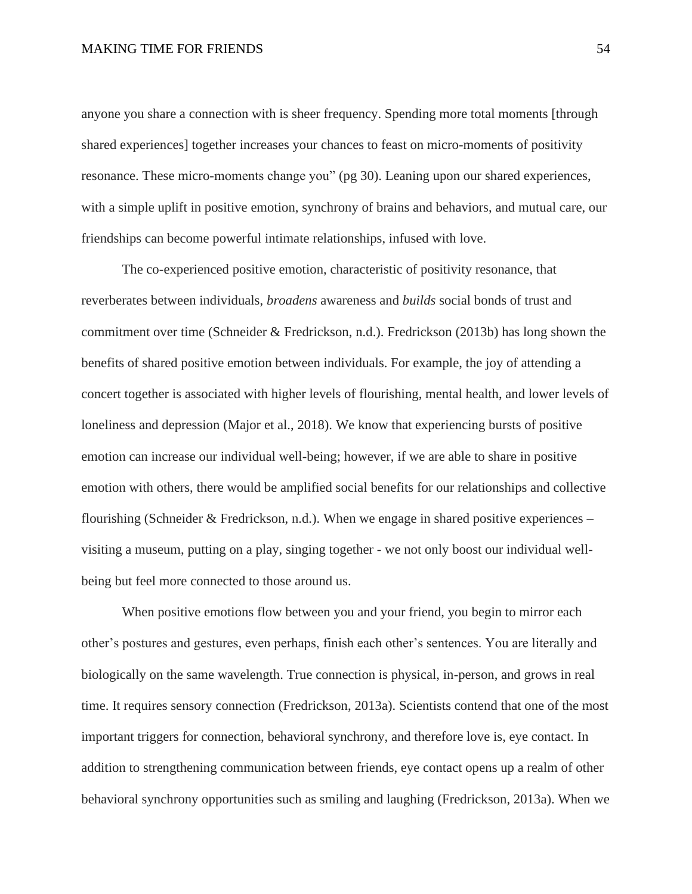anyone you share a connection with is sheer frequency. Spending more total moments [through shared experiences] together increases your chances to feast on micro-moments of positivity resonance. These micro-moments change you" (pg 30). Leaning upon our shared experiences, with a simple uplift in positive emotion, synchrony of brains and behaviors, and mutual care, our friendships can become powerful intimate relationships, infused with love.

The co-experienced positive emotion, characteristic of positivity resonance, that reverberates between individuals, *broadens* awareness and *builds* social bonds of trust and commitment over time (Schneider & Fredrickson, n.d.). Fredrickson (2013b) has long shown the benefits of shared positive emotion between individuals. For example, the joy of attending a concert together is associated with higher levels of flourishing, mental health, and lower levels of loneliness and depression (Major et al., 2018). We know that experiencing bursts of positive emotion can increase our individual well-being; however, if we are able to share in positive emotion with others, there would be amplified social benefits for our relationships and collective flourishing (Schneider & Fredrickson, n.d.). When we engage in shared positive experiences – visiting a museum, putting on a play, singing together - we not only boost our individual wellbeing but feel more connected to those around us.

When positive emotions flow between you and your friend, you begin to mirror each other's postures and gestures, even perhaps, finish each other's sentences. You are literally and biologically on the same wavelength. True connection is physical, in-person, and grows in real time. It requires sensory connection (Fredrickson, 2013a). Scientists contend that one of the most important triggers for connection, behavioral synchrony, and therefore love is, eye contact. In addition to strengthening communication between friends, eye contact opens up a realm of other behavioral synchrony opportunities such as smiling and laughing (Fredrickson, 2013a). When we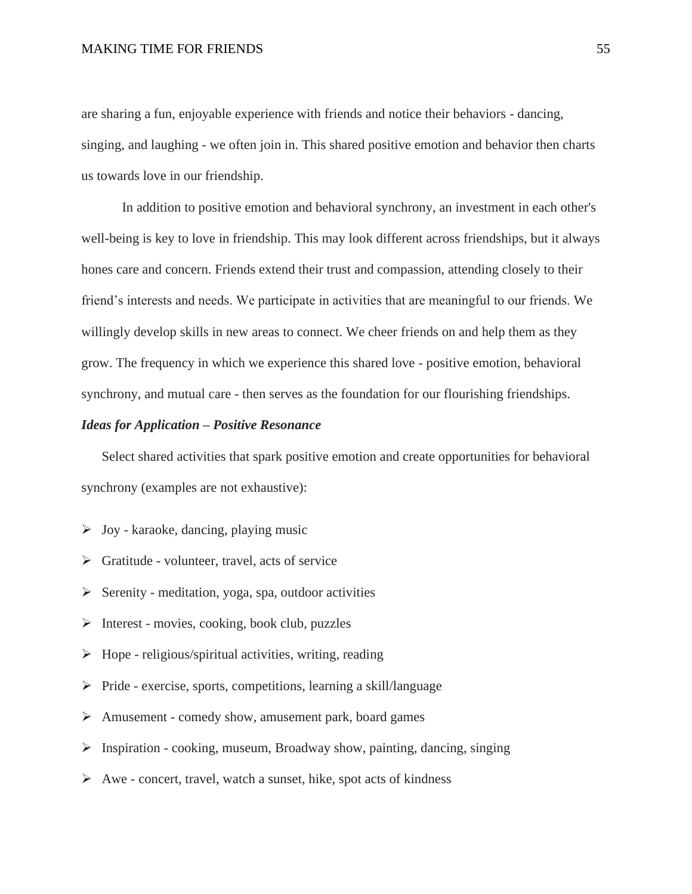are sharing a fun, enjoyable experience with friends and notice their behaviors - dancing, singing, and laughing - we often join in. This shared positive emotion and behavior then charts us towards love in our friendship.

In addition to positive emotion and behavioral synchrony, an investment in each other's well-being is key to love in friendship. This may look different across friendships, but it always hones care and concern. Friends extend their trust and compassion, attending closely to their friend's interests and needs. We participate in activities that are meaningful to our friends. We willingly develop skills in new areas to connect. We cheer friends on and help them as they grow. The frequency in which we experience this shared love - positive emotion, behavioral synchrony, and mutual care - then serves as the foundation for our flourishing friendships.

### *Ideas for Application – Positive Resonance*

Select shared activities that spark positive emotion and create opportunities for behavioral synchrony (examples are not exhaustive):

- $\triangleright$  Joy karaoke, dancing, playing music
- $\triangleright$  Gratitude volunteer, travel, acts of service
- $\triangleright$  Serenity meditation, yoga, spa, outdoor activities
- $\triangleright$  Interest movies, cooking, book club, puzzles
- $\triangleright$  Hope religious/spiritual activities, writing, reading
- ➢ Pride exercise, sports, competitions, learning a skill/language
- ➢ Amusement comedy show, amusement park, board games
- $\triangleright$  Inspiration cooking, museum, Broadway show, painting, dancing, singing
- ➢ Awe concert, travel, watch a sunset, hike, spot acts of kindness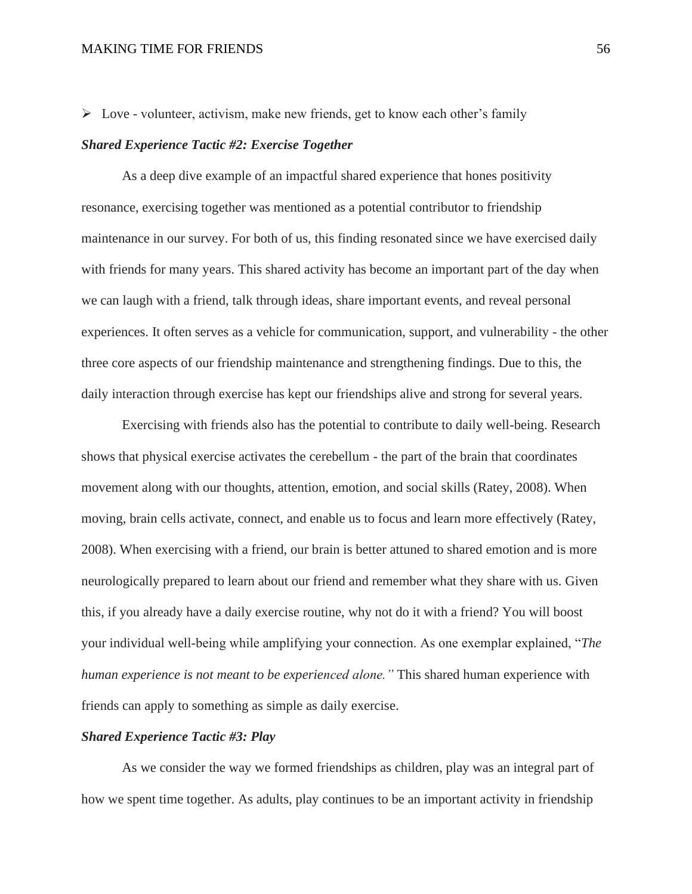$\triangleright$  Love - volunteer, activism, make new friends, get to know each other's family

### *Shared Experience Tactic #2: Exercise Together*

As a deep dive example of an impactful shared experience that hones positivity resonance, exercising together was mentioned as a potential contributor to friendship maintenance in our survey. For both of us, this finding resonated since we have exercised daily with friends for many years. This shared activity has become an important part of the day when we can laugh with a friend, talk through ideas, share important events, and reveal personal experiences. It often serves as a vehicle for communication, support, and vulnerability - the other three core aspects of our friendship maintenance and strengthening findings. Due to this, the daily interaction through exercise has kept our friendships alive and strong for several years.

Exercising with friends also has the potential to contribute to daily well-being. Research shows that physical exercise activates the cerebellum - the part of the brain that coordinates movement along with our thoughts, attention, emotion, and social skills (Ratey, 2008). When moving, brain cells activate, connect, and enable us to focus and learn more effectively (Ratey, 2008). When exercising with a friend, our brain is better attuned to shared emotion and is more neurologically prepared to learn about our friend and remember what they share with us. Given this, if you already have a daily exercise routine, why not do it with a friend? You will boost your individual well-being while amplifying your connection. As one exemplar explained, "*The human experience is not meant to be experienced alone."* This shared human experience with friends can apply to something as simple as daily exercise.

### *Shared Experience Tactic #3: Play*

As we consider the way we formed friendships as children, play was an integral part of how we spent time together. As adults, play continues to be an important activity in friendship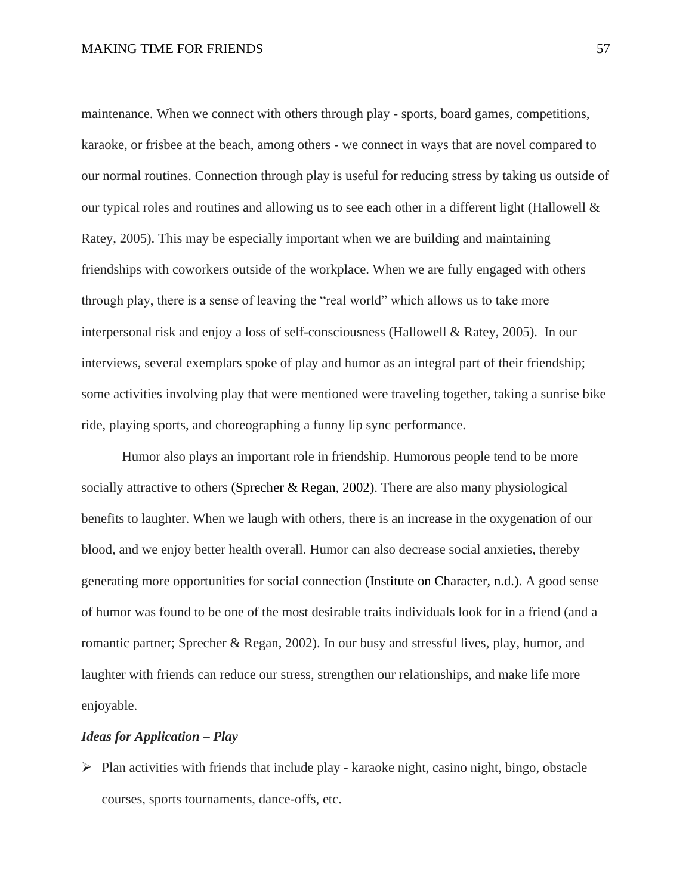maintenance. When we connect with others through play - sports, board games, competitions, karaoke, or frisbee at the beach, among others - we connect in ways that are novel compared to our normal routines. Connection through play is useful for reducing stress by taking us outside of our typical roles and routines and allowing us to see each other in a different light (Hallowell & Ratey, 2005). This may be especially important when we are building and maintaining friendships with coworkers outside of the workplace. When we are fully engaged with others through play, there is a sense of leaving the "real world" which allows us to take more interpersonal risk and enjoy a loss of self-consciousness (Hallowell & Ratey, 2005). In our interviews, several exemplars spoke of play and humor as an integral part of their friendship; some activities involving play that were mentioned were traveling together, taking a sunrise bike ride, playing sports, and choreographing a funny lip sync performance.

Humor also plays an important role in friendship. Humorous people tend to be more socially attractive to others (Sprecher & Regan, 2002). There are also many physiological benefits to laughter. When we laugh with others, there is an increase in the oxygenation of our blood, and we enjoy better health overall. Humor can also decrease social anxieties, thereby generating more opportunities for social connection (Institute on Character, n.d.). A good sense of humor was found to be one of the most desirable traits individuals look for in a friend (and a romantic partner; Sprecher & Regan, 2002). In our busy and stressful lives, play, humor, and laughter with friends can reduce our stress, strengthen our relationships, and make life more enjoyable.

### *Ideas for Application – Play*

➢ Plan activities with friends that include play - karaoke night, casino night, bingo, obstacle courses, sports tournaments, dance-offs, etc.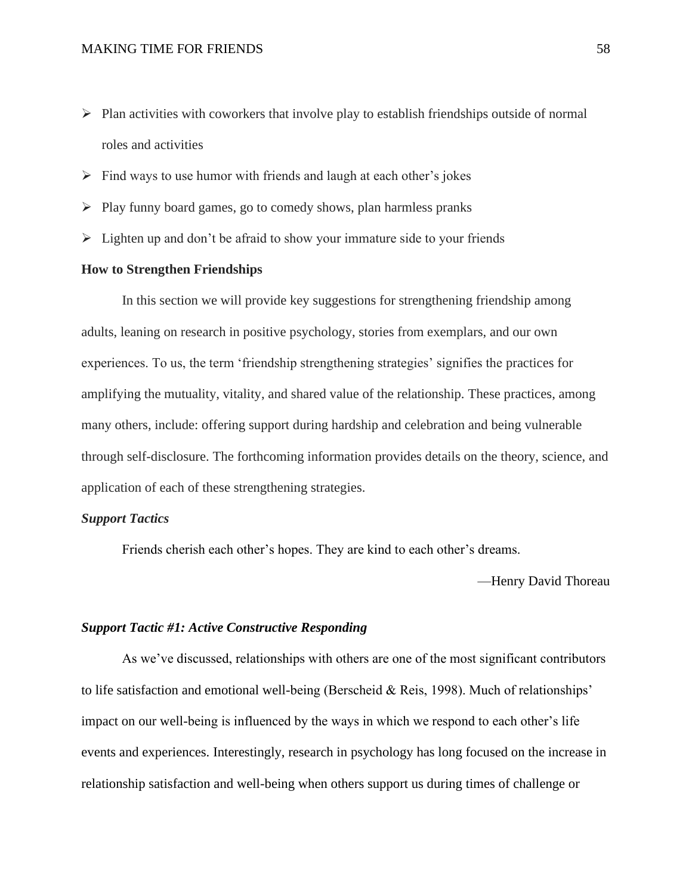- ➢ Plan activities with coworkers that involve play to establish friendships outside of normal roles and activities
- $\triangleright$  Find ways to use humor with friends and laugh at each other's jokes
- ➢ Play funny board games, go to comedy shows, plan harmless pranks
- $\triangleright$  Lighten up and don't be afraid to show your immature side to your friends

## **How to Strengthen Friendships**

In this section we will provide key suggestions for strengthening friendship among adults, leaning on research in positive psychology, stories from exemplars, and our own experiences. To us, the term 'friendship strengthening strategies' signifies the practices for amplifying the mutuality, vitality, and shared value of the relationship. These practices, among many others, include: offering support during hardship and celebration and being vulnerable through self-disclosure. The forthcoming information provides details on the theory, science, and application of each of these strengthening strategies.

### *Support Tactics*

Friends cherish each other's hopes. They are kind to each other's dreams.

—Henry David Thoreau

### *Support Tactic #1: Active Constructive Responding*

As we've discussed, relationships with others are one of the most significant contributors to life satisfaction and emotional well-being (Berscheid & Reis, 1998). Much of relationships' impact on our well-being is influenced by the ways in which we respond to each other's life events and experiences. Interestingly, research in psychology has long focused on the increase in relationship satisfaction and well-being when others support us during times of challenge or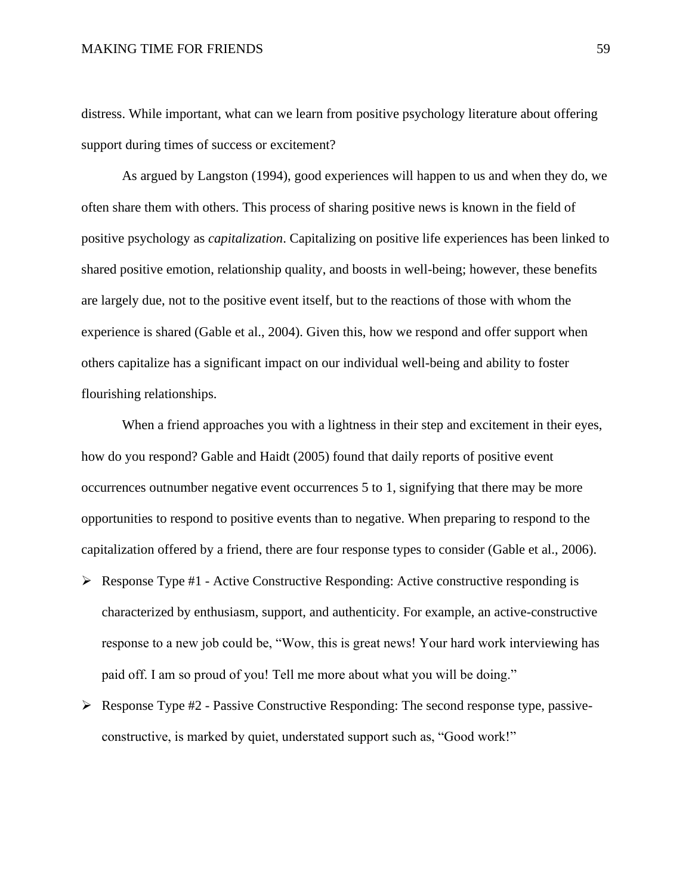distress. While important, what can we learn from positive psychology literature about offering support during times of success or excitement?

As argued by Langston (1994), good experiences will happen to us and when they do, we often share them with others. This process of sharing positive news is known in the field of positive psychology as *capitalization*. Capitalizing on positive life experiences has been linked to shared positive emotion, relationship quality, and boosts in well-being; however, these benefits are largely due, not to the positive event itself, but to the reactions of those with whom the experience is shared (Gable et al., 2004). Given this, how we respond and offer support when others capitalize has a significant impact on our individual well-being and ability to foster flourishing relationships.

When a friend approaches you with a lightness in their step and excitement in their eyes, how do you respond? Gable and Haidt (2005) found that daily reports of positive event occurrences outnumber negative event occurrences 5 to 1, signifying that there may be more opportunities to respond to positive events than to negative. When preparing to respond to the capitalization offered by a friend, there are four response types to consider (Gable et al., 2006).

- ➢ Response Type #1 Active Constructive Responding: Active constructive responding is characterized by enthusiasm, support, and authenticity. For example, an active-constructive response to a new job could be, "Wow, this is great news! Your hard work interviewing has paid off. I am so proud of you! Tell me more about what you will be doing."
- $\triangleright$  Response Type #2 Passive Constructive Responding: The second response type, passiveconstructive, is marked by quiet, understated support such as, "Good work!"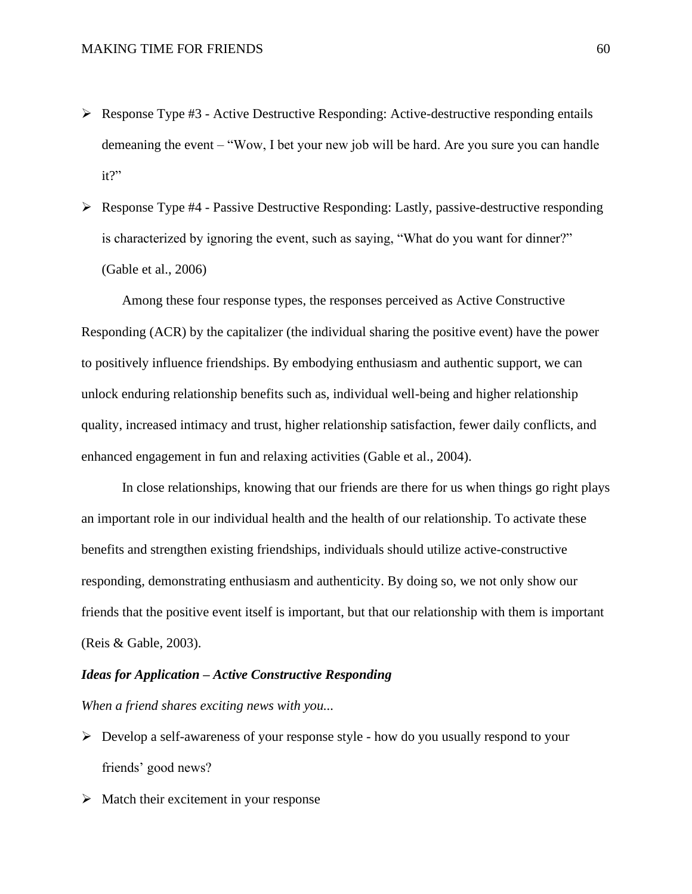- ➢ Response Type #3 Active Destructive Responding: Active-destructive responding entails demeaning the event – "Wow, I bet your new job will be hard. Are you sure you can handle it?"
- ➢ Response Type #4 Passive Destructive Responding: Lastly, passive-destructive responding is characterized by ignoring the event, such as saying, "What do you want for dinner?" (Gable et al., 2006)

Among these four response types, the responses perceived as Active Constructive Responding (ACR) by the capitalizer (the individual sharing the positive event) have the power to positively influence friendships. By embodying enthusiasm and authentic support, we can unlock enduring relationship benefits such as, individual well-being and higher relationship quality, increased intimacy and trust, higher relationship satisfaction, fewer daily conflicts, and enhanced engagement in fun and relaxing activities (Gable et al., 2004).

In close relationships, knowing that our friends are there for us when things go right plays an important role in our individual health and the health of our relationship. To activate these benefits and strengthen existing friendships, individuals should utilize active-constructive responding, demonstrating enthusiasm and authenticity. By doing so, we not only show our friends that the positive event itself is important, but that our relationship with them is important (Reis & Gable, 2003).

### *Ideas for Application – Active Constructive Responding*

*When a friend shares exciting news with you...*

- $\triangleright$  Develop a self-awareness of your response style how do you usually respond to your friends' good news?
- $\triangleright$  Match their excitement in your response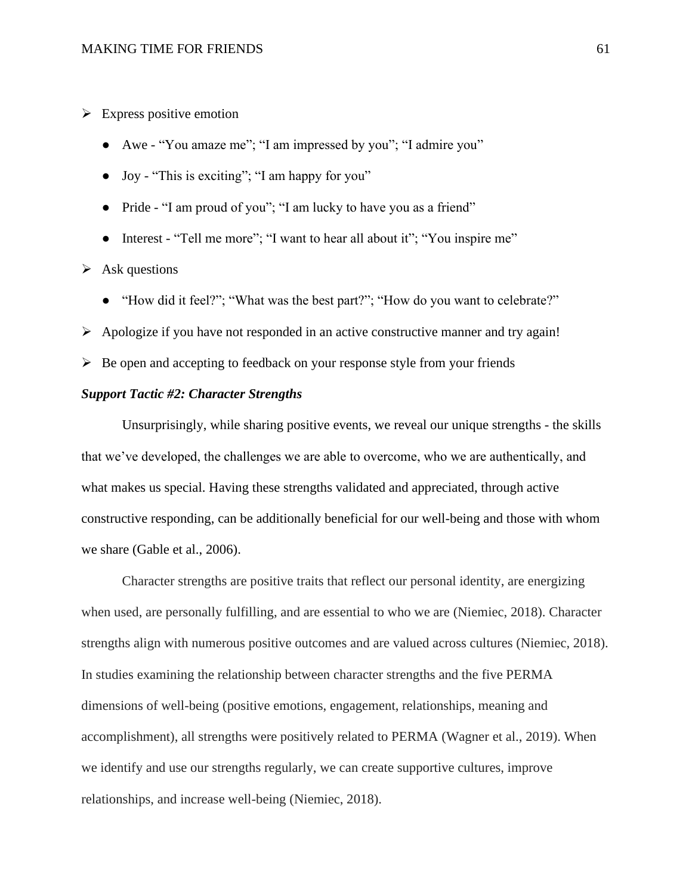$\triangleright$  Express positive emotion

- Awe "You amaze me"; "I am impressed by you"; "I admire you"
- Joy "This is exciting"; "I am happy for you"
- Pride "I am proud of you"; "I am lucky to have you as a friend"
- Interest "Tell me more"; "I want to hear all about it"; "You inspire me"

 $\triangleright$  Ask questions

- "How did it feel?"; "What was the best part?"; "How do you want to celebrate?"
- ➢ Apologize if you have not responded in an active constructive manner and try again!
- $\triangleright$  Be open and accepting to feedback on your response style from your friends

# *Support Tactic #2: Character Strengths*

Unsurprisingly, while sharing positive events, we reveal our unique strengths - the skills that we've developed, the challenges we are able to overcome, who we are authentically, and what makes us special. Having these strengths validated and appreciated, through active constructive responding, can be additionally beneficial for our well-being and those with whom we share (Gable et al., 2006).

Character strengths are positive traits that reflect our personal identity, are energizing when used, are personally fulfilling, and are essential to who we are (Niemiec, 2018). Character strengths align with numerous positive outcomes and are valued across cultures (Niemiec, 2018). In studies examining the relationship between character strengths and the five PERMA dimensions of well-being (positive emotions, engagement, relationships, meaning and accomplishment), all strengths were positively related to PERMA (Wagner et al., 2019). When we identify and use our strengths regularly, we can create supportive cultures, improve relationships, and increase well-being (Niemiec, 2018).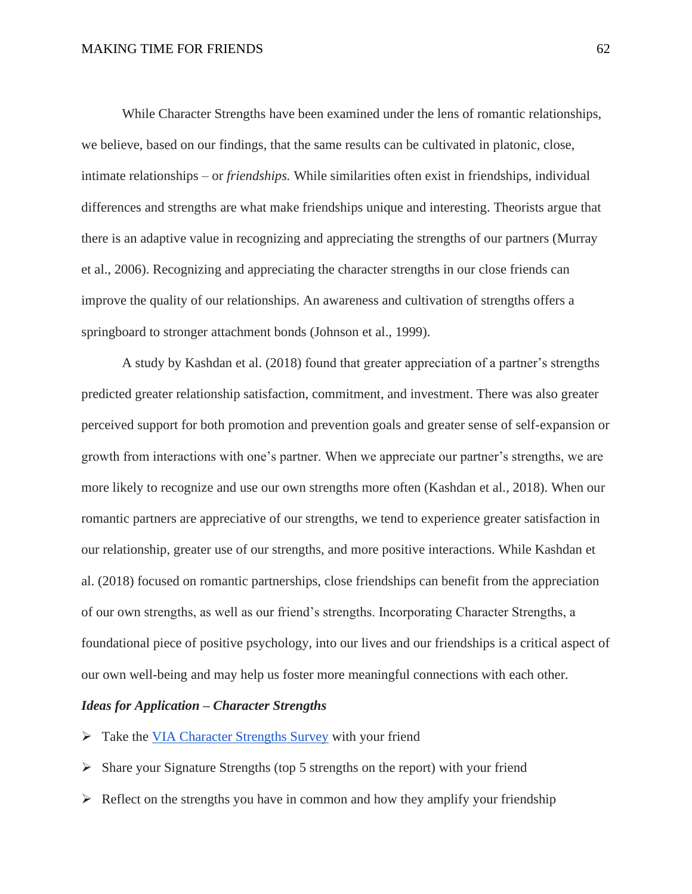While Character Strengths have been examined under the lens of romantic relationships, we believe, based on our findings, that the same results can be cultivated in platonic, close, intimate relationships – or *friendships.* While similarities often exist in friendships, individual differences and strengths are what make friendships unique and interesting. Theorists argue that there is an adaptive value in recognizing and appreciating the strengths of our partners (Murray et al., 2006). Recognizing and appreciating the character strengths in our close friends can improve the quality of our relationships. An awareness and cultivation of strengths offers a springboard to stronger attachment bonds (Johnson et al., 1999).

A study by Kashdan et al. (2018) found that greater appreciation of a partner's strengths predicted greater relationship satisfaction, commitment, and investment. There was also greater perceived support for both promotion and prevention goals and greater sense of self-expansion or growth from interactions with one's partner. When we appreciate our partner's strengths, we are more likely to recognize and use our own strengths more often (Kashdan et al., 2018). When our romantic partners are appreciative of our strengths, we tend to experience greater satisfaction in our relationship, greater use of our strengths, and more positive interactions. While Kashdan et al. (2018) focused on romantic partnerships, close friendships can benefit from the appreciation of our own strengths, as well as our friend's strengths. Incorporating Character Strengths, a foundational piece of positive psychology, into our lives and our friendships is a critical aspect of our own well-being and may help us foster more meaningful connections with each other.

### *Ideas for Application – Character Strengths*

- ➢ Take the [VIA Character Strengths Survey](https://www.viacharacter.org/survey/account/register) with your friend
- ➢ Share your Signature Strengths (top 5 strengths on the report) with your friend
- $\triangleright$  Reflect on the strengths you have in common and how they amplify your friendship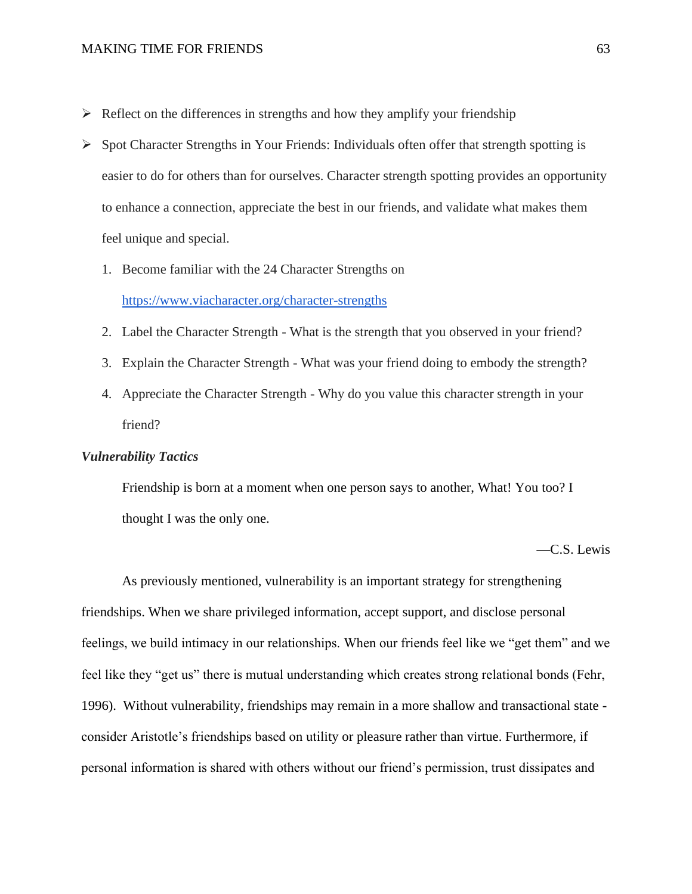- $\triangleright$  Reflect on the differences in strengths and how they amplify your friendship
- ➢ Spot Character Strengths in Your Friends: Individuals often offer that strength spotting is easier to do for others than for ourselves. Character strength spotting provides an opportunity to enhance a connection, appreciate the best in our friends, and validate what makes them feel unique and special.
	- 1. Become familiar with the 24 Character Strengths on https://www.viacharacter.org/character-strengths
	- 2. Label the Character Strength What is the strength that you observed in your friend?
	- 3. Explain the Character Strength What was your friend doing to embody the strength?
	- 4. Appreciate the Character Strength Why do you value this character strength in your friend?

### *Vulnerability Tactics*

Friendship is born at a moment when one person says to another, What! You too? I thought I was the only one.

—C.S. Lewis

As previously mentioned, vulnerability is an important strategy for strengthening friendships. When we share privileged information, accept support, and disclose personal feelings, we build intimacy in our relationships. When our friends feel like we "get them" and we feel like they "get us" there is mutual understanding which creates strong relational bonds (Fehr, 1996). Without vulnerability, friendships may remain in a more shallow and transactional state consider Aristotle's friendships based on utility or pleasure rather than virtue. Furthermore, if personal information is shared with others without our friend's permission, trust dissipates and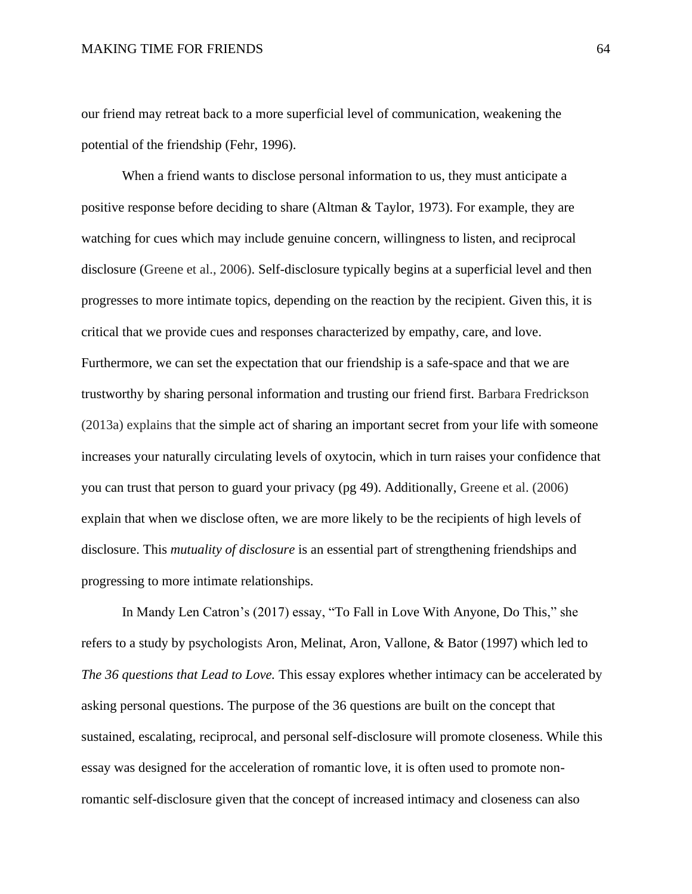our friend may retreat back to a more superficial level of communication, weakening the potential of the friendship (Fehr, 1996).

When a friend wants to disclose personal information to us, they must anticipate a positive response before deciding to share (Altman & Taylor, 1973). For example, they are watching for cues which may include genuine concern, willingness to listen, and reciprocal disclosure (Greene et al., 2006). Self-disclosure typically begins at a superficial level and then progresses to more intimate topics, depending on the reaction by the recipient. Given this, it is critical that we provide cues and responses characterized by empathy, care, and love. Furthermore, we can set the expectation that our friendship is a safe-space and that we are trustworthy by sharing personal information and trusting our friend first. Barbara Fredrickson (2013a) explains that the simple act of sharing an important secret from your life with someone increases your naturally circulating levels of oxytocin, which in turn raises your confidence that you can trust that person to guard your privacy (pg 49). Additionally, Greene et al. (2006) explain that when we disclose often, we are more likely to be the recipients of high levels of disclosure. This *mutuality of disclosure* is an essential part of strengthening friendships and progressing to more intimate relationships.

In Mandy Len Catron's (2017) essay, ["To Fall in Love With Anyone, Do This,](http://www.nytimes.com/2015/01/11/fashion/modern-love-to-fall-in-love-with-anyone-do-this.html)" she refers to [a study by psychologists](http://psp.sagepub.com/content/23/4/363.full.pdf+html) Aron, Melinat, Aron, Vallone, & Bator [\(1997\)](https://www-tandfonline-com.proxy.library.upenn.edu/doi/full/10.1080/0092623X.2018.1563350) which led to *The 36 questions that Lead to Love.* This essay explores whether intimacy can be accelerated by asking personal questions. The purpose of the 36 questions are built on the concept that sustained, escalating, reciprocal, and personal self-disclosure will promote closeness. While this essay was designed for the acceleration of romantic love, it is often used to promote nonromantic self-disclosure given that the concept of increased intimacy and closeness can also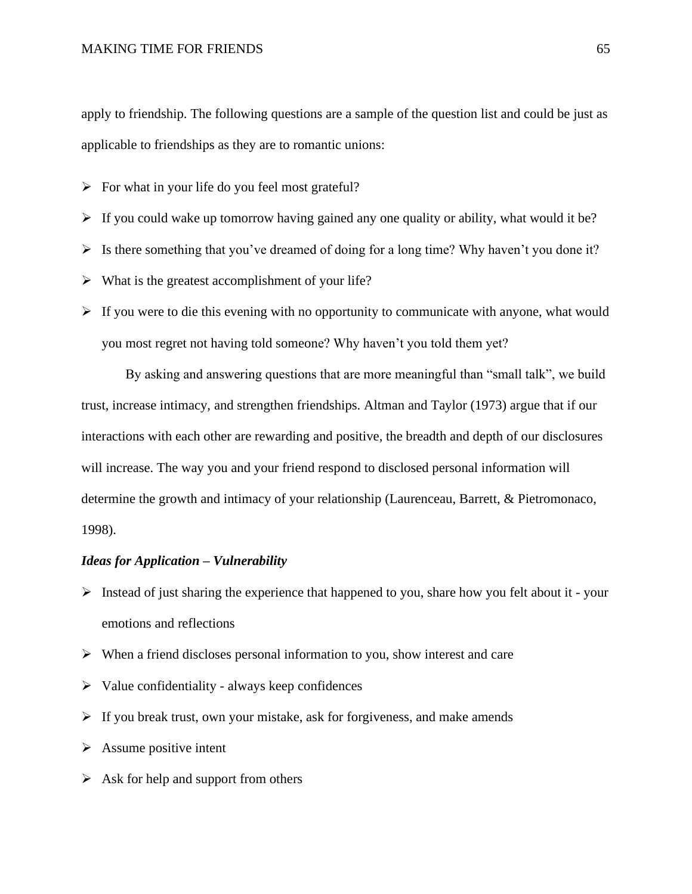apply to friendship. The following questions are a sample of the question list and could be just as applicable to friendships as they are to romantic unions:

- $\triangleright$  For what in your life do you feel most grateful?
- $\triangleright$  If you could wake up tomorrow having gained any one quality or ability, what would it be?
- $\triangleright$  Is there something that you've dreamed of doing for a long time? Why haven't you done it?
- $\triangleright$  What is the greatest accomplishment of your life?
- $\triangleright$  If you were to die this evening with no opportunity to communicate with anyone, what would you most regret not having told someone? Why haven't you told them yet?

By asking and answering questions that are more meaningful than "small talk", we build trust, increase intimacy, and strengthen friendships. Altman and Taylor (1973) argue that if our interactions with each other are rewarding and positive, the breadth and depth of our disclosures will increase. The way you and your friend respond to disclosed personal information will determine the growth and intimacy of your relationship (Laurenceau, Barrett, & Pietromonaco, 1998).

### *Ideas for Application – Vulnerability*

- $\triangleright$  Instead of just sharing the experience that happened to you, share how you felt about it your emotions and reflections
- ➢ When a friend discloses personal information to you, show interest and care
- $\triangleright$  Value confidentiality always keep confidences
- $\triangleright$  If you break trust, own your mistake, ask for forgiveness, and make amends
- $\triangleright$  Assume positive intent
- $\triangleright$  Ask for help and support from others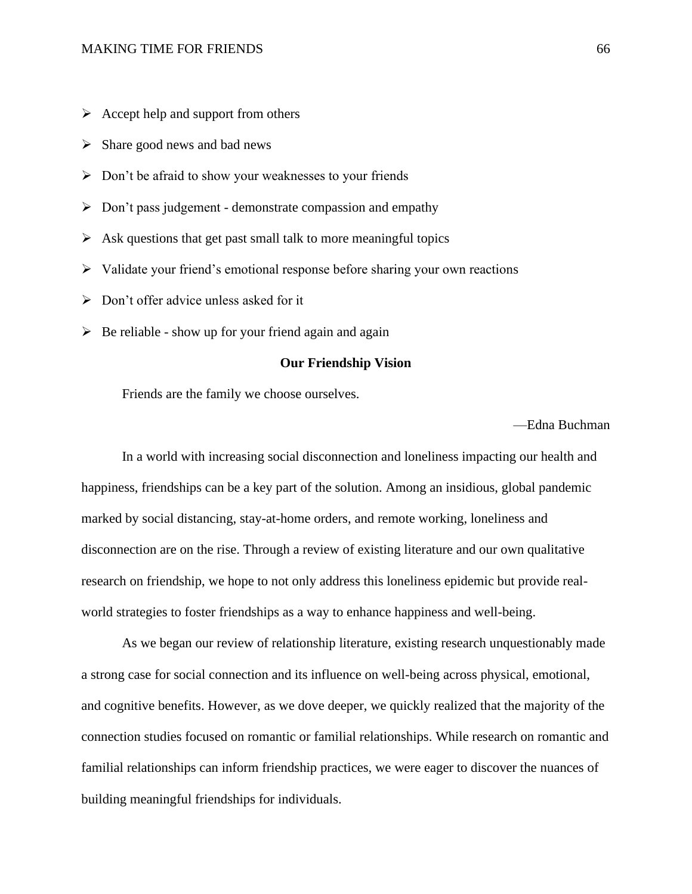- $\triangleright$  Accept help and support from others
- $\triangleright$  Share good news and bad news
- ➢ Don't be afraid to show your weaknesses to your friends
- ➢ Don't pass judgement demonstrate compassion and empathy
- $\triangleright$  Ask questions that get past small talk to more meaningful topics
- ➢ Validate your friend's emotional response before sharing your own reactions
- ➢ Don't offer advice unless asked for it
- $\triangleright$  Be reliable show up for your friend again and again

### **Our Friendship Vision**

Friends are the family we choose ourselves.

—Edna Buchman

In a world with increasing social disconnection and loneliness impacting our health and happiness, friendships can be a key part of the solution. Among an insidious, global pandemic marked by social distancing, stay-at-home orders, and remote working, loneliness and disconnection are on the rise. Through a review of existing literature and our own qualitative research on friendship, we hope to not only address this loneliness epidemic but provide realworld strategies to foster friendships as a way to enhance happiness and well-being.

As we began our review of relationship literature, existing research unquestionably made a strong case for social connection and its influence on well-being across physical, emotional, and cognitive benefits. However, as we dove deeper, we quickly realized that the majority of the connection studies focused on romantic or familial relationships. While research on romantic and familial relationships can inform friendship practices, we were eager to discover the nuances of building meaningful friendships for individuals.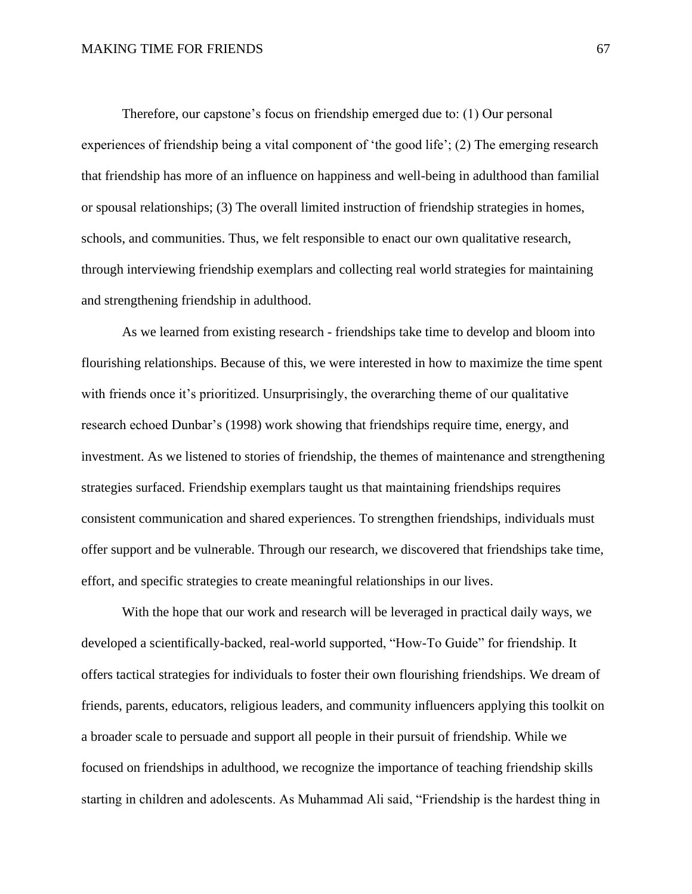Therefore, our capstone's focus on friendship emerged due to: (1) Our personal experiences of friendship being a vital component of 'the good life'; (2) The emerging research that friendship has more of an influence on happiness and well-being in adulthood than familial or spousal relationships; (3) The overall limited instruction of friendship strategies in homes, schools, and communities. Thus, we felt responsible to enact our own qualitative research, through interviewing friendship exemplars and collecting real world strategies for maintaining and strengthening friendship in adulthood.

As we learned from existing research - friendships take time to develop and bloom into flourishing relationships. Because of this, we were interested in how to maximize the time spent with friends once it's prioritized. Unsurprisingly, the overarching theme of our qualitative research echoed Dunbar's (1998) work showing that friendships require time, energy, and investment. As we listened to stories of friendship, the themes of maintenance and strengthening strategies surfaced. Friendship exemplars taught us that maintaining friendships requires consistent communication and shared experiences. To strengthen friendships, individuals must offer support and be vulnerable. Through our research, we discovered that friendships take time, effort, and specific strategies to create meaningful relationships in our lives.

With the hope that our work and research will be leveraged in practical daily ways, we developed a scientifically-backed, real-world supported, "How-To Guide" for friendship. It offers tactical strategies for individuals to foster their own flourishing friendships. We dream of friends, parents, educators, religious leaders, and community influencers applying this toolkit on a broader scale to persuade and support all people in their pursuit of friendship. While we focused on friendships in adulthood, we recognize the importance of teaching friendship skills starting in children and adolescents. As Muhammad Ali said, "Friendship is the hardest thing in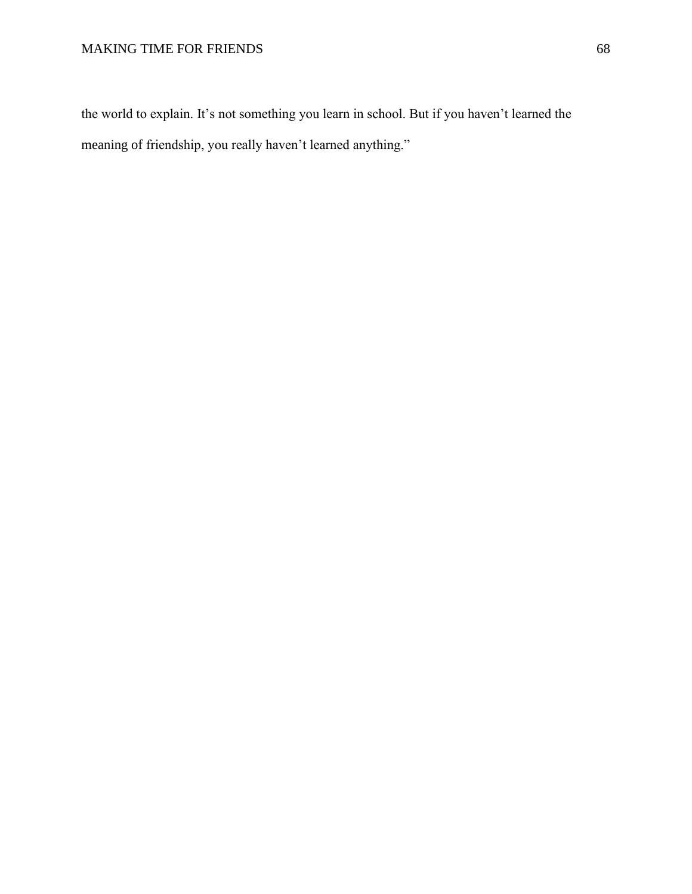the world to explain. It's not something you learn in school. But if you haven't learned the meaning of friendship, you really haven't learned anything."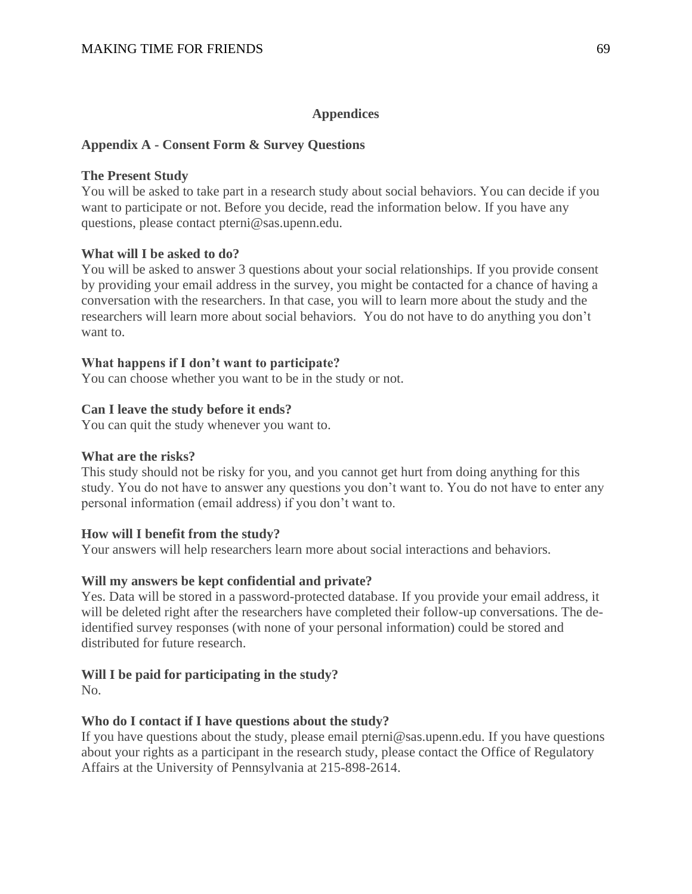# **Appendices**

# **Appendix A - Consent Form & Survey Questions**

## **The Present Study**

You will be asked to take part in a research study about social behaviors. You can decide if you want to participate or not. Before you decide, read the information below. If you have any questions, please contact pterni@sas.upenn.edu.

# **What will I be asked to do?**

You will be asked to answer 3 questions about your social relationships. If you provide consent by providing your email address in the survey, you might be contacted for a chance of having a conversation with the researchers. In that case, you will to learn more about the study and the researchers will learn more about social behaviors. You do not have to do anything you don't want to.

### **What happens if I don't want to participate?**

You can choose whether you want to be in the study or not.

# **Can I leave the study before it ends?**

You can quit the study whenever you want to.

### **What are the risks?**

This study should not be risky for you, and you cannot get hurt from doing anything for this study. You do not have to answer any questions you don't want to. You do not have to enter any personal information (email address) if you don't want to.

# **How will I benefit from the study?**

Your answers will help researchers learn more about social interactions and behaviors.

# **Will my answers be kept confidential and private?**

Yes. Data will be stored in a password-protected database. If you provide your email address, it will be deleted right after the researchers have completed their follow-up conversations. The deidentified survey responses (with none of your personal information) could be stored and distributed for future research.

# **Will I be paid for participating in the study?**

No.

# **Who do I contact if I have questions about the study?**

If you have questions about the study, please email pterni@sas.upenn.edu. If you have questions about your rights as a participant in the research study, please contact the Office of Regulatory Affairs at the University of Pennsylvania at 215-898-2614.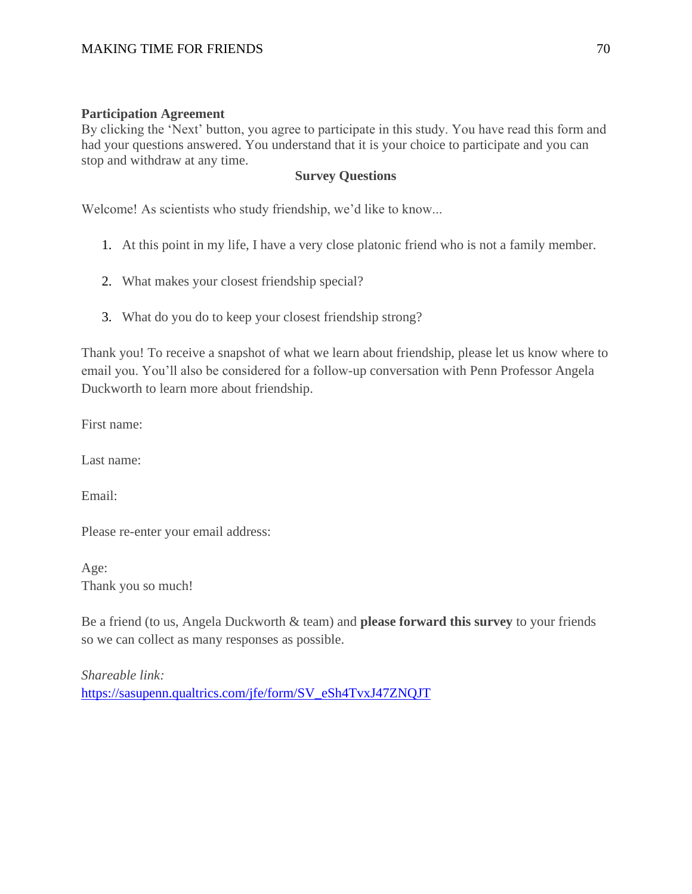# **Participation Agreement**

By clicking the 'Next' button, you agree to participate in this study. You have read this form and had your questions answered. You understand that it is your choice to participate and you can stop and withdraw at any time.

# **Survey Questions**

Welcome! As scientists who study friendship, we'd like to know...

- 1. At this point in my life, I have a very close platonic friend who is not a family member.
- 2. What makes your closest friendship special?
- 3. What do you do to keep your closest friendship strong?

Thank you! To receive a snapshot of what we learn about friendship, please let us know where to email you. You'll also be considered for a follow-up conversation with Penn Professor Angela Duckworth to learn more about friendship.

First name:

Last name:

Email:

Please re-enter your email address:

Age: Thank you so much!

Be a friend (to us, Angela Duckworth & team) and **please forward this survey** to your friends so we can collect as many responses as possible.

*Shareable link:* [https://sasupenn.qualtrics.com/jfe/form/SV\\_eSh4TvxJ47ZNQJT](https://sasupenn.qualtrics.com/jfe/form/SV_eSh4TvxJ47ZNQJT)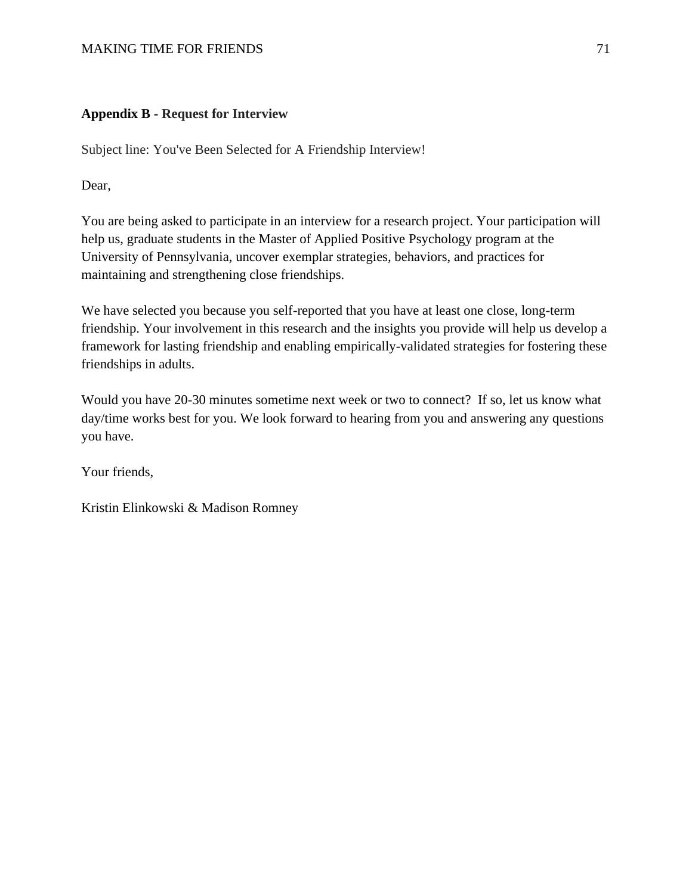#### MAKING TIME FOR FRIENDS 71

#### **Appendix B - Request for Interview**

Subject line: You've Been Selected for A Friendship Interview!

Dear,

You are being asked to participate in an interview for a research project. Your participation will help us, graduate students in the Master of Applied Positive Psychology program at the University of Pennsylvania, uncover exemplar strategies, behaviors, and practices for maintaining and strengthening close friendships.

We have selected you because you self-reported that you have at least one close, long-term friendship. Your involvement in this research and the insights you provide will help us develop a framework for lasting friendship and enabling empirically-validated strategies for fostering these friendships in adults.

Would you have 20-30 minutes sometime next week or two to connect? If so, let us know what day/time works best for you. We look forward to hearing from you and answering any questions you have.

Your friends,

Kristin Elinkowski & Madison Romney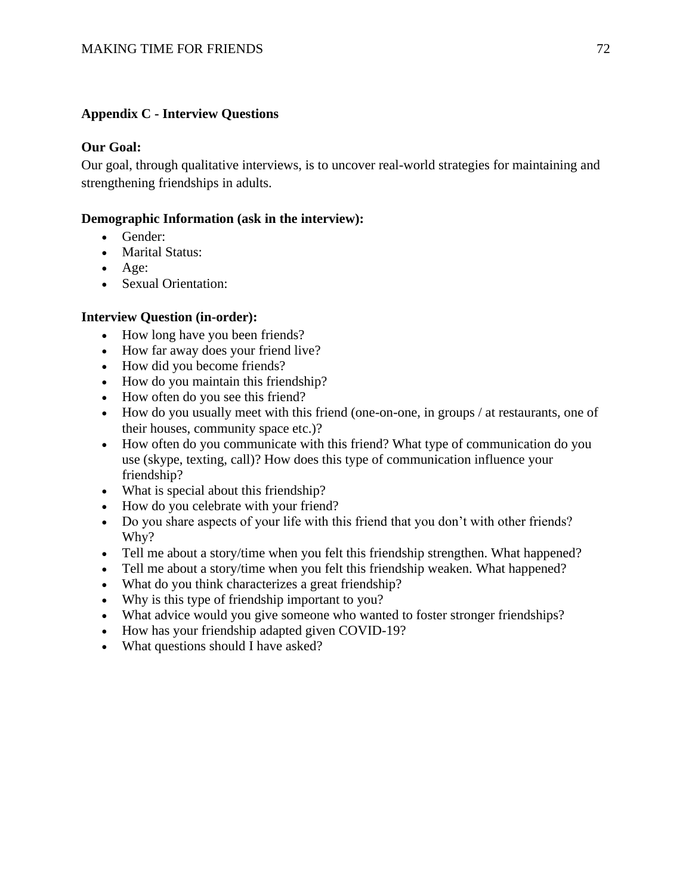## **Appendix C - Interview Questions**

### **Our Goal:**

Our goal, through qualitative interviews, is to uncover real-world strategies for maintaining and strengthening friendships in adults.

### **Demographic Information (ask in the interview):**

- Gender:
- Marital Status:
- Age:
- Sexual Orientation:

#### **Interview Question (in-order):**

- How long have you been friends?
- How far away does your friend live?
- How did you become friends?
- How do you maintain this friendship?
- How often do you see this friend?
- How do you usually meet with this friend (one-on-one, in groups / at restaurants, one of their houses, community space etc.)?
- How often do you communicate with this friend? What type of communication do you use (skype, texting, call)? How does this type of communication influence your friendship?
- What is special about this friendship?
- How do you celebrate with your friend?
- Do you share aspects of your life with this friend that you don't with other friends? Why?
- Tell me about a story/time when you felt this friendship strengthen. What happened?
- Tell me about a story/time when you felt this friendship weaken. What happened?
- What do you think characterizes a great friendship?
- Why is this type of friendship important to you?
- What advice would you give someone who wanted to foster stronger friendships?
- How has your friendship adapted given COVID-19?
- What questions should I have asked?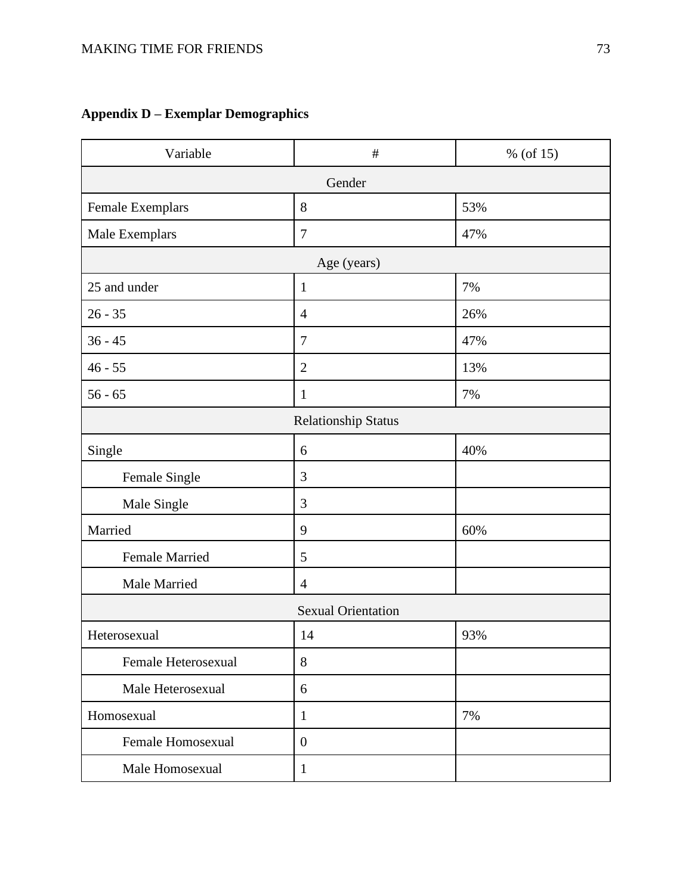# **Appendix D – Exemplar Demographics**

| Variable                   | $\#$             | % (of $15$ ) |
|----------------------------|------------------|--------------|
| Gender                     |                  |              |
| Female Exemplars           | 8                | 53%          |
| Male Exemplars             | $\tau$           | 47%          |
| Age (years)                |                  |              |
| 25 and under               | $1\,$            | 7%           |
| $26 - 35$                  | $\overline{4}$   | 26%          |
| $36 - 45$                  | $\overline{7}$   | 47%          |
| $46 - 55$                  | $\overline{2}$   | 13%          |
| $56 - 65$                  | $\mathbf{1}$     | 7%           |
| <b>Relationship Status</b> |                  |              |
| Single                     | 6                | 40%          |
| Female Single              | $\mathfrak{Z}$   |              |
| Male Single                | 3                |              |
| Married                    | 9                | 60%          |
| <b>Female Married</b>      | 5                |              |
| Male Married               | $\overline{4}$   |              |
| <b>Sexual Orientation</b>  |                  |              |
| Heterosexual               | 14               | 93%          |
| Female Heterosexual        | 8                |              |
| Male Heterosexual          | 6                |              |
| Homosexual                 | $\mathbf{1}$     | 7%           |
| Female Homosexual          | $\boldsymbol{0}$ |              |
| Male Homosexual            | $\mathbf{1}$     |              |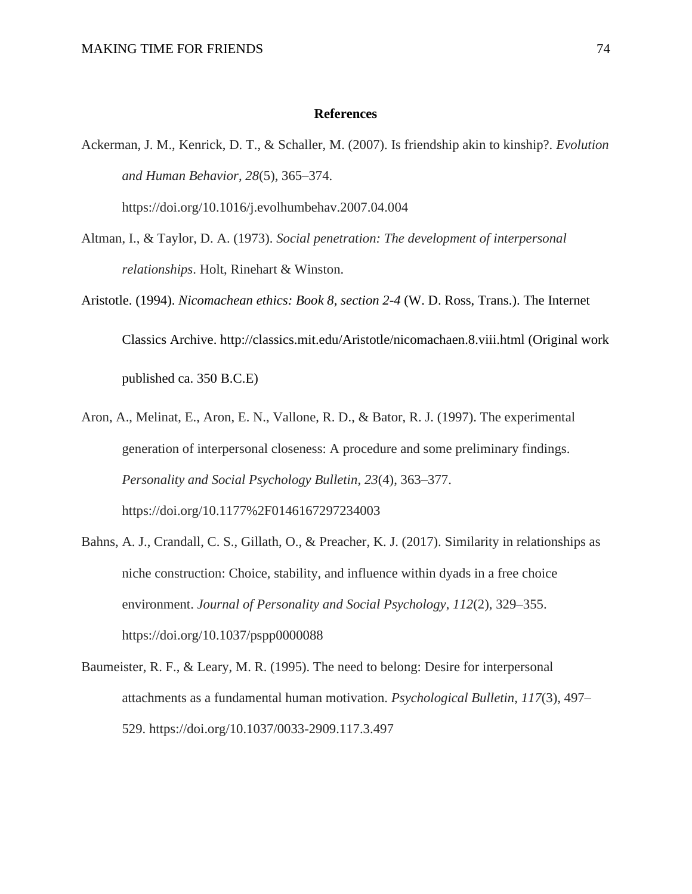#### **References**

Ackerman, J. M., Kenrick, D. T., & Schaller, M. (2007). Is friendship akin to kinship?. *Evolution and Human Behavior*, *28*(5), 365–374.

https://doi.org/10.1016/j.evolhumbehav.2007.04.004

- Altman, I., & Taylor, D. A. (1973). *Social penetration: The development of interpersonal relationships*. Holt, Rinehart & Winston.
- Aristotle. (1994). *Nicomachean ethics: Book 8, section 2-4* (W. D. Ross, Trans.). The Internet Classics Archive. http://classics.mit.edu/Aristotle/nicomachaen.8.viii.html (Original work published ca. 350 B.C.E)
- Aron, A., Melinat, E., Aron, E. N., Vallone, R. D., & Bator, R. J. (1997). The experimental generation of interpersonal closeness: A procedure and some preliminary findings. *Personality and Social Psychology Bulletin*, *23*(4), 363–377. https://doi.org/10.1177%2F0146167297234003
- Bahns, A. J., Crandall, C. S., Gillath, O., & Preacher, K. J. (2017). Similarity in relationships as niche construction: Choice, stability, and influence within dyads in a free choice environment. *Journal of Personality and Social Psychology*, *112*(2), 329–355. https://doi.org/10.1037/pspp0000088
- Baumeister, R. F., & Leary, M. R. (1995). The need to belong: Desire for interpersonal attachments as a fundamental human motivation. *Psychological Bulletin*, *117*(3), 497– 529. https://doi.org/10.1037/0033-2909.117.3.497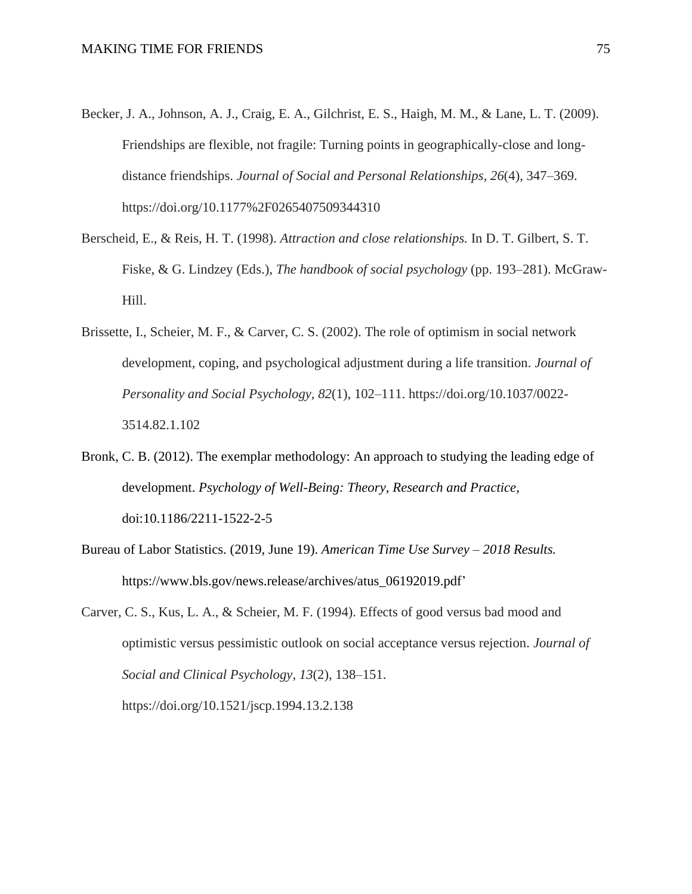- Becker, J. A., Johnson, A. J., Craig, E. A., Gilchrist, E. S., Haigh, M. M., & Lane, L. T. (2009). Friendships are flexible, not fragile: Turning points in geographically-close and longdistance friendships. *Journal of Social and Personal Relationships*, *26*(4), 347–369. https://doi.org/10.1177%2F0265407509344310
- Berscheid, E., & Reis, H. T. (1998). *Attraction and close relationships.* In D. T. Gilbert, S. T. Fiske, & G. Lindzey (Eds.), *The handbook of social psychology* (pp. 193–281). McGraw-Hill.
- Brissette, I., Scheier, M. F., & Carver, C. S. (2002). The role of optimism in social network development, coping, and psychological adjustment during a life transition. *Journal of Personality and Social Psychology*, *82*(1), 102–111. https://doi.org/10.1037/0022- 3514.82.1.102
- Bronk, C. B. (2012). The exemplar methodology: An approach to studying the leading edge of development. *Psychology of Well-Being: Theory, Research and Practice*, doi:10.1186/2211-1522-2-5
- Bureau of Labor Statistics. (2019, June 19). *American Time Use Survey – 2018 Results.* https://www.bls.gov/news.release/archives/atus\_06192019.pdf'
- Carver, C. S., Kus, L. A., & Scheier, M. F. (1994). Effects of good versus bad mood and optimistic versus pessimistic outlook on social acceptance versus rejection. *Journal of Social and Clinical Psychology*, *13*(2), 138–151.

https://doi.org/10.1521/jscp.1994.13.2.138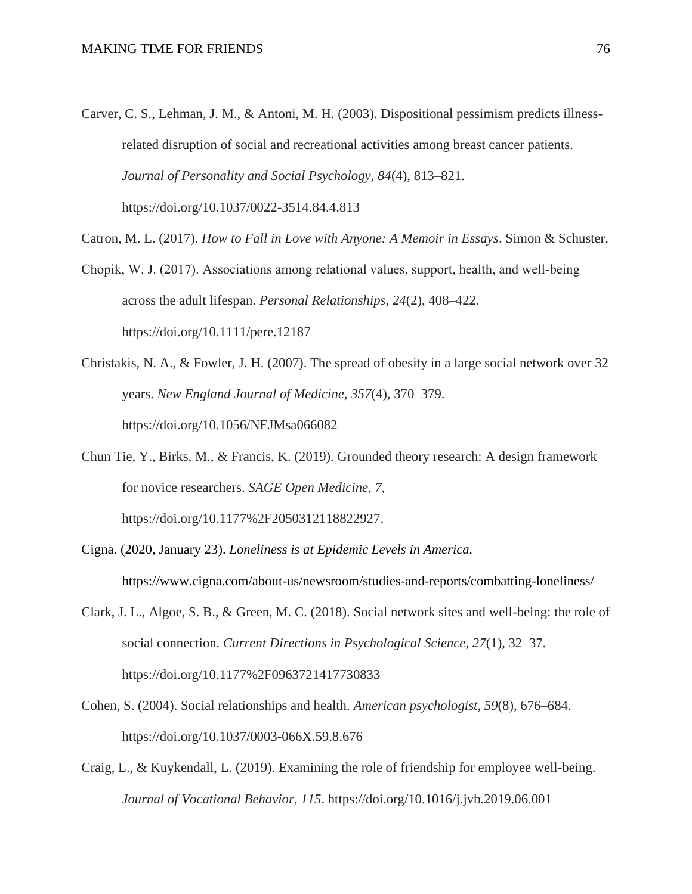- Carver, C. S., Lehman, J. M., & Antoni, M. H. (2003). Dispositional pessimism predicts illnessrelated disruption of social and recreational activities among breast cancer patients. *Journal of Personality and Social Psychology*, *84*(4), 813–821. https://doi.org/10.1037/0022-3514.84.4.813
- Catron, M. L. (2017). *How to Fall in Love with Anyone: A Memoir in Essays*. Simon & Schuster.
- Chopik, W. J. (2017). Associations among relational values, support, health, and well‐being across the adult lifespan. *Personal Relationships*, *24*(2), 408–422. https://doi.org/10.1111/pere.12187
- Christakis, N. A., & Fowler, J. H. (2007). The spread of obesity in a large social network over 32 years. *New England Journal of Medicine*, *357*(4), 370–379. https://doi.org/10.1056/NEJMsa066082
- Chun Tie, Y., Birks, M., & Francis, K. (2019). Grounded theory research: A design framework for novice researchers. *SAGE Open Medicine*, *7*, https://doi.org/10.1177%2F2050312118822927.
- Cigna. (2020, January 23). *Loneliness is at Epidemic Levels in America.* https://www.cigna.com/about-us/newsroom/studies-and-reports/combatting-loneliness/
- Clark, J. L., Algoe, S. B., & Green, M. C. (2018). Social network sites and well-being: the role of social connection. *Current Directions in Psychological Science*, *27*(1), 32–37. https://doi.org/10.1177%2F0963721417730833
- Cohen, S. (2004). Social relationships and health. *American psychologist*, *59*(8), 676–684. https://doi.org/10.1037/0003-066X.59.8.676
- Craig, L., & Kuykendall, L. (2019). Examining the role of friendship for employee well-being. *Journal of Vocational Behavior*, *115*. https://doi.org/10.1016/j.jvb.2019.06.001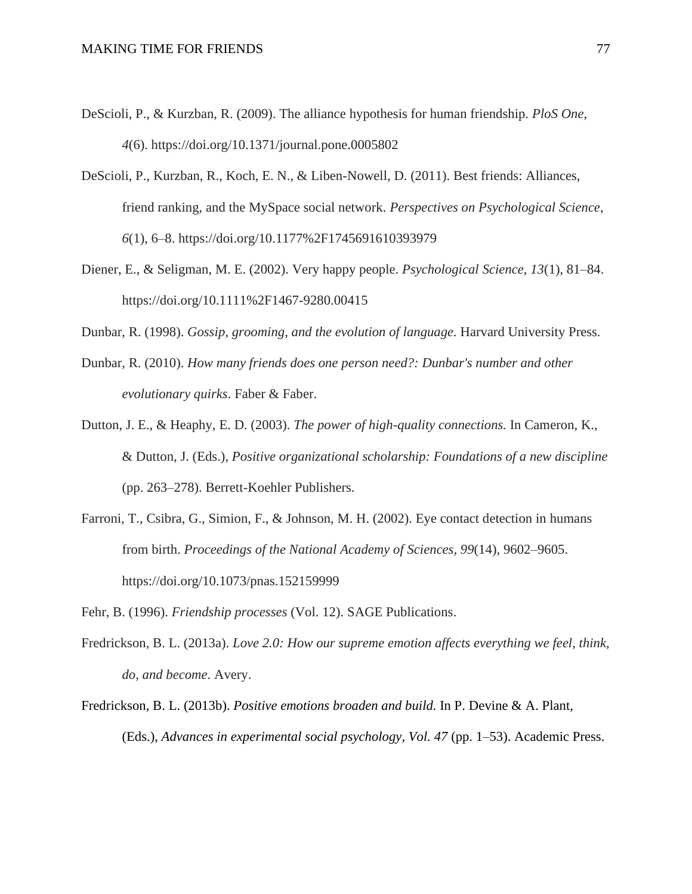- DeScioli, P., & Kurzban, R. (2009). The alliance hypothesis for human friendship. *PloS One*, *4*(6). https://doi.org/10.1371/journal.pone.0005802
- DeScioli, P., Kurzban, R., Koch, E. N., & Liben-Nowell, D. (2011). Best friends: Alliances, friend ranking, and the MySpace social network. *Perspectives on Psychological Science*, *6*(1), 6–8. https://doi.org/10.1177%2F1745691610393979
- Diener, E., & Seligman, M. E. (2002). Very happy people. *Psychological Science*, *13*(1), 81–84. https://doi.org/10.1111%2F1467-9280.00415
- Dunbar, R. (1998). *Gossip, grooming, and the evolution of language.* Harvard University Press.
- Dunbar, R. (2010). *How many friends does one person need?: Dunbar's number and other evolutionary quirks*. Faber & Faber.
- Dutton, J. E., & Heaphy, E. D. (2003). *The power of high-quality connections.* In Cameron, K., & Dutton, J. (Eds.), *Positive organizational scholarship: Foundations of a new discipline* (pp. 263–278). Berrett-Koehler Publishers.
- Farroni, T., Csibra, G., Simion, F., & Johnson, M. H. (2002). Eye contact detection in humans from birth. *Proceedings of the National Academy of Sciences*, *99*(14), 9602–9605. https://doi.org/10.1073/pnas.152159999
- Fehr, B. (1996). *Friendship processes* (Vol. 12). SAGE Publications.
- Fredrickson, B. L. (2013a). *Love 2.0: How our supreme emotion affects everything we feel, think, do, and become*. Avery.
- Fredrickson, B. L. (2013b). *Positive emotions broaden and build.* In P. Devine & A. Plant, (Eds.), *Advances in experimental social psychology, Vol. 47* (pp. 1–53). Academic Press.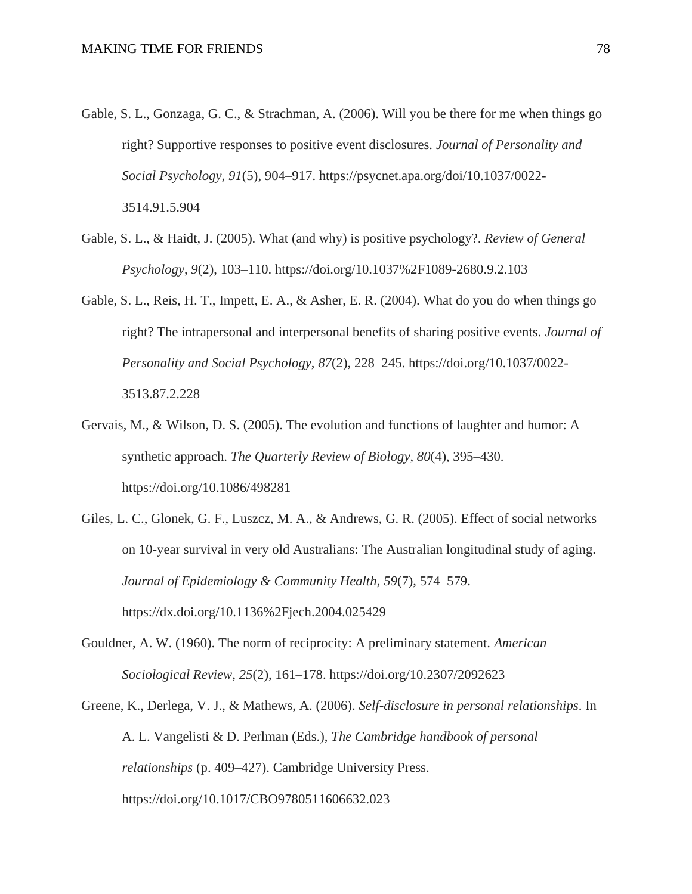- Gable, S. L., Gonzaga, G. C., & Strachman, A. (2006). Will you be there for me when things go right? Supportive responses to positive event disclosures. *Journal of Personality and Social Psychology*, *91*(5), 904–917. https://psycnet.apa.org/doi/10.1037/0022- 3514.91.5.904
- Gable, S. L., & Haidt, J. (2005). What (and why) is positive psychology?. *Review of General Psychology*, *9*(2), 103–110. https://doi.org/10.1037%2F1089-2680.9.2.103
- Gable, S. L., Reis, H. T., Impett, E. A., & Asher, E. R. (2004). What do you do when things go right? The intrapersonal and interpersonal benefits of sharing positive events. *Journal of Personality and Social Psychology*, *87*(2), 228–245. https://doi.org/10.1037/0022- 3513.87.2.228
- Gervais, M., & Wilson, D. S. (2005). The evolution and functions of laughter and humor: A synthetic approach. *The Quarterly Review of Biology*, *80*(4), 395–430. https://doi.org/10.1086/498281
- Giles, L. C., Glonek, G. F., Luszcz, M. A., & Andrews, G. R. (2005). Effect of social networks on 10-year survival in very old Australians: The Australian longitudinal study of aging. *Journal of Epidemiology & Community Health*, *59*(7), 574–579. https://dx.doi.org/10.1136%2Fjech.2004.025429
- Gouldner, A. W. (1960). The norm of reciprocity: A preliminary statement. *American Sociological Review*, *25*(2), 161–178. https://doi.org/10.2307/2092623
- Greene, K., Derlega, V. J., & Mathews, A. (2006). *Self-disclosure in personal relationships*. In A. L. Vangelisti & D. Perlman (Eds.), *The Cambridge handbook of personal relationships* (p. 409–427). Cambridge University Press. https://doi.org/10.1017/CBO9780511606632.023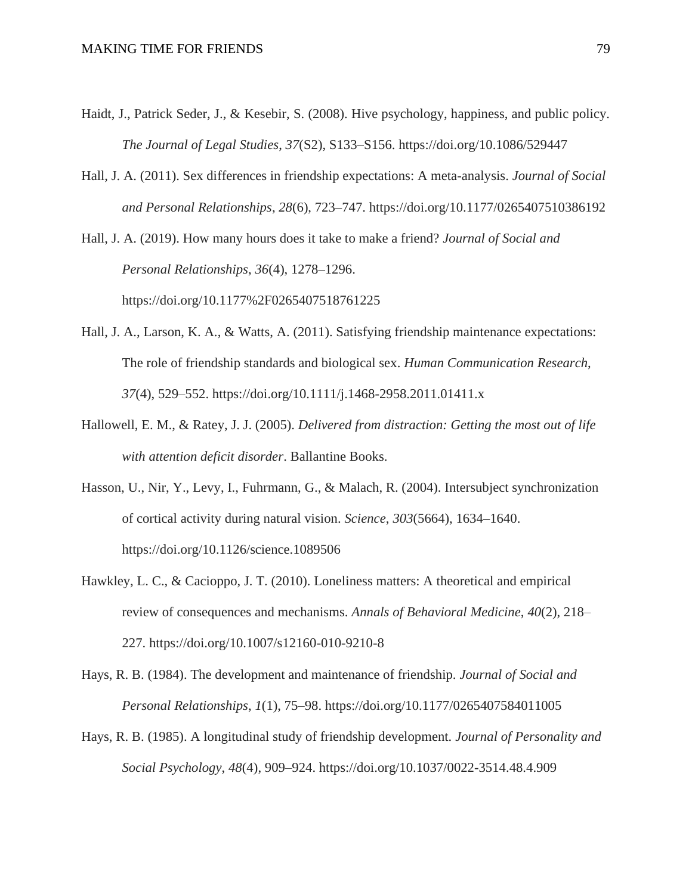- Haidt, J., Patrick Seder, J., & Kesebir, S. (2008). Hive psychology, happiness, and public policy. *The Journal of Legal Studies*, *37*(S2), S133–S156. https://doi.org/10.1086/529447
- Hall, J. A. (2011). Sex differences in friendship expectations: A meta-analysis. *Journal of Social and Personal Relationships*, *28*(6), 723–747. https://doi.org/10.1177/0265407510386192

Hall, J. A. (2019). How many hours does it take to make a friend? *Journal of Social and Personal Relationships*, *36*(4), 1278–1296. https://doi.org/10.1177%2F0265407518761225

- Hall, J. A., Larson, K. A., & Watts, A. (2011). Satisfying friendship maintenance expectations: The role of friendship standards and biological sex. *Human Communication Research*, *37*(4), 529–552. https://doi.org/10.1111/j.1468-2958.2011.01411.x
- Hallowell, E. M., & Ratey, J. J. (2005). *Delivered from distraction: Getting the most out of life with attention deficit disorder*. Ballantine Books.
- Hasson, U., Nir, Y., Levy, I., Fuhrmann, G., & Malach, R. (2004). Intersubject synchronization of cortical activity during natural vision. *Science*, *303*(5664), 1634–1640. https://doi.org/10.1126/science.1089506
- Hawkley, L. C., & Cacioppo, J. T. (2010). Loneliness matters: A theoretical and empirical review of consequences and mechanisms. *Annals of Behavioral Medicine*, *40*(2), 218– 227. https://doi.org/10.1007/s12160-010-9210-8
- Hays, R. B. (1984). The development and maintenance of friendship. *Journal of Social and Personal Relationships*, *1*(1), 75–98. https://doi.org/10.1177/0265407584011005
- Hays, R. B. (1985). A longitudinal study of friendship development. *Journal of Personality and Social Psychology*, *48*(4), 909–924. https://doi.org/10.1037/0022-3514.48.4.909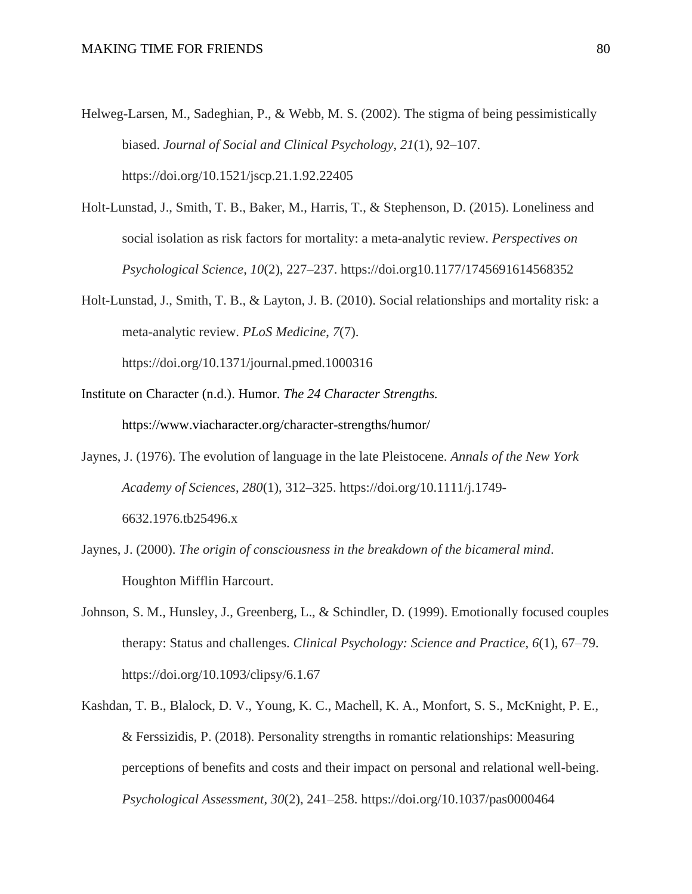- Helweg-Larsen, M., Sadeghian, P., & Webb, M. S. (2002). The stigma of being pessimistically biased. *Journal of Social and Clinical Psychology*, *21*(1), 92–107. https://doi.org/10.1521/jscp.21.1.92.22405
- Holt-Lunstad, J., Smith, T. B., Baker, M., Harris, T., & Stephenson, D. (2015). Loneliness and social isolation as risk factors for mortality: a meta-analytic review. *Perspectives on Psychological Science*, *10*(2), 227–237. https://doi.org10.1177/1745691614568352
- Holt-Lunstad, J., Smith, T. B., & Layton, J. B. (2010). Social relationships and mortality risk: a meta-analytic review. *PLoS Medicine*, *7*(7).

https://doi.org/10.1371/journal.pmed.1000316

- Institute on Character (n.d.). Humor. *The 24 Character Strengths.* https://www.viacharacter.org/character-strengths/humor/
- Jaynes, J. (1976). The evolution of language in the late Pleistocene. *Annals of the New York Academy of Sciences*, *280*(1), 312–325. https://doi.org/10.1111/j.1749- 6632.1976.tb25496.x
- Jaynes, J. (2000). *The origin of consciousness in the breakdown of the bicameral mind*. Houghton Mifflin Harcourt.
- Johnson, S. M., Hunsley, J., Greenberg, L., & Schindler, D. (1999). Emotionally focused couples therapy: Status and challenges. *Clinical Psychology: Science and Practice*, *6*(1), 67–79. https://doi.org/10.1093/clipsy/6.1.67
- Kashdan, T. B., Blalock, D. V., Young, K. C., Machell, K. A., Monfort, S. S., McKnight, P. E., & Ferssizidis, P. (2018). Personality strengths in romantic relationships: Measuring perceptions of benefits and costs and their impact on personal and relational well-being. *Psychological Assessment*, *30*(2), 241–258. https://doi.org/10.1037/pas0000464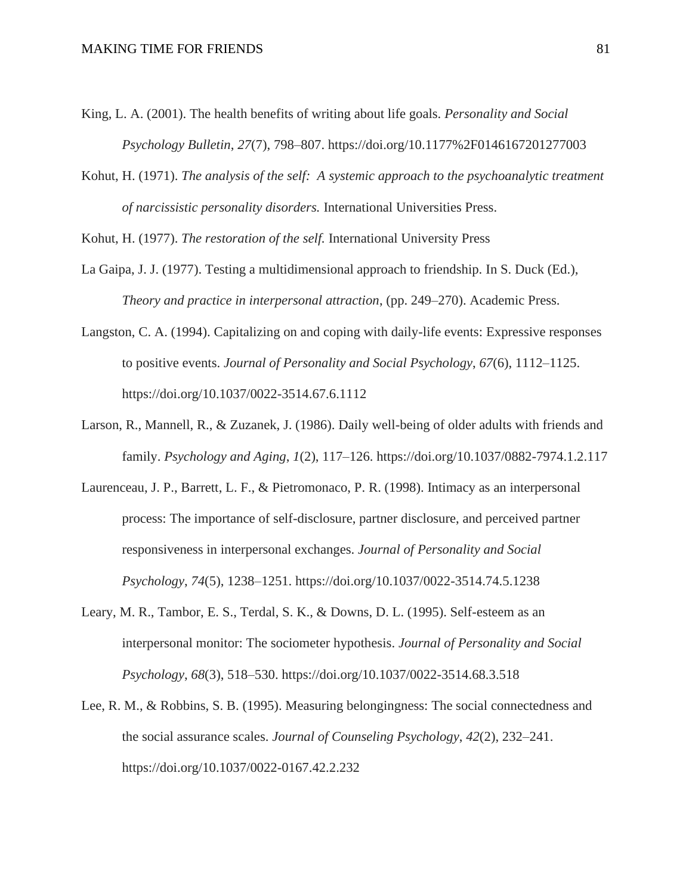- King, L. A. (2001). The health benefits of writing about life goals. *Personality and Social Psychology Bulletin*, *27*(7), 798–807. https://doi.org/10.1177%2F0146167201277003
- Kohut, H. (1971). *The analysis of the self: A systemic approach to the psychoanalytic treatment of narcissistic personality disorders.* International Universities Press.

Kohut, H. (1977). *The restoration of the self.* International University Press

- La Gaipa, J. J. (1977). Testing a multidimensional approach to friendship. In S. Duck (Ed.), *Theory and practice in interpersonal attraction*, (pp. 249–270). Academic Press.
- Langston, C. A. (1994). Capitalizing on and coping with daily-life events: Expressive responses to positive events. *Journal of Personality and Social Psychology*, *67*(6), 1112–1125. https://doi.org/10.1037/0022-3514.67.6.1112
- Larson, R., Mannell, R., & Zuzanek, J. (1986). Daily well-being of older adults with friends and family. *Psychology and Aging*, *1*(2), 117–126. https://doi.org/10.1037/0882-7974.1.2.117
- Laurenceau, J. P., Barrett, L. F., & Pietromonaco, P. R. (1998). Intimacy as an interpersonal process: The importance of self-disclosure, partner disclosure, and perceived partner responsiveness in interpersonal exchanges. *Journal of Personality and Social Psychology*, *74*(5), 1238–1251. https://doi.org/10.1037/0022-3514.74.5.1238
- Leary, M. R., Tambor, E. S., Terdal, S. K., & Downs, D. L. (1995). Self-esteem as an interpersonal monitor: The sociometer hypothesis. *Journal of Personality and Social Psychology*, *68*(3), 518–530. https://doi.org/10.1037/0022-3514.68.3.518
- Lee, R. M., & Robbins, S. B. (1995). Measuring belongingness: The social connectedness and the social assurance scales. *Journal of Counseling Psychology*, *42*(2), 232–241. https://doi.org/10.1037/0022-0167.42.2.232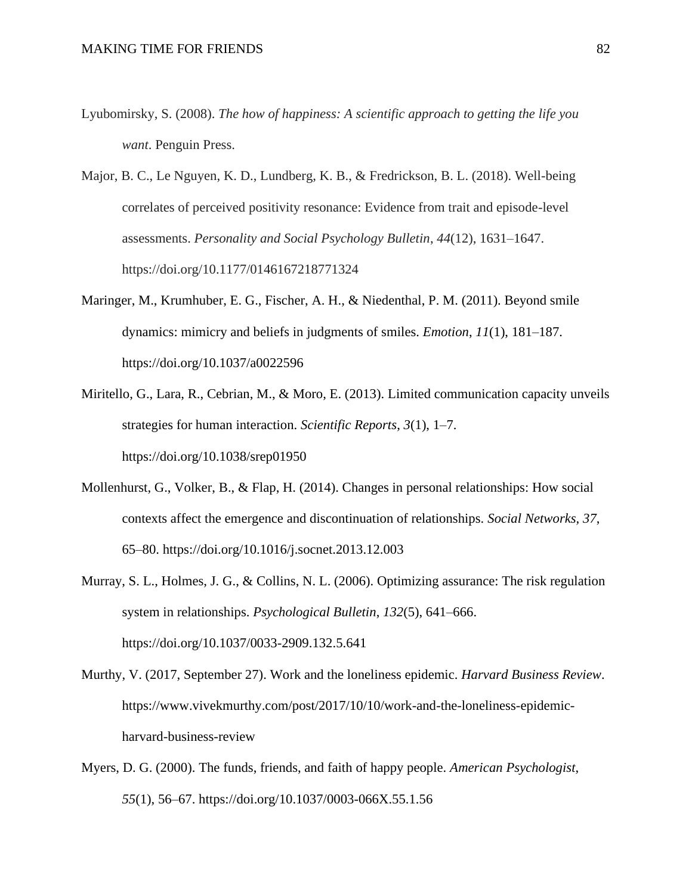- Lyubomirsky, S. (2008). *The how of happiness: A scientific approach to getting the life you want*. Penguin Press.
- Major, B. C., Le Nguyen, K. D., Lundberg, K. B., & Fredrickson, B. L. (2018). Well-being correlates of perceived positivity resonance: Evidence from trait and episode-level assessments. *Personality and Social Psychology Bulletin*, *44*(12), 1631–1647. https://doi.org/10.1177/0146167218771324
- Maringer, M., Krumhuber, E. G., Fischer, A. H., & Niedenthal, P. M. (2011). Beyond smile dynamics: mimicry and beliefs in judgments of smiles. *Emotion*, *11*(1), 181–187. https://doi.org/10.1037/a0022596
- Miritello, G., Lara, R., Cebrian, M., & Moro, E. (2013). Limited communication capacity unveils strategies for human interaction. *Scientific Reports*, *3*(1), 1–7. https://doi.org/10.1038/srep01950
- Mollenhurst, G., Volker, B., & Flap, H. (2014). Changes in personal relationships: How social contexts affect the emergence and discontinuation of relationships. *Social Networks, 37*, 65–80. https://doi.org/10.1016/j.socnet.2013.12.003
- Murray, S. L., Holmes, J. G., & Collins, N. L. (2006). Optimizing assurance: The risk regulation system in relationships. *Psychological Bulletin*, *132*(5), 641–666. https://doi.org/10.1037/0033-2909.132.5.641
- Murthy, V. (2017, September 27). Work and the loneliness epidemic. *Harvard Business Review*. https://www.vivekmurthy.com/post/2017/10/10/work-and-the-loneliness-epidemicharvard-business-review
- Myers, D. G. (2000). The funds, friends, and faith of happy people. *American Psychologist*, *55*(1), 56–67. https://doi.org/10.1037/0003-066X.55.1.56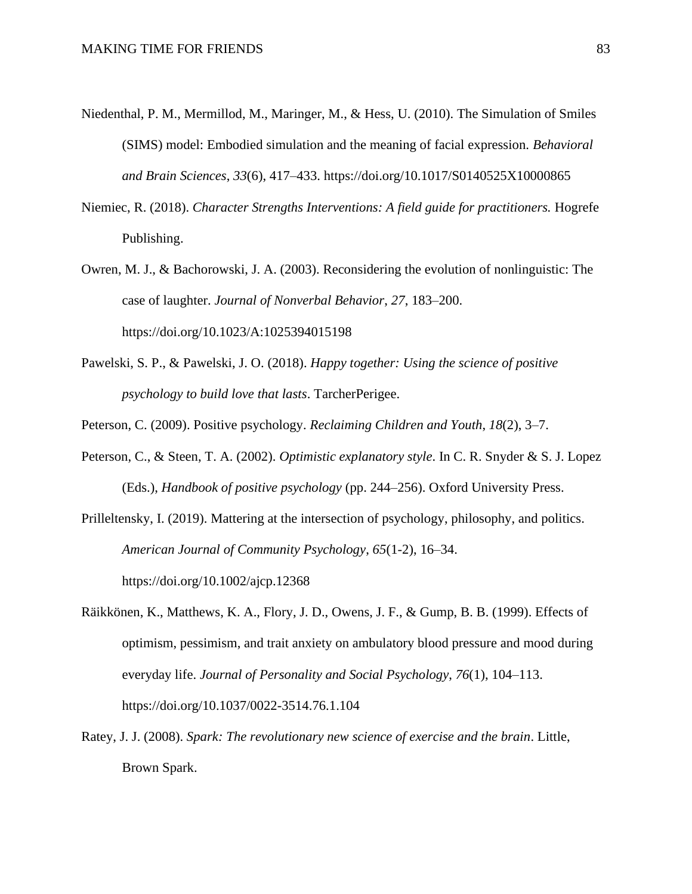- Niedenthal, P. M., Mermillod, M., Maringer, M., & Hess, U. (2010). The Simulation of Smiles (SIMS) model: Embodied simulation and the meaning of facial expression. *Behavioral and Brain Sciences*, *33*(6), 417–433. https://doi.org/10.1017/S0140525X10000865
- Niemiec, R. (2018). *Character Strengths Interventions: A field guide for practitioners.* Hogrefe Publishing.
- Owren, M. J., & Bachorowski, J. A. (2003). Reconsidering the evolution of nonlinguistic: The case of laughter. *Journal of Nonverbal Behavior*, *27*, 183–200. https://doi.org/10.1023/A:1025394015198
- Pawelski, S. P., & Pawelski, J. O. (2018). *Happy together: Using the science of positive psychology to build love that lasts*. TarcherPerigee.
- Peterson, C. (2009). Positive psychology. *Reclaiming Children and Youth*, *18*(2), 3–7.
- Peterson, C., & Steen, T. A. (2002). *Optimistic explanatory style*. In C. R. Snyder & S. J. Lopez (Eds.), *Handbook of positive psychology* (pp. 244–256). Oxford University Press.
- Prilleltensky, I. (2019). Mattering at the intersection of psychology, philosophy, and politics. *American Journal of Community Psychology*, *65*(1-2), 16–34. https://doi.org/10.1002/ajcp.12368
- Räikkönen, K., Matthews, K. A., Flory, J. D., Owens, J. F., & Gump, B. B. (1999). Effects of optimism, pessimism, and trait anxiety on ambulatory blood pressure and mood during everyday life. *Journal of Personality and Social Psychology*, *76*(1), 104–113. https://doi.org/10.1037/0022-3514.76.1.104
- Ratey, J. J. (2008). *Spark: The revolutionary new science of exercise and the brain*. Little, Brown Spark.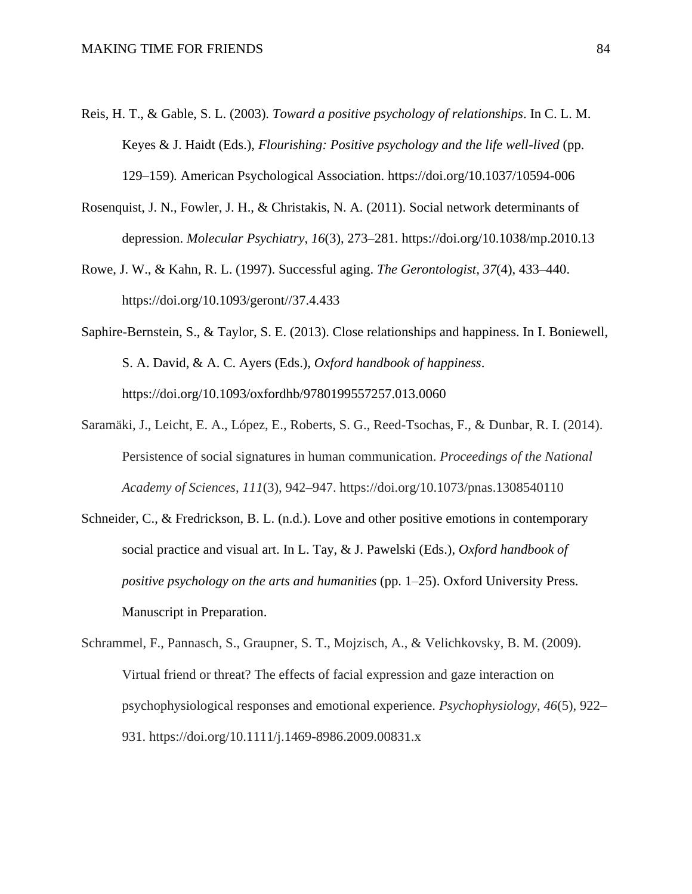- Reis, H. T., & Gable, S. L. (2003). *Toward a positive psychology of relationships*. In C. L. M. Keyes & J. Haidt (Eds.), *Flourishing: Positive psychology and the life well-lived* (pp. 129–159)*.* American Psychological Association. https://doi.org/10.1037/10594-006
- Rosenquist, J. N., Fowler, J. H., & Christakis, N. A. (2011). Social network determinants of depression. *Molecular Psychiatry*, *16*(3), 273–281. https://doi.org/10.1038/mp.2010.13
- Rowe, J. W., & Kahn, R. L. (1997). Successful aging. *The Gerontologist*, *37*(4), 433–440. https://doi.org/10.1093/geront//37.4.433
- Saphire-Bernstein, S., & Taylor, S. E. (2013). Close relationships and happiness. In I. Boniewell, S. A. David, & A. C. Ayers (Eds.), *Oxford handbook of happiness*. https://doi.org/10.1093/oxfordhb/9780199557257.013.0060
- Saramäki, J., Leicht, E. A., López, E., Roberts, S. G., Reed-Tsochas, F., & Dunbar, R. I. (2014). Persistence of social signatures in human communication. *Proceedings of the National Academy of Sciences*, *111*(3), 942–947. https://doi.org/10.1073/pnas.1308540110
- Schneider, C., & Fredrickson, B. L. (n.d.). Love and other positive emotions in contemporary social practice and visual art. In L. Tay, & J. Pawelski (Eds.), *Oxford handbook of positive psychology on the arts and humanities* (pp. 1–25). Oxford University Press. Manuscript in Preparation.
- Schrammel, F., Pannasch, S., Graupner, S. T., Mojzisch, A., & Velichkovsky, B. M. (2009). Virtual friend or threat? The effects of facial expression and gaze interaction on psychophysiological responses and emotional experience. *Psychophysiology*, *46*(5), 922– 931. https://doi.org/10.1111/j.1469-8986.2009.00831.x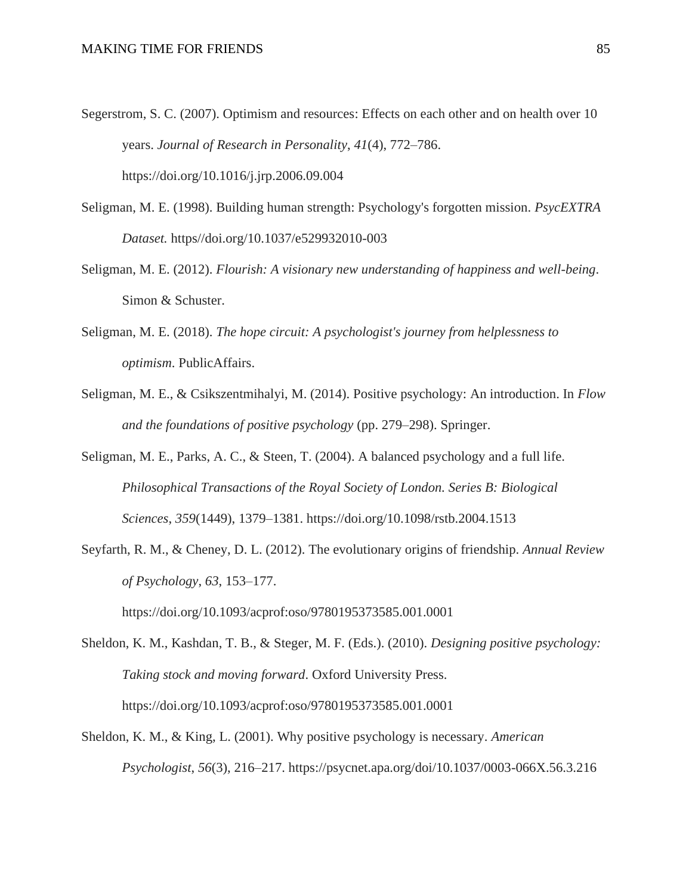- Segerstrom, S. C. (2007). Optimism and resources: Effects on each other and on health over 10 years. *Journal of Research in Personality*, *41*(4), 772–786. https://doi.org/10.1016/j.jrp.2006.09.004
- Seligman, M. E. (1998). Building human strength: Psychology's forgotten mission. *PsycEXTRA Dataset.* https//doi.org/10.1037/e529932010-003
- Seligman, M. E. (2012). *Flourish: A visionary new understanding of happiness and well-being*. Simon & Schuster.
- Seligman, M. E. (2018). *The hope circuit: A psychologist's journey from helplessness to optimism*. PublicAffairs.
- Seligman, M. E., & Csikszentmihalyi, M. (2014). Positive psychology: An introduction. In *Flow and the foundations of positive psychology* (pp. 279–298). Springer.
- Seligman, M. E., Parks, A. C., & Steen, T. (2004). A balanced psychology and a full life. *Philosophical Transactions of the Royal Society of London. Series B: Biological Sciences*, *359*(1449), 1379–1381. https://doi.org/10.1098/rstb.2004.1513
- Seyfarth, R. M., & Cheney, D. L. (2012). The evolutionary origins of friendship. *Annual Review of Psychology*, *63*, 153–177.

https://doi.org/10.1093/acprof:oso/9780195373585.001.0001

- Sheldon, K. M., Kashdan, T. B., & Steger, M. F. (Eds.). (2010). *Designing positive psychology: Taking stock and moving forward*. Oxford University Press. https://doi.org/10.1093/acprof:oso/9780195373585.001.0001
- Sheldon, K. M., & King, L. (2001). Why positive psychology is necessary. *American Psychologist*, *56*(3), 216–217. https://psycnet.apa.org/doi/10.1037/0003-066X.56.3.216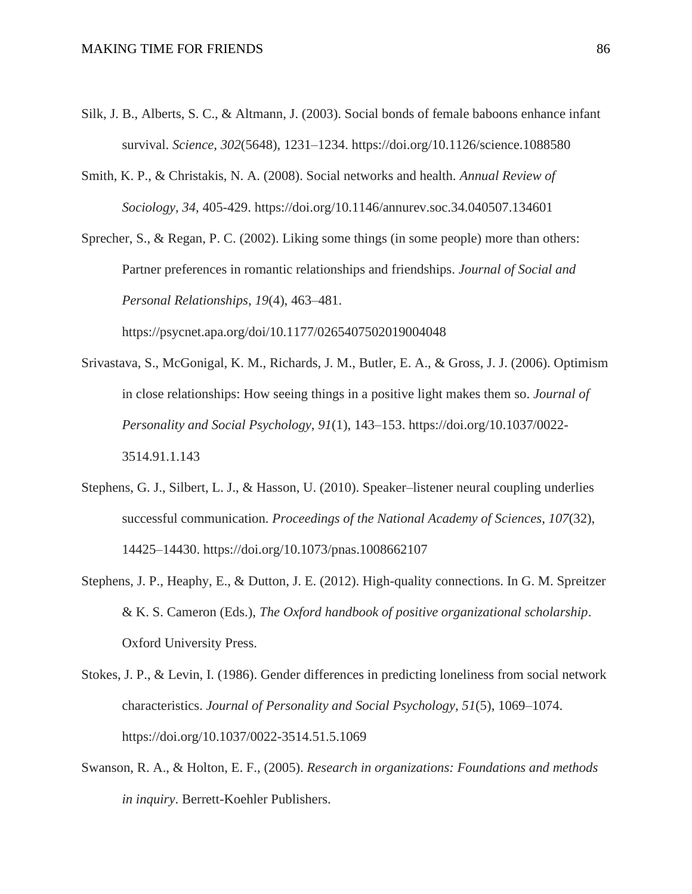- Silk, J. B., Alberts, S. C., & Altmann, J. (2003). Social bonds of female baboons enhance infant survival. *Science*, *302*(5648), 1231–1234. https://doi.org/10.1126/science.1088580
- Smith, K. P., & Christakis, N. A. (2008). Social networks and health. *Annual Review of Sociology*, *34*, 405-429. https://doi.org/10.1146/annurev.soc.34.040507.134601

Sprecher, S., & Regan, P. C. (2002). Liking some things (in some people) more than others: Partner preferences in romantic relationships and friendships. *Journal of Social and Personal Relationships*, *19*(4), 463–481.

https://psycnet.apa.org/doi/10.1177/0265407502019004048

- Srivastava, S., McGonigal, K. M., Richards, J. M., Butler, E. A., & Gross, J. J. (2006). Optimism in close relationships: How seeing things in a positive light makes them so. *Journal of Personality and Social Psychology*, *91*(1), 143–153. https://doi.org/10.1037/0022- 3514.91.1.143
- Stephens, G. J., Silbert, L. J., & Hasson, U. (2010). Speaker–listener neural coupling underlies successful communication. *Proceedings of the National Academy of Sciences*, *107*(32), 14425–14430. https://doi.org/10.1073/pnas.1008662107
- Stephens, J. P., Heaphy, E., & Dutton, J. E. (2012). High-quality connections. In G. M. Spreitzer & K. S. Cameron (Eds.), *The Oxford handbook of positive organizational scholarship*. Oxford University Press.
- Stokes, J. P., & Levin, I. (1986). Gender differences in predicting loneliness from social network characteristics. *Journal of Personality and Social Psychology*, *51*(5), 1069–1074. https://doi.org/10.1037/0022-3514.51.5.1069
- Swanson, R. A., & Holton, E. F., (2005). *Research in organizations: Foundations and methods in inquiry*. Berrett-Koehler Publishers.